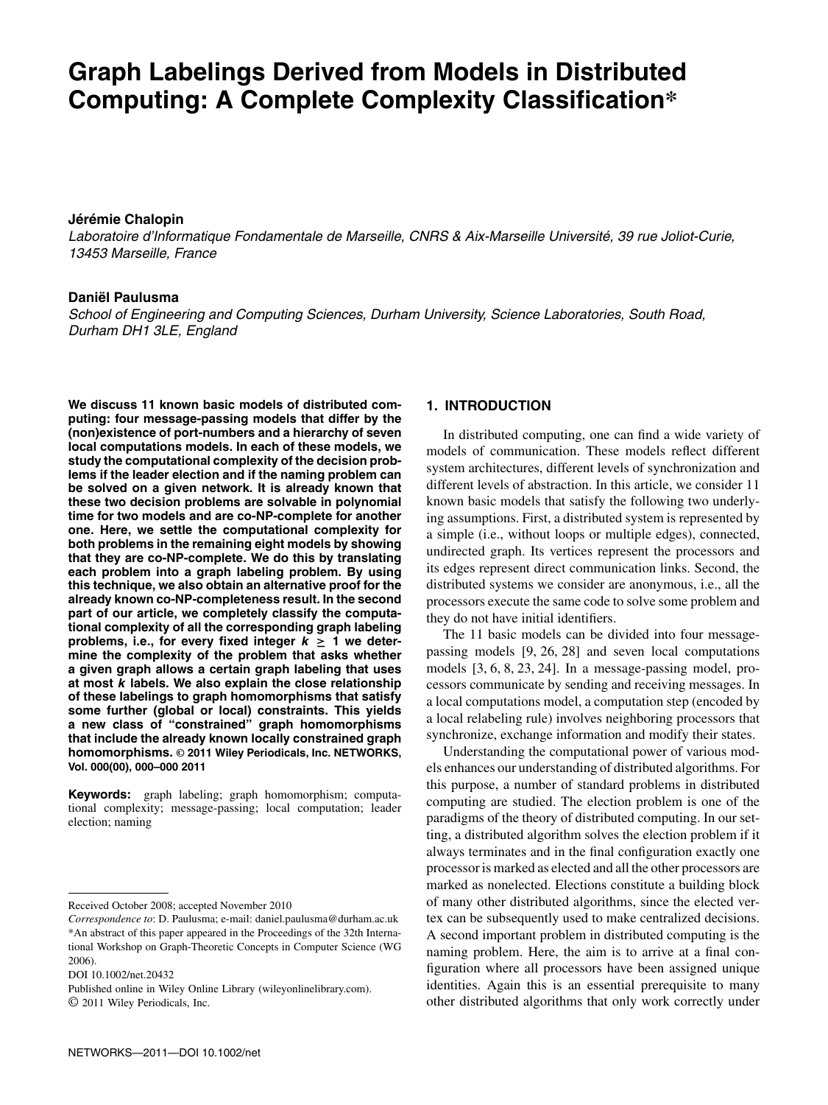# **Graph Labelings Derived from Models in Distributed Computing: A Complete Complexity Classification\***

## **Jérémie Chalopin**

Laboratoire d'Informatique Fondamentale de Marseille, CNRS & Aix-Marseille Université, 39 rue Joliot-Curie, 13453 Marseille, France

## **Daniël Paulusma**

School of Engineering and Computing Sciences, Durham University, Science Laboratories, South Road, Durham DH1 3LE, England

**We discuss 11 known basic models of distributed computing: four message-passing models that differ by the (non)existence of port-numbers and a hierarchy of seven local computations models. In each of these models, we study the computational complexity of the decision problems if the leader election and if the naming problem can be solved on a given network. It is already known that these two decision problems are solvable in polynomial time for two models and are co-NP-complete for another one. Here, we settle the computational complexity for both problems in the remaining eight models by showing that they are co-NP-complete. We do this by translating each problem into a graph labeling problem. By using this technique, we also obtain an alternative proof for the already known co-NP-completeness result. In the second part of our article, we completely classify the computational complexity of all the corresponding graph labeling** problems, i.e., for every fixed integer  $k \geq 1$  we deter**mine the complexity of the problem that asks whether a given graph allows a certain graph labeling that uses at most k labels. We also explain the close relationship of these labelings to graph homomorphisms that satisfy some further (global or local) constraints. This yields a new class of "constrained" graph homomorphisms that include the already known locally constrained graph homomorphisms. © 2011 Wiley Periodicals, Inc. NETWORKS, Vol. 000(00), 000–000 2011**

**Keywords:** graph labeling; graph homomorphism; computational complexity; message-passing; local computation; leader election; naming

Received October 2008; accepted November 2010

DOI 10.1002/net.20432

Published online in Wiley Online Library (wileyonlinelibrary.com). © 2011 Wiley Periodicals, Inc.

## **1. INTRODUCTION**

In distributed computing, one can find a wide variety of models of communication. These models reflect different system architectures, different levels of synchronization and different levels of abstraction. In this article, we consider 11 known basic models that satisfy the following two underlying assumptions. First, a distributed system is represented by a simple (i.e., without loops or multiple edges), connected, undirected graph. Its vertices represent the processors and its edges represent direct communication links. Second, the distributed systems we consider are anonymous, i.e., all the processors execute the same code to solve some problem and they do not have initial identifiers.

The 11 basic models can be divided into four messagepassing models [9, 26, 28] and seven local computations models [3, 6, 8, 23, 24]. In a message-passing model, processors communicate by sending and receiving messages. In a local computations model, a computation step (encoded by a local relabeling rule) involves neighboring processors that synchronize, exchange information and modify their states.

Understanding the computational power of various models enhances our understanding of distributed algorithms. For this purpose, a number of standard problems in distributed computing are studied. The election problem is one of the paradigms of the theory of distributed computing. In our setting, a distributed algorithm solves the election problem if it always terminates and in the final configuration exactly one processor is marked as elected and all the other processors are marked as nonelected. Elections constitute a building block of many other distributed algorithms, since the elected vertex can be subsequently used to make centralized decisions. A second important problem in distributed computing is the naming problem. Here, the aim is to arrive at a final configuration where all processors have been assigned unique identities. Again this is an essential prerequisite to many other distributed algorithms that only work correctly under

*Correspondence to*: D. Paulusma; e-mail: daniel.paulusma@durham.ac.uk \*An abstract of this paper appeared in the Proceedings of the 32th International Workshop on Graph-Theoretic Concepts in Computer Science (WG 2006).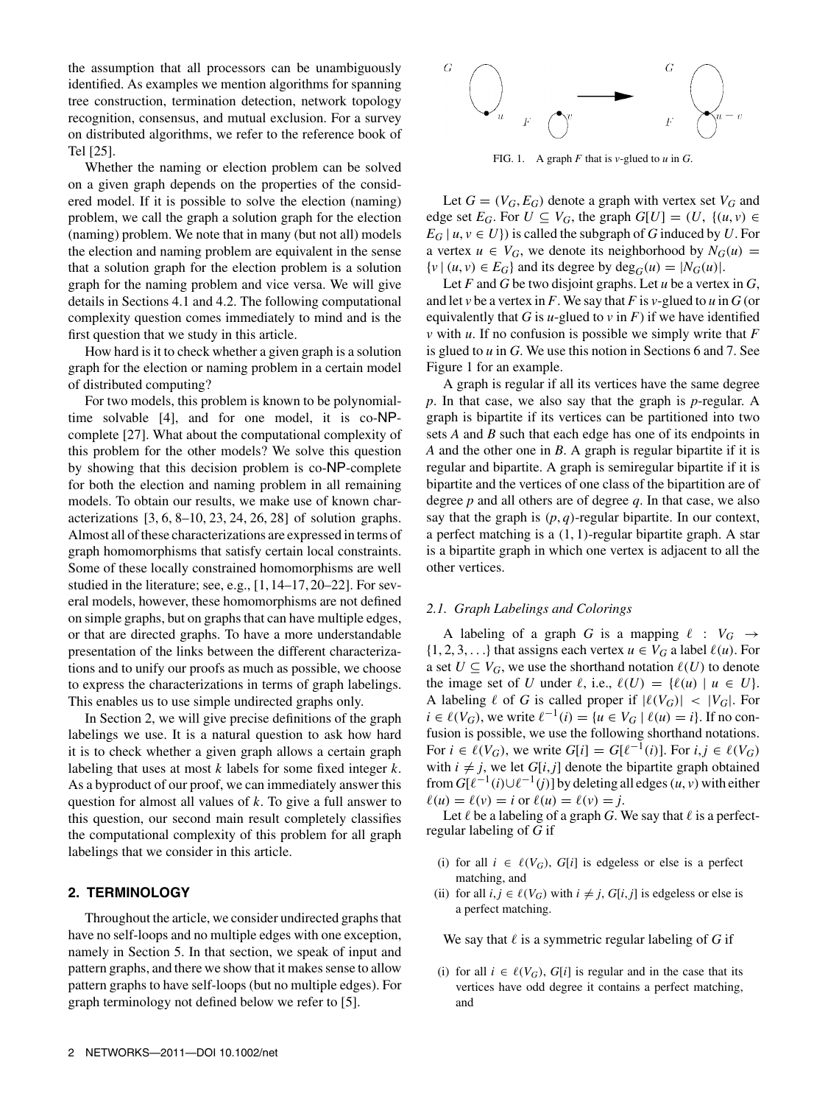the assumption that all processors can be unambiguously identified. As examples we mention algorithms for spanning tree construction, termination detection, network topology recognition, consensus, and mutual exclusion. For a survey on distributed algorithms, we refer to the reference book of Tel [25].

Whether the naming or election problem can be solved on a given graph depends on the properties of the considered model. If it is possible to solve the election (naming) problem, we call the graph a solution graph for the election (naming) problem. We note that in many (but not all) models the election and naming problem are equivalent in the sense that a solution graph for the election problem is a solution graph for the naming problem and vice versa. We will give details in Sections 4.1 and 4.2. The following computational complexity question comes immediately to mind and is the first question that we study in this article.

How hard is it to check whether a given graph is a solution graph for the election or naming problem in a certain model of distributed computing?

For two models, this problem is known to be polynomialtime solvable [4], and for one model, it is co-NPcomplete [27]. What about the computational complexity of this problem for the other models? We solve this question by showing that this decision problem is co-NP-complete for both the election and naming problem in all remaining models. To obtain our results, we make use of known characterizations [3, 6, 8–10, 23, 24, 26, 28] of solution graphs. Almost all of these characterizations are expressed in terms of graph homomorphisms that satisfy certain local constraints. Some of these locally constrained homomorphisms are well studied in the literature; see, e.g., [1, 14–17, 20–22]. For several models, however, these homomorphisms are not defined on simple graphs, but on graphs that can have multiple edges, or that are directed graphs. To have a more understandable presentation of the links between the different characterizations and to unify our proofs as much as possible, we choose to express the characterizations in terms of graph labelings. This enables us to use simple undirected graphs only.

In Section 2, we will give precise definitions of the graph labelings we use. It is a natural question to ask how hard it is to check whether a given graph allows a certain graph labeling that uses at most *k* labels for some fixed integer *k*. As a byproduct of our proof, we can immediately answer this question for almost all values of *k*. To give a full answer to this question, our second main result completely classifies the computational complexity of this problem for all graph labelings that we consider in this article.

# **2. TERMINOLOGY**

Throughout the article, we consider undirected graphs that have no self-loops and no multiple edges with one exception, namely in Section 5. In that section, we speak of input and pattern graphs, and there we show that it makes sense to allow pattern graphs to have self-loops (but no multiple edges). For graph terminology not defined below we refer to [5].



FIG. 1. A graph *F* that is *v*-glued to *u* in *G*.

Let  $G = (V_G, E_G)$  denote a graph with vertex set  $V_G$  and edge set  $E_G$ . For  $U \subseteq V_G$ , the graph  $G[U] = (U, \{(u, v) \in$  $E_G$  |  $u, v \in U$ } is called the subgraph of *G* induced by *U*. For a vertex  $u \in V_G$ , we denote its neighborhood by  $N_G(u)$  =  $\{v \mid (u, v) \in E_G\}$  and its degree by  $\text{deg}_G(u) = |N_G(u)|$ .

Let *F* and *G* be two disjoint graphs. Let *u* be a vertex in *G*, and let *v* be a vertex in *F*. We say that *F* is *v*-glued to *u* in *G* (or equivalently that *G* is *u*-glued to *v* in *F*) if we have identified *v* with *u*. If no confusion is possible we simply write that *F* is glued to *u* in *G*. We use this notion in Sections 6 and 7. See Figure 1 for an example.

A graph is regular if all its vertices have the same degree *p*. In that case, we also say that the graph is *p*-regular. A graph is bipartite if its vertices can be partitioned into two sets *A* and *B* such that each edge has one of its endpoints in *A* and the other one in *B*. A graph is regular bipartite if it is regular and bipartite. A graph is semiregular bipartite if it is bipartite and the vertices of one class of the bipartition are of degree *p* and all others are of degree *q*. In that case, we also say that the graph is  $(p, q)$ -regular bipartite. In our context, a perfect matching is a (1, 1)-regular bipartite graph. A star is a bipartite graph in which one vertex is adjacent to all the other vertices.

# *2.1. Graph Labelings and Colorings*

A labeling of a graph *G* is a mapping  $\ell : V_G \to$  $\{1, 2, 3, \ldots\}$  that assigns each vertex  $u \in V_G$  a label  $\ell(u)$ . For a set  $U \subseteq V_G$ , we use the shorthand notation  $\ell(U)$  to denote the image set of *U* under  $\ell$ , i.e.,  $\ell(U) = {\ell(u) \mid u \in U}$ . A labeling  $\ell$  of *G* is called proper if  $|\ell(V_G)| < |V_G|$ . For *i* ∈  $\ell(V_G)$ , we write  $\ell^{-1}(i) = \{u \in V_G \mid \ell(u) = i\}$ . If no confusion is possible, we use the following shorthand notations. For  $i \in \ell(V_G)$ , we write  $G[i] = G[\ell^{-1}(i)]$ . For  $i, j \in \ell(V_G)$ with  $i \neq j$ , we let  $G[i, j]$  denote the bipartite graph obtained from  $G[\ell^{-1}(i) \cup \ell^{-1}(j)]$  by deleting all edges  $(u, v)$  with either  $\ell(u) = \ell(v) = i$  or  $\ell(u) = \ell(v) = i$ .

Let  $\ell$  be a labeling of a graph *G*. We say that  $\ell$  is a perfectregular labeling of *G* if

- (i) for all  $i \in \ell(V_G)$ ,  $G[i]$  is edgeless or else is a perfect matching, and
- (ii) for all  $i, j \in \ell(V_G)$  with  $i \neq j$ ,  $G[i, j]$  is edgeless or else is a perfect matching.

We say that  $\ell$  is a symmetric regular labeling of *G* if

(i) for all  $i \in \ell(V_G)$ ,  $G[i]$  is regular and in the case that its vertices have odd degree it contains a perfect matching, and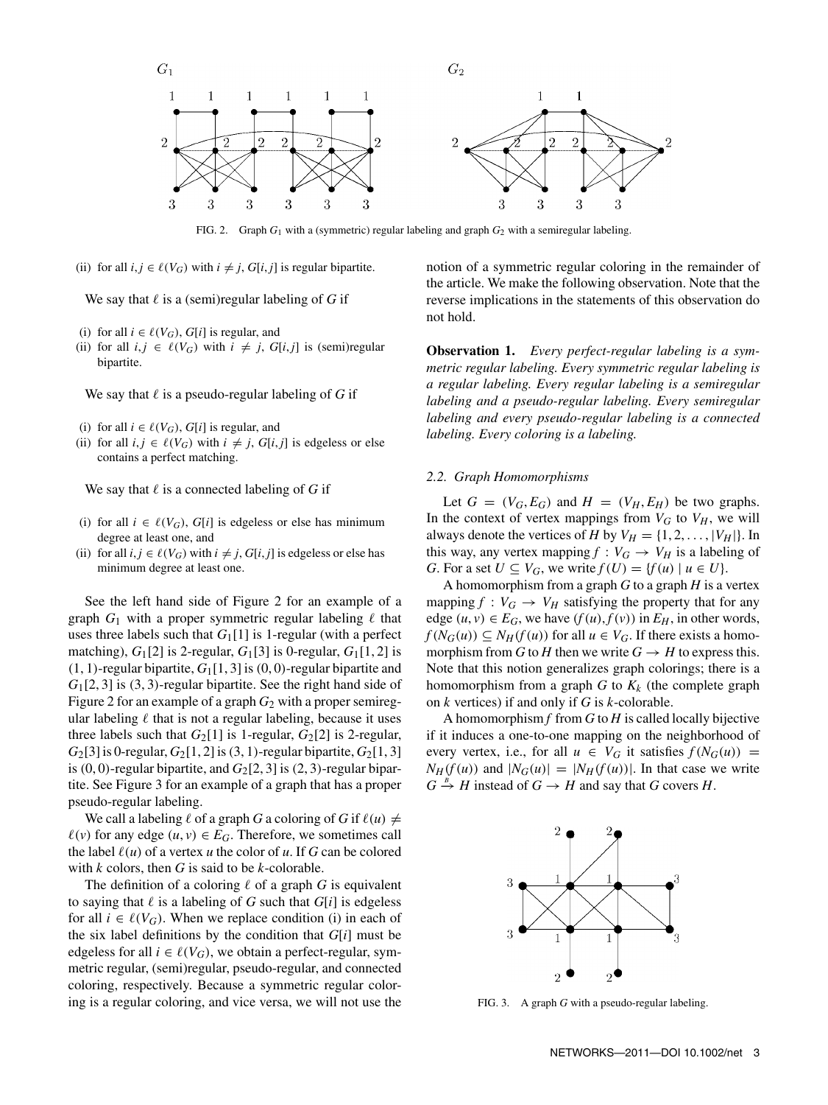

FIG. 2. Graph *G*<sup>1</sup> with a (symmetric) regular labeling and graph *G*<sup>2</sup> with a semiregular labeling.

(ii) for all  $i, j \in \ell(V_G)$  with  $i \neq j$ ,  $G[i, j]$  is regular bipartite.

We say that  $\ell$  is a (semi)regular labeling of *G* if

- (i) for all  $i \in \ell(V_G)$ ,  $G[i]$  is regular, and
- (ii) for all  $i, j \in \ell(V_G)$  with  $i \neq j$ ,  $G[i, j]$  is (semi)regular bipartite.

We say that  $\ell$  is a pseudo-regular labeling of G if

- (i) for all  $i \in \ell(V_G)$ ,  $G[i]$  is regular, and
- (ii) for all  $i, j \in \ell(V_G)$  with  $i \neq j$ ,  $G[i, j]$  is edgeless or else contains a perfect matching.

We say that  $\ell$  is a connected labeling of *G* if

- (i) for all  $i \in \ell(V_G)$ ,  $G[i]$  is edgeless or else has minimum degree at least one, and
- (ii) for all  $i, j \in \ell(V_G)$  with  $i \neq j$ ,  $G[i, j]$  is edgeless or else has minimum degree at least one.

See the left hand side of Figure 2 for an example of a graph  $G_1$  with a proper symmetric regular labeling  $\ell$  that uses three labels such that  $G_1[1]$  is 1-regular (with a perfect matching),  $G_1[2]$  is 2-regular,  $G_1[3]$  is 0-regular,  $G_1[1, 2]$  is  $(1, 1)$ -regular bipartite,  $G_1[1, 3]$  is  $(0, 0)$ -regular bipartite and *G*1[2, 3] is (3, 3)-regular bipartite. See the right hand side of Figure 2 for an example of a graph  $G_2$  with a proper semiregular labeling  $\ell$  that is not a regular labeling, because it uses three labels such that  $G_2[1]$  is 1-regular,  $G_2[2]$  is 2-regular, *G*<sub>2</sub>[3] is 0-regular, *G*<sub>2</sub>[1, 2] is (3, 1)-regular bipartite, *G*<sub>2</sub>[1, 3] is  $(0, 0)$ -regular bipartite, and  $G_2[2, 3]$  is  $(2, 3)$ -regular bipartite. See Figure 3 for an example of a graph that has a proper pseudo-regular labeling.

We call a labeling  $\ell$  of a graph *G* a coloring of *G* if  $\ell(u) \neq$  $\ell(v)$  for any edge  $(u, v) \in E_G$ . Therefore, we sometimes call the label  $\ell(u)$  of a vertex *u* the color of *u*. If *G* can be colored with *k* colors, then *G* is said to be *k*-colorable.

The definition of a coloring  $\ell$  of a graph  $G$  is equivalent to saying that  $\ell$  is a labeling of *G* such that  $G[i]$  is edgeless for all  $i \in \ell(V_G)$ . When we replace condition (i) in each of the six label definitions by the condition that *G*[*i*] must be edgeless for all  $i \in \ell(V_G)$ , we obtain a perfect-regular, symmetric regular, (semi)regular, pseudo-regular, and connected coloring, respectively. Because a symmetric regular coloring is a regular coloring, and vice versa, we will not use the

notion of a symmetric regular coloring in the remainder of the article. We make the following observation. Note that the reverse implications in the statements of this observation do not hold.

**Observation 1.** *Every perfect-regular labeling is a symmetric regular labeling. Every symmetric regular labeling is a regular labeling. Every regular labeling is a semiregular labeling and a pseudo-regular labeling. Every semiregular labeling and every pseudo-regular labeling is a connected labeling. Every coloring is a labeling.*

#### *2.2. Graph Homomorphisms*

Let  $G = (V_G, E_G)$  and  $H = (V_H, E_H)$  be two graphs. In the context of vertex mappings from  $V_G$  to  $V_H$ , we will always denote the vertices of *H* by  $V_H = \{1, 2, ..., |V_H|\}$ . In this way, any vertex mapping  $f : V_G \to V_H$  is a labeling of *G*. For a set  $U \subseteq V_G$ , we write  $f(U) = \{f(u) \mid u \in U\}$ .

A homomorphism from a graph *G* to a graph *H* is a vertex mapping  $f : V_G \to V_H$  satisfying the property that for any edge  $(u, v) \in E_G$ , we have  $(f(u), f(v))$  in  $E_H$ , in other words,  $f(N_G(u)) \subseteq N_H(f(u))$  for all  $u \in V_G$ . If there exists a homomorphism from *G* to *H* then we write  $G \rightarrow H$  to express this. Note that this notion generalizes graph colorings; there is a homomorphism from a graph  $G$  to  $K_k$  (the complete graph on *k* vertices) if and only if *G* is *k*-colorable.

A homomorphism *f* from *G* to *H* is called locally bijective if it induces a one-to-one mapping on the neighborhood of every vertex, i.e., for all  $u \in V_G$  it satisfies  $f(N_G(u)) =$  $N_H(f(u))$  and  $|N_G(u)|=|N_H(f(u))|$ . In that case we write  $G \stackrel{B}{\to} H$  instead of  $G \to H$  and say that *G* covers *H*.



FIG. 3. A graph *G* with a pseudo-regular labeling.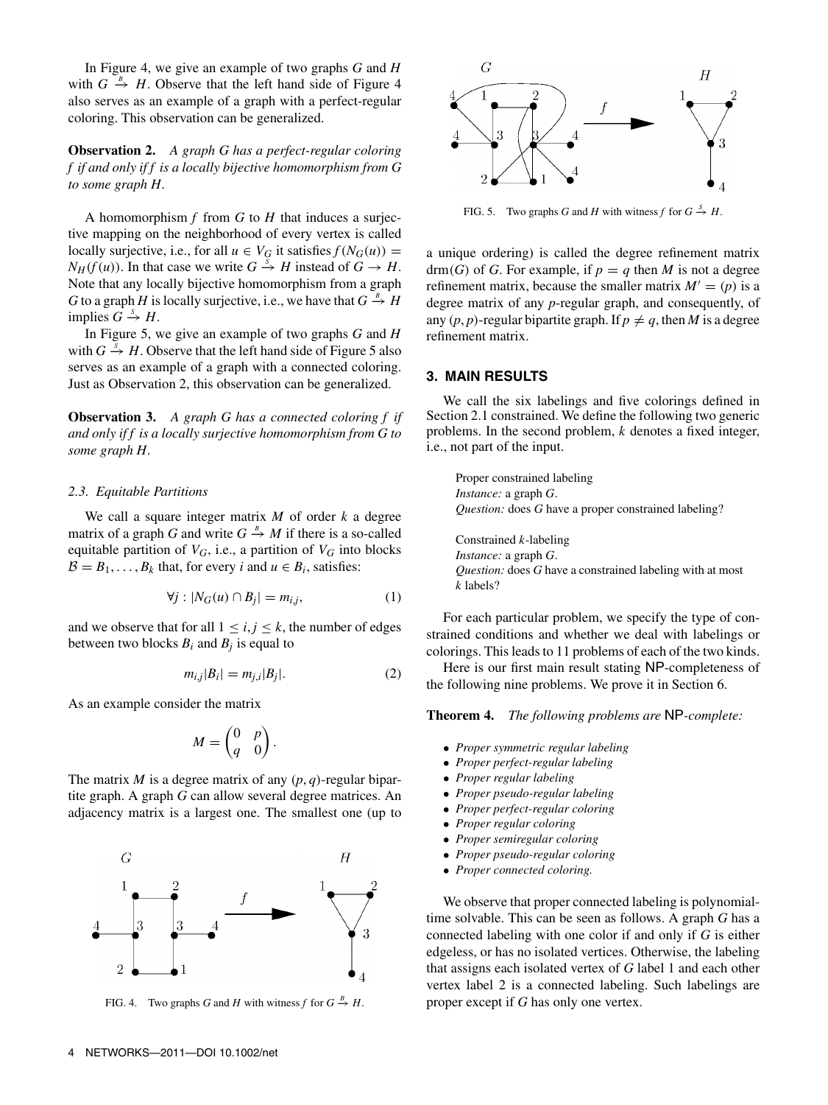In Figure 4, we give an example of two graphs *G* and *H* with  $G \stackrel{B}{\rightarrow} H$ . Observe that the left hand side of Figure 4 also serves as an example of a graph with a perfect-regular coloring. This observation can be generalized.

**Observation 2.** *A graph G has a perfect-regular coloring f if and only if f is a locally bijective homomorphism from G to some graph H.*

A homomorphism *f* from *G* to *H* that induces a surjective mapping on the neighborhood of every vertex is called locally surjective, i.e., for all  $u \in V_G$  it satisfies  $f(N_G(u)) =$ *N<sub>H</sub>*(*f*(*u*)). In that case we write  $G \stackrel{s}{\rightarrow} H$  instead of  $G \rightarrow H$ . Note that any locally bijective homomorphism from a graph *G* to a graph *H* is locally surjective, i.e., we have that  $G \stackrel{B}{\rightarrow} H$ implies  $G \stackrel{s}{\rightarrow} H$ .

In Figure 5, we give an example of two graphs *G* and *H* with  $G \stackrel{s}{\rightarrow} H$ . Observe that the left hand side of Figure 5 also serves as an example of a graph with a connected coloring. Just as Observation 2, this observation can be generalized.

**Observation 3.** *A graph G has a connected coloring f if and only if f is a locally surjective homomorphism from G to some graph H.*

#### *2.3. Equitable Partitions*

We call a square integer matrix *M* of order *k* a degree matrix of a graph *G* and write  $G \stackrel{B}{\rightarrow} M$  if there is a so-called equitable partition of  $V_G$ , i.e., a partition of  $V_G$  into blocks  $B = B_1, \ldots, B_k$  that, for every *i* and  $u \in B_i$ , satisfies:

$$
\forall j : |N_G(u) \cap B_j| = m_{i,j},\tag{1}
$$

and we observe that for all  $1 \le i, j \le k$ , the number of edges between two blocks  $B_i$  and  $B_j$  is equal to

$$
m_{i,j}|B_i| = m_{j,i}|B_j|.\tag{2}
$$

As an example consider the matrix

$$
M = \begin{pmatrix} 0 & p \\ q & 0 \end{pmatrix}.
$$

The matrix *M* is a degree matrix of any (*p*, *q*)-regular bipartite graph. A graph *G* can allow several degree matrices. An adjacency matrix is a largest one. The smallest one (up to



FIG. 4. Two graphs *G* and *H* with witness *f* for  $G \stackrel{B}{\to} H$ .



FIG. 5. Two graphs *G* and *H* with witness *f* for  $G \stackrel{S}{\to} H$ .

a unique ordering) is called the degree refinement matrix drm(*G*) of *G*. For example, if  $p = q$  then *M* is not a degree refinement matrix, because the smaller matrix  $M' = (p)$  is a degree matrix of any *p*-regular graph, and consequently, of any  $(p, p)$ -regular bipartite graph. If  $p \neq q$ , then *M* is a degree refinement matrix.

## **3. MAIN RESULTS**

We call the six labelings and five colorings defined in Section 2.1 constrained. We define the following two generic problems. In the second problem, *k* denotes a fixed integer, i.e., not part of the input.

Proper constrained labeling *Instance:* a graph *G*. *Question:* does *G* have a proper constrained labeling?

Constrained *k*-labeling *Instance:* a graph *G*. *Question:* does *G* have a constrained labeling with at most *k* labels?

For each particular problem, we specify the type of constrained conditions and whether we deal with labelings or colorings. This leads to 11 problems of each of the two kinds.

Here is our first main result stating NP-completeness of the following nine problems. We prove it in Section 6.

**Theorem 4.** *The following problems are* NP*-complete:*

- *Proper symmetric regular labeling*
- *Proper perfect-regular labeling*
- *Proper regular labeling*
- *Proper pseudo-regular labeling*
- *Proper perfect-regular coloring*
- *Proper regular coloring*
- *Proper semiregular coloring*
- *Proper pseudo-regular coloring*
- *Proper connected coloring.*

We observe that proper connected labeling is polynomialtime solvable. This can be seen as follows. A graph *G* has a connected labeling with one color if and only if *G* is either edgeless, or has no isolated vertices. Otherwise, the labeling that assigns each isolated vertex of *G* label 1 and each other vertex label 2 is a connected labeling. Such labelings are proper except if *G* has only one vertex.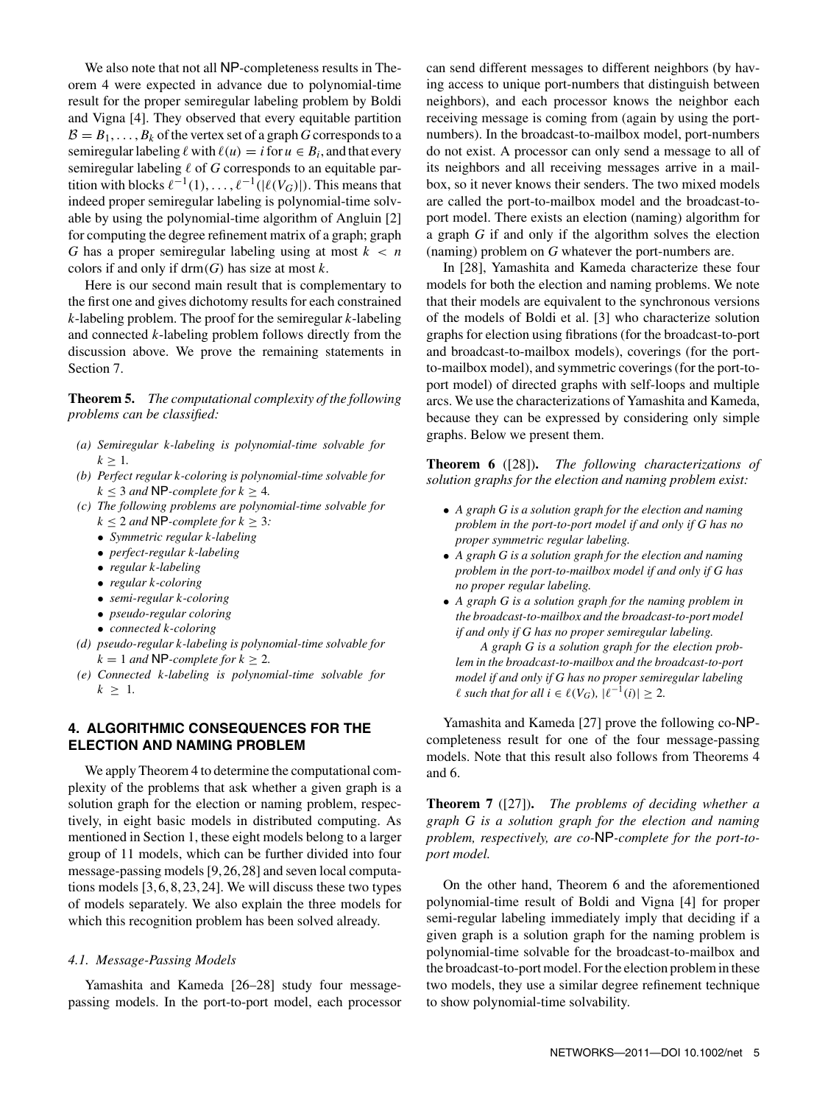We also note that not all NP-completeness results in Theorem 4 were expected in advance due to polynomial-time result for the proper semiregular labeling problem by Boldi and Vigna [4]. They observed that every equitable partition  $B = B_1, \ldots, B_k$  of the vertex set of a graph *G* corresponds to a semiregular labeling  $\ell$  with  $\ell(u) = i$  for  $u \in B_i$ , and that every semiregular labeling  $\ell$  of  $G$  corresponds to an equitable partition with blocks  $\ell^{-1}(1), \ldots, \ell^{-1}(|\ell(V_G)|)$ . This means that indeed proper semiregular labeling is polynomial-time solvable by using the polynomial-time algorithm of Angluin [2] for computing the degree refinement matrix of a graph; graph *G* has a proper semiregular labeling using at most *k* < *n* colors if and only if drm(*G*) has size at most *k*.

Here is our second main result that is complementary to the first one and gives dichotomy results for each constrained *k*-labeling problem. The proof for the semiregular *k*-labeling and connected *k*-labeling problem follows directly from the discussion above. We prove the remaining statements in Section 7.

**Theorem 5.** *The computational complexity of the following problems can be classified:*

- *(a) Semiregular k-labeling is polynomial-time solvable for*  $k > 1$ .
- *(b) Perfect regular k-coloring is polynomial-time solvable for*  $k \leq 3$  *and* **NP**-complete for  $k \geq 4$ .
- *(c) The following problems are polynomial-time solvable for*  $k \leq 2$  *and* **NP**-complete for  $k \geq 3$ *:* 
	- *Symmetric regular k-labeling*
	- *perfect-regular k-labeling*
	- *regular k-labeling*
	- *regular k-coloring*
	- *semi-regular k-coloring*
	- *pseudo-regular coloring*
	- *connected k-coloring*
- *(d) pseudo-regular k-labeling is polynomial-time solvable for*  $k = 1$  *and* **NP**-complete for  $k > 2$ .
- *(e) Connected k-labeling is polynomial-time solvable for*  $k \geq 1$ .

# **4. ALGORITHMIC CONSEQUENCES FOR THE ELECTION AND NAMING PROBLEM**

We apply Theorem 4 to determine the computational complexity of the problems that ask whether a given graph is a solution graph for the election or naming problem, respectively, in eight basic models in distributed computing. As mentioned in Section 1, these eight models belong to a larger group of 11 models, which can be further divided into four message-passing models [9, 26, 28] and seven local computations models [3, 6, 8, 23, 24]. We will discuss these two types of models separately. We also explain the three models for which this recognition problem has been solved already.

#### *4.1. Message-Passing Models*

Yamashita and Kameda [26–28] study four messagepassing models. In the port-to-port model, each processor can send different messages to different neighbors (by having access to unique port-numbers that distinguish between neighbors), and each processor knows the neighbor each receiving message is coming from (again by using the portnumbers). In the broadcast-to-mailbox model, port-numbers do not exist. A processor can only send a message to all of its neighbors and all receiving messages arrive in a mailbox, so it never knows their senders. The two mixed models are called the port-to-mailbox model and the broadcast-toport model. There exists an election (naming) algorithm for a graph *G* if and only if the algorithm solves the election (naming) problem on *G* whatever the port-numbers are.

In [28], Yamashita and Kameda characterize these four models for both the election and naming problems. We note that their models are equivalent to the synchronous versions of the models of Boldi et al. [3] who characterize solution graphs for election using fibrations (for the broadcast-to-port and broadcast-to-mailbox models), coverings (for the portto-mailbox model), and symmetric coverings (for the port-toport model) of directed graphs with self-loops and multiple arcs. We use the characterizations of Yamashita and Kameda, because they can be expressed by considering only simple graphs. Below we present them.

**Theorem 6** ([28])**.** *The following characterizations of solution graphs for the election and naming problem exist:*

- *A graph G is a solution graph for the election and naming problem in the port-to-port model if and only if G has no proper symmetric regular labeling.*
- *A graph G is a solution graph for the election and naming problem in the port-to-mailbox model if and only if G has no proper regular labeling.*
- *A graph G is a solution graph for the naming problem in the broadcast-to-mailbox and the broadcast-to-port model if and only if G has no proper semiregular labeling.*

*A graph G is a solution graph for the election problem in the broadcast-to-mailbox and the broadcast-to-port model if and only if G has no proper semiregular labeling l* such that for all  $i \in l(V_G)$ ,  $|l^{-1}(i)| \geq 2$ .

Yamashita and Kameda [27] prove the following co-NPcompleteness result for one of the four message-passing models. Note that this result also follows from Theorems 4 and 6.

**Theorem 7** ([27])**.** *The problems of deciding whether a graph G is a solution graph for the election and naming problem, respectively, are co-*NP*-complete for the port-toport model.*

On the other hand, Theorem 6 and the aforementioned polynomial-time result of Boldi and Vigna [4] for proper semi-regular labeling immediately imply that deciding if a given graph is a solution graph for the naming problem is polynomial-time solvable for the broadcast-to-mailbox and the broadcast-to-port model. For the election problem in these two models, they use a similar degree refinement technique to show polynomial-time solvability.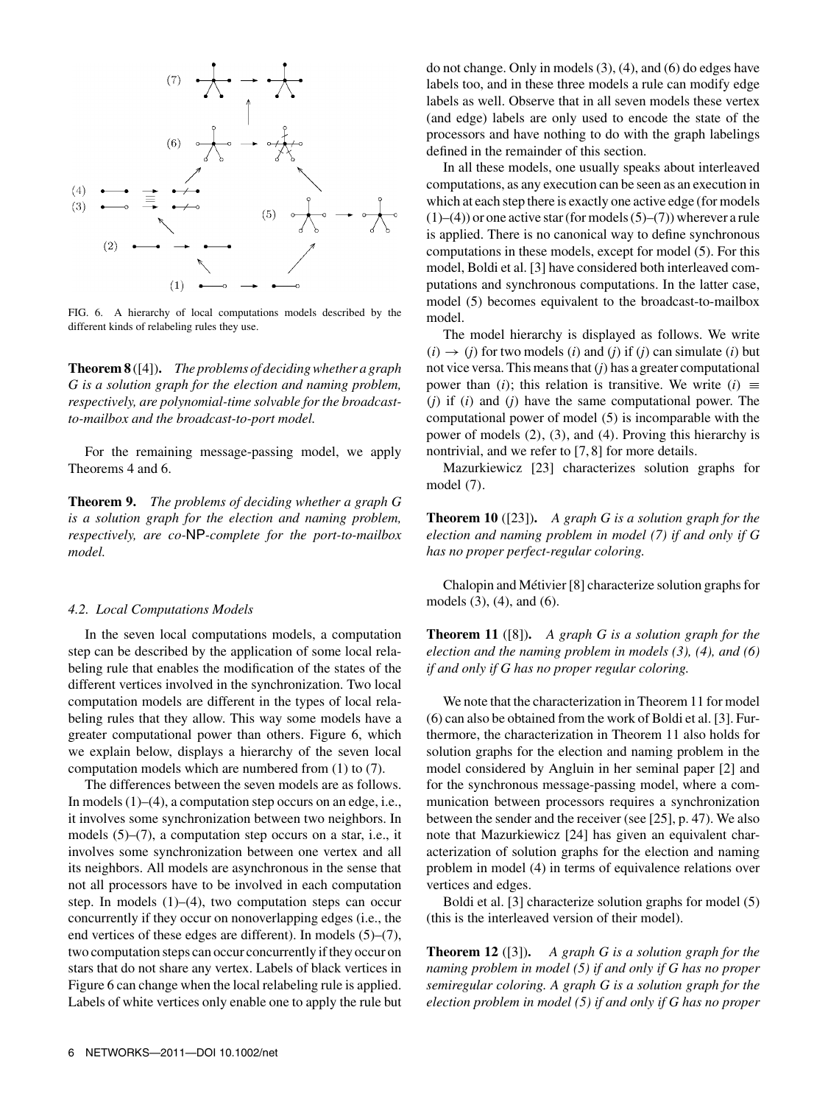

FIG. 6. A hierarchy of local computations models described by the different kinds of relabeling rules they use.

**Theorem 8** ([4])**.** *The problems of deciding whether a graph G is a solution graph for the election and naming problem, respectively, are polynomial-time solvable for the broadcastto-mailbox and the broadcast-to-port model.*

For the remaining message-passing model, we apply Theorems 4 and 6.

**Theorem 9.** *The problems of deciding whether a graph G is a solution graph for the election and naming problem, respectively, are co-*NP*-complete for the port-to-mailbox model.*

#### *4.2. Local Computations Models*

In the seven local computations models, a computation step can be described by the application of some local relabeling rule that enables the modification of the states of the different vertices involved in the synchronization. Two local computation models are different in the types of local relabeling rules that they allow. This way some models have a greater computational power than others. Figure 6, which we explain below, displays a hierarchy of the seven local computation models which are numbered from (1) to (7).

The differences between the seven models are as follows. In models (1)–(4), a computation step occurs on an edge, i.e., it involves some synchronization between two neighbors. In models (5)–(7), a computation step occurs on a star, i.e., it involves some synchronization between one vertex and all its neighbors. All models are asynchronous in the sense that not all processors have to be involved in each computation step. In models  $(1)$ – $(4)$ , two computation steps can occur concurrently if they occur on nonoverlapping edges (i.e., the end vertices of these edges are different). In models (5)–(7), two computation steps can occur concurrently if they occur on stars that do not share any vertex. Labels of black vertices in Figure 6 can change when the local relabeling rule is applied. Labels of white vertices only enable one to apply the rule but do not change. Only in models (3), (4), and (6) do edges have labels too, and in these three models a rule can modify edge labels as well. Observe that in all seven models these vertex (and edge) labels are only used to encode the state of the processors and have nothing to do with the graph labelings defined in the remainder of this section.

In all these models, one usually speaks about interleaved computations, as any execution can be seen as an execution in which at each step there is exactly one active edge (for models  $(1)$ – $(4)$ ) or one active star (for models  $(5)$ – $(7)$ ) wherever a rule is applied. There is no canonical way to define synchronous computations in these models, except for model (5). For this model, Boldi et al. [3] have considered both interleaved computations and synchronous computations. In the latter case, model (5) becomes equivalent to the broadcast-to-mailbox model.

The model hierarchy is displayed as follows. We write  $(i) \rightarrow (j)$  for two models  $(i)$  and  $(j)$  if  $(j)$  can simulate  $(i)$  but not vice versa. This means that  $(j)$  has a greater computational power than (*i*); this relation is transitive. We write (*i*)  $\equiv$ (*j*) if (*i*) and (*j*) have the same computational power. The computational power of model (5) is incomparable with the power of models (2), (3), and (4). Proving this hierarchy is nontrivial, and we refer to [7, 8] for more details.

Mazurkiewicz [23] characterizes solution graphs for model (7).

**Theorem 10** ([23])**.** *A graph G is a solution graph for the election and naming problem in model (7) if and only if G has no proper perfect-regular coloring.*

Chalopin and Métivier [8] characterize solution graphs for models (3), (4), and (6).

**Theorem 11** ([8])**.** *A graph G is a solution graph for the election and the naming problem in models (3), (4), and (6) if and only if G has no proper regular coloring.*

We note that the characterization in Theorem 11 for model (6) can also be obtained from the work of Boldi et al. [3]. Furthermore, the characterization in Theorem 11 also holds for solution graphs for the election and naming problem in the model considered by Angluin in her seminal paper [2] and for the synchronous message-passing model, where a communication between processors requires a synchronization between the sender and the receiver (see [25], p. 47). We also note that Mazurkiewicz [24] has given an equivalent characterization of solution graphs for the election and naming problem in model (4) in terms of equivalence relations over vertices and edges.

Boldi et al. [3] characterize solution graphs for model (5) (this is the interleaved version of their model).

**Theorem 12** ([3])**.** *A graph G is a solution graph for the naming problem in model (5) if and only if G has no proper semiregular coloring. A graph G is a solution graph for the election problem in model (5) if and only if G has no proper*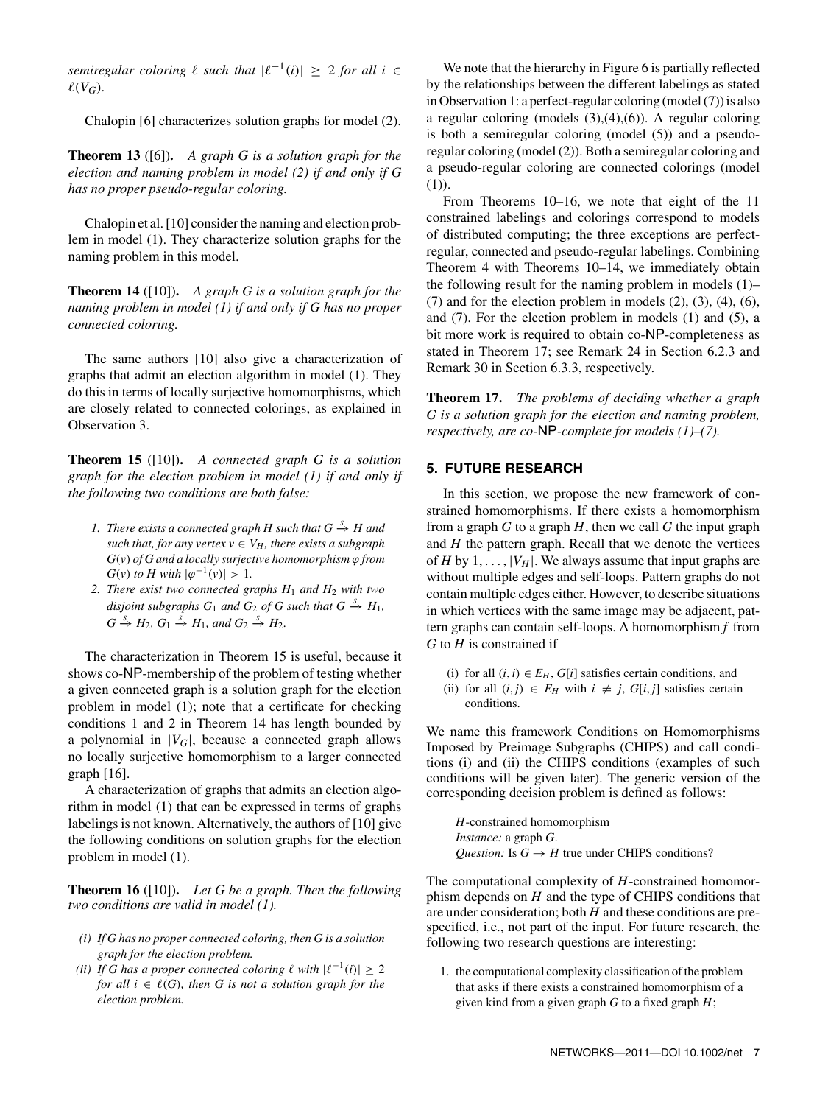*semiregular coloring*  $\ell$  *such that*  $|\ell^{-1}(i)| \geq 2$  *for all i* ∈  $\ell(V_G)$ .

Chalopin [6] characterizes solution graphs for model (2).

**Theorem 13** ([6])**.** *A graph G is a solution graph for the election and naming problem in model (2) if and only if G has no proper pseudo-regular coloring.*

Chalopin et al. [10] consider the naming and election problem in model (1). They characterize solution graphs for the naming problem in this model.

**Theorem 14** ([10])**.** *A graph G is a solution graph for the naming problem in model (1) if and only if G has no proper connected coloring.*

The same authors [10] also give a characterization of graphs that admit an election algorithm in model (1). They do this in terms of locally surjective homomorphisms, which are closely related to connected colorings, as explained in Observation 3.

**Theorem 15** ([10])**.** *A connected graph G is a solution graph for the election problem in model (1) if and only if the following two conditions are both false:*

- *1. There exists a connected graph H such that*  $G \stackrel{S}{\rightarrow} H$  *and such that, for any vertex*  $v \in V_H$ *, there exists a subgraph*  $G(v)$  *of G and a locally surjective homomorphism*  $\varphi$  *from G*(*v*) *to H* with  $|\varphi^{-1}(v)| > 1$ .
- *2. There exist two connected graphs H*<sup>1</sup> *and H*<sup>2</sup> *with two disjoint subgraphs*  $G_1$  *and*  $G_2$  *of*  $G$  *such that*  $G \stackrel{S}{\rightarrow} H_1$ *,*  $G \stackrel{S}{\rightarrow} H_2$ ,  $G_1 \stackrel{S}{\rightarrow} H_1$ , and  $G_2 \stackrel{S}{\rightarrow} H_2$ .

The characterization in Theorem 15 is useful, because it shows co-NP-membership of the problem of testing whether a given connected graph is a solution graph for the election problem in model (1); note that a certificate for checking conditions 1 and 2 in Theorem 14 has length bounded by a polynomial in  $|V_G|$ , because a connected graph allows no locally surjective homomorphism to a larger connected graph [16].

A characterization of graphs that admits an election algorithm in model (1) that can be expressed in terms of graphs labelings is not known. Alternatively, the authors of [10] give the following conditions on solution graphs for the election problem in model (1).

**Theorem 16** ([10])**.** *Let G be a graph. Then the following two conditions are valid in model (1).*

- *(i) If G has no proper connected coloring, then G is a solution graph for the election problem.*
- *(ii) If G has a proper connected coloring*  $\ell$  *with*  $|\ell^{-1}(i)| \geq 2$ *for all*  $i \in \ell(G)$ *, then G is not a solution graph for the election problem.*

We note that the hierarchy in Figure 6 is partially reflected by the relationships between the different labelings as stated in Observation 1: a perfect-regular coloring (model (7)) is also a regular coloring (models  $(3)$ , $(4)$ , $(6)$ ). A regular coloring is both a semiregular coloring (model (5)) and a pseudoregular coloring (model (2)). Both a semiregular coloring and a pseudo-regular coloring are connected colorings (model (1)).

From Theorems 10–16, we note that eight of the 11 constrained labelings and colorings correspond to models of distributed computing; the three exceptions are perfectregular, connected and pseudo-regular labelings. Combining Theorem 4 with Theorems 10–14, we immediately obtain the following result for the naming problem in models (1)–  $(7)$  and for the election problem in models  $(2)$ ,  $(3)$ ,  $(4)$ ,  $(6)$ , and (7). For the election problem in models (1) and (5), a bit more work is required to obtain co-NP-completeness as stated in Theorem 17; see Remark 24 in Section 6.2.3 and Remark 30 in Section 6.3.3, respectively.

**Theorem 17.** *The problems of deciding whether a graph G is a solution graph for the election and naming problem, respectively, are co-*NP*-complete for models (1)–(7).*

# **5. FUTURE RESEARCH**

In this section, we propose the new framework of constrained homomorphisms. If there exists a homomorphism from a graph *G* to a graph *H*, then we call *G* the input graph and *H* the pattern graph. Recall that we denote the vertices of *H* by  $1, \ldots, |V_H|$ . We always assume that input graphs are without multiple edges and self-loops. Pattern graphs do not contain multiple edges either. However, to describe situations in which vertices with the same image may be adjacent, pattern graphs can contain self-loops. A homomorphism *f* from *G* to *H* is constrained if

- (i) for all  $(i, i) \in E_H$ ,  $G[i]$  satisfies certain conditions, and
- (ii) for all  $(i, j) \in E_H$  with  $i \neq j$ ,  $G[i, j]$  satisfies certain conditions.

We name this framework Conditions on Homomorphisms Imposed by Preimage Subgraphs (CHIPS) and call conditions (i) and (ii) the CHIPS conditions (examples of such conditions will be given later). The generic version of the corresponding decision problem is defined as follows:

*H*-constrained homomorphism *Instance:* a graph *G*. *Question:* Is  $G \rightarrow H$  true under CHIPS conditions?

The computational complexity of *H*-constrained homomorphism depends on *H* and the type of CHIPS conditions that are under consideration; both *H* and these conditions are prespecified, i.e., not part of the input. For future research, the following two research questions are interesting:

1. the computational complexity classification of the problem that asks if there exists a constrained homomorphism of a given kind from a given graph *G* to a fixed graph *H*;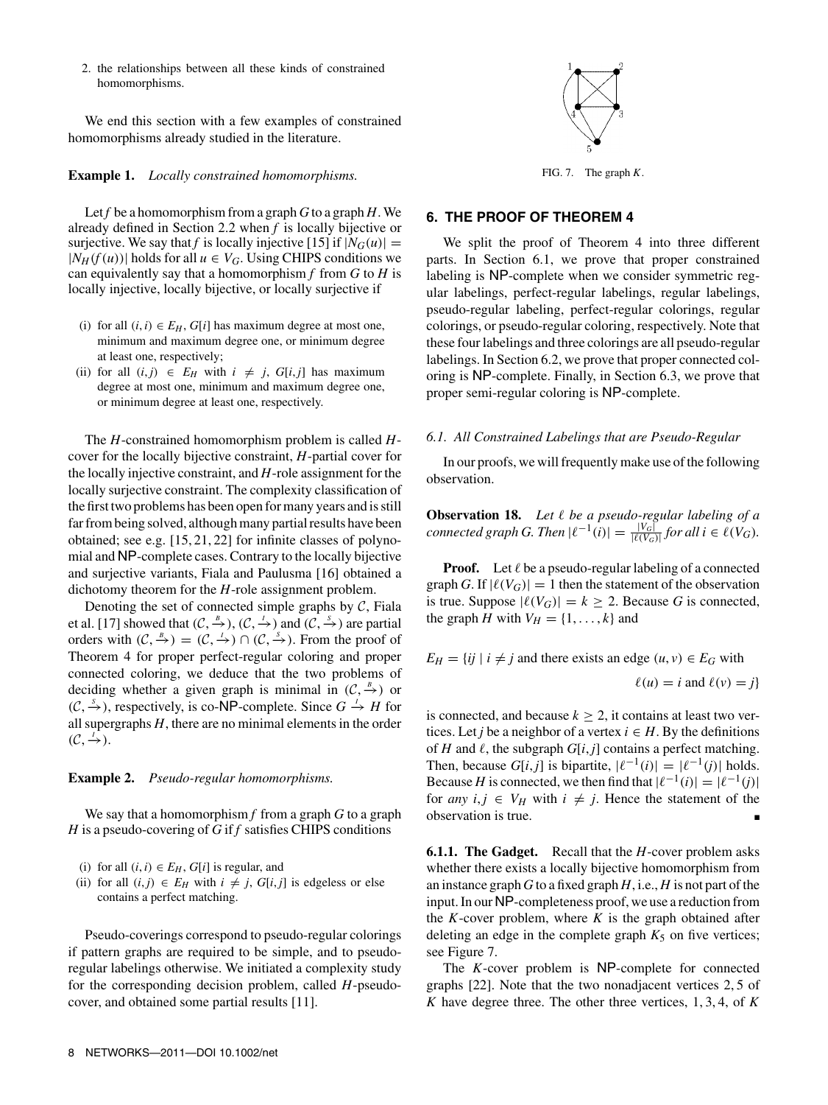2. the relationships between all these kinds of constrained homomorphisms.

We end this section with a few examples of constrained homomorphisms already studied in the literature.

#### **Example 1.** *Locally constrained homomorphisms.*

Let *f* be a homomorphism from a graph *G* to a graph *H*. We already defined in Section 2.2 when *f* is locally bijective or surjective. We say that *f* is locally injective [15] if  $|N_G(u)| =$  $|N_H(f(u))|$  holds for all  $u \in V_G$ . Using CHIPS conditions we can equivalently say that a homomorphism  $f$  from  $G$  to  $H$  is locally injective, locally bijective, or locally surjective if

- (i) for all  $(i, i) \in E_H$ ,  $G[i]$  has maximum degree at most one, minimum and maximum degree one, or minimum degree at least one, respectively;
- (ii) for all  $(i, j) \in E_H$  with  $i \neq j$ ,  $G[i, j]$  has maximum degree at most one, minimum and maximum degree one, or minimum degree at least one, respectively.

The *H*-constrained homomorphism problem is called *H*cover for the locally bijective constraint, *H*-partial cover for the locally injective constraint, and *H*-role assignment for the locally surjective constraint. The complexity classification of the first two problems has been open for many years and is still far from being solved, although many partial results have been obtained; see e.g. [15, 21, 22] for infinite classes of polynomial and NP-complete cases. Contrary to the locally bijective and surjective variants, Fiala and Paulusma [16] obtained a dichotomy theorem for the *H*-role assignment problem.

Denoting the set of connected simple graphs by  $C$ , Fiala et al. [17] showed that  $(C, \xrightarrow{B} ), (C, \xrightarrow{I})$  and  $(C, \xrightarrow{S} )$  are partial orders with  $(C, \stackrel{B}{\rightarrow}) = (C, \stackrel{I}{\rightarrow}) \cap (C, \stackrel{S}{\rightarrow})$ . From the proof of Theorem 4 for proper perfect-regular coloring and proper connected coloring, we deduce that the two problems of deciding whether a given graph is minimal in  $(C, \frac{B}{\epsilon})$  or  $(C, \stackrel{s}{\rightarrow} )$ , respectively, is co-NP-complete. Since *G*  $\stackrel{1}{\rightarrow}$  *H* for all supergraphs *H*, there are no minimal elements in the order  $(\mathcal{C}, \stackrel{I}{\rightarrow}).$ 

#### **Example 2.** *Pseudo-regular homomorphisms.*

We say that a homomorphism *f* from a graph *G* to a graph *H* is a pseudo-covering of *G* if *f* satisfies CHIPS conditions

- (*i*) for all  $(i, i) \in E_H$ ,  $G[i]$  is regular, and
- (ii) for all  $(i, j) \in E_H$  with  $i \neq j$ ,  $G[i, j]$  is edgeless or else contains a perfect matching.

Pseudo-coverings correspond to pseudo-regular colorings if pattern graphs are required to be simple, and to pseudoregular labelings otherwise. We initiated a complexity study for the corresponding decision problem, called *H*-pseudocover, and obtained some partial results [11].



FIG. 7. The graph *K*.

#### **6. THE PROOF OF THEOREM 4**

We split the proof of Theorem 4 into three different parts. In Section 6.1, we prove that proper constrained labeling is NP-complete when we consider symmetric regular labelings, perfect-regular labelings, regular labelings, pseudo-regular labeling, perfect-regular colorings, regular colorings, or pseudo-regular coloring, respectively. Note that these four labelings and three colorings are all pseudo-regular labelings. In Section 6.2, we prove that proper connected coloring is NP-complete. Finally, in Section 6.3, we prove that proper semi-regular coloring is NP-complete.

#### *6.1. All Constrained Labelings that are Pseudo-Regular*

In our proofs, we will frequently make use of the following observation.

**Observation 18.** *Let* ! *be a pseudo-regular labeling of a connected graph G. Then*  $|\ell^{-1}(i)| = \frac{|V_G|}{|\ell(V_G)|}$  *for all*  $i \in \ell(V_G)$ *.* 

**Proof.** Let  $\ell$  be a pseudo-regular labeling of a connected graph *G*. If  $|\ell(V_G)| = 1$  then the statement of the observation is true. Suppose  $|\ell(V_G)| = k \ge 2$ . Because *G* is connected, the graph *H* with  $V_H = \{1, \ldots, k\}$  and

 $E_H = \{ij \mid i \neq j \text{ and there exists an edge } (u, v) \in E_G \text{ with }$  $\ell(u) = i$  and  $\ell(v) = j$ 

is connected, and because  $k \geq 2$ , it contains at least two vertices. Let *j* be a neighbor of a vertex  $i \in H$ . By the definitions of *H* and  $\ell$ , the subgraph *G*[*i*, *j*] contains a perfect matching. Then, because *G*[*i*,*j*] is bipartite,  $|\ell^{-1}(i)| = |\ell^{-1}(j)|$  holds. Because *H* is connected, we then find that  $|\ell^{-1}(i)| = |\ell^{-1}(j)|$ for *any*  $i, j \in V_H$  with  $i \neq j$ . Hence the statement of the observation is true.

**6.1.1. The Gadget.** Recall that the *H*-cover problem asks whether there exists a locally bijective homomorphism from an instance graph *G* to a fixed graph *H*, i.e., *H* is not part of the input. In our NP-completeness proof, we use a reduction from the  $K$ -cover problem, where  $K$  is the graph obtained after deleting an edge in the complete graph  $K_5$  on five vertices; see Figure 7.

The *K*-cover problem is NP-complete for connected graphs [22]. Note that the two nonadjacent vertices 2, 5 of *K* have degree three. The other three vertices, 1, 3, 4, of *K*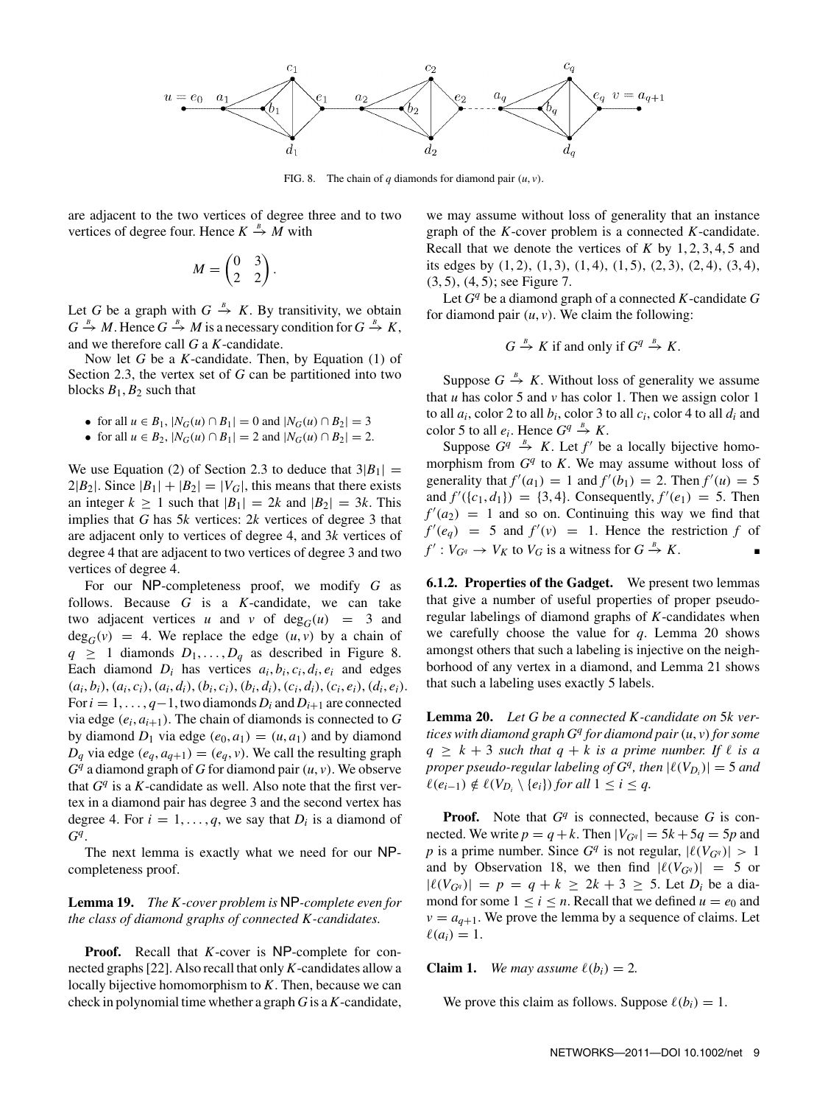

FIG. 8. The chain of  $q$  diamonds for diamond pair  $(u, v)$ .

are adjacent to the two vertices of degree three and to two vertices of degree four. Hence  $K \stackrel{B}{\rightarrow} M$  with

$$
M = \begin{pmatrix} 0 & 3 \\ 2 & 2 \end{pmatrix}.
$$

Let *G* be a graph with  $G \stackrel{B}{\rightarrow} K$ . By transitivity, we obtain  $G \stackrel{B}{\to} M$ . Hence  $G \stackrel{B}{\to} M$  is a necessary condition for  $G \stackrel{B}{\to} K$ , and we therefore call *G* a *K*-candidate.

Now let *G* be a *K*-candidate. Then, by Equation (1) of Section 2.3, the vertex set of *G* can be partitioned into two blocks  $B_1$ ,  $B_2$  such that

- for all  $u \in B_1$ ,  $|N_G(u) \cap B_1| = 0$  and  $|N_G(u) \cap B_2| = 3$
- for all  $u \in B_2$ ,  $|N_G(u) \cap B_1| = 2$  and  $|N_G(u) \cap B_2| = 2$ .

We use Equation (2) of Section 2.3 to deduce that  $3|B_1|$  =  $2|B_2|$ . Since  $|B_1|+|B_2|=|V_G|$ , this means that there exists an integer  $k \ge 1$  such that  $|B_1| = 2k$  and  $|B_2| = 3k$ . This implies that *G* has 5*k* vertices: 2*k* vertices of degree 3 that are adjacent only to vertices of degree 4, and 3*k* vertices of degree 4 that are adjacent to two vertices of degree 3 and two vertices of degree 4.

For our NP-completeness proof, we modify *G* as follows. Because *G* is a *K*-candidate, we can take two adjacent vertices *u* and *v* of  $deg_G(u) = 3$  and  $deg_G(v) = 4$ . We replace the edge  $(u, v)$  by a chain of  $q \geq 1$  diamonds  $D_1, \ldots, D_q$  as described in Figure 8. Each diamond  $D_i$  has vertices  $a_i, b_i, c_i, d_i, e_i$  and edges  $(a_i, b_i), (a_i, c_i), (a_i, d_i), (b_i, c_i), (b_i, d_i), (c_i, d_i), (c_i, e_i), (d_i, e_i).$ For  $i = 1, \ldots, q-1$ , two diamonds  $D_i$  and  $D_{i+1}$  are connected via edge  $(e_i, a_{i+1})$ . The chain of diamonds is connected to *G* by diamond  $D_1$  via edge  $(e_0, a_1) = (u, a_1)$  and by diamond  $D_q$  via edge  $(e_q, a_{q+1}) = (e_q, v)$ . We call the resulting graph *Gq* a diamond graph of *G* for diamond pair (*u*, *v*). We observe that  $G<sup>q</sup>$  is a *K*-candidate as well. Also note that the first vertex in a diamond pair has degree 3 and the second vertex has degree 4. For  $i = 1, \ldots, q$ , we say that  $D_i$  is a diamond of *Gq*.

The next lemma is exactly what we need for our NPcompleteness proof.

## **Lemma 19.** *The K -cover problem is* NP*-complete even for the class of diamond graphs of connected K -candidates.*

**Proof.** Recall that *K*-cover is NP-complete for connected graphs [22]. Also recall that only*K*-candidates allow a locally bijective homomorphism to *K*. Then, because we can check in polynomial time whether a graph *G* is a*K*-candidate,

we may assume without loss of generality that an instance graph of the *K*-cover problem is a connected *K*-candidate. Recall that we denote the vertices of *K* by 1, 2, 3, 4, 5 and its edges by  $(1, 2), (1, 3), (1, 4), (1, 5), (2, 3), (2, 4), (3, 4),$ (3, 5), (4, 5); see Figure 7.

Let *G<sup>q</sup>* be a diamond graph of a connected *K*-candidate *G* for diamond pair  $(u, v)$ . We claim the following:

$$
G \stackrel{B}{\to} K \text{ if and only if } G^q \stackrel{B}{\to} K.
$$

Suppose  $G \stackrel{B}{\to} K$ . Without loss of generality we assume that  $u$  has color 5 and  $v$  has color 1. Then we assign color 1 to all  $a_i$ , color 2 to all  $b_i$ , color 3 to all  $c_i$ , color 4 to all  $d_i$  and color 5 to all  $e_i$ . Hence  $G^q \stackrel{B}{\rightarrow} K$ .

Suppose  $G^q \xrightarrow{B} K$ . Let  $f'$  be a locally bijective homomorphism from  $G<sup>q</sup>$  to *K*. We may assume without loss of generality that  $f'(a_1) = 1$  and  $f'(b_1) = 2$ . Then  $f'(u) = 5$ and  $f'(\{c_1, d_1\}) = \{3, 4\}$ . Consequently,  $f'(e_1) = 5$ . Then  $f'(a_2) = 1$  and so on. Continuing this way we find that  $f'(e_q) = 5$  and  $f'(v) = 1$ . Hence the restriction *f* of  $f' : V_{G} \to V_K$  to  $V_G$  is a witness for  $G \stackrel{B}{\to} K$ .

**6.1.2. Properties of the Gadget.** We present two lemmas that give a number of useful properties of proper pseudoregular labelings of diamond graphs of *K*-candidates when we carefully choose the value for *q*. Lemma 20 shows amongst others that such a labeling is injective on the neighborhood of any vertex in a diamond, and Lemma 21 shows that such a labeling uses exactly 5 labels.

**Lemma 20.** *Let G be a connected K -candidate on* 5*k vertices with diamond graph G<sup>q</sup> for diamond pair*(*u*, *v*)*for some*  $q \geq k + 3$  *such that*  $q + k$  *is a prime number. If*  $\ell$  *is a proper pseudo-regular labeling of*  $G<sup>q</sup>$ *, then*  $|\ell(V_{D_i})| = 5$  *and*  $\ell(e_{i-1}) \notin \ell(V_{D_i} \setminus \{e_i\})$  *for all*  $1 \leq i \leq q$ .

**Proof.** Note that *G<sup>q</sup>* is connected, because *G* is connected. We write  $p = q + k$ . Then  $|V_{Gq}| = 5k + 5q = 5p$  and *p* is a prime number. Since  $G<sup>q</sup>$  is not regular,  $|\ell(V_{G<sup>q</sup>})| > 1$ and by Observation 18, we then find  $|\ell(V_{Gq})| = 5$  or  $|\ell(V_{G}q)| = p = q + k \geq 2k + 3 \geq 5$ . Let  $D_i$  be a diamond for some  $1 \le i \le n$ . Recall that we defined  $u = e_0$  and  $v = a_{q+1}$ . We prove the lemma by a sequence of claims. Let  $\ell(a_i) = 1.$ 

#### **Claim 1.** *We may assume*  $\ell(b_i) = 2$ *.*

We prove this claim as follows. Suppose  $\ell(b_i) = 1$ .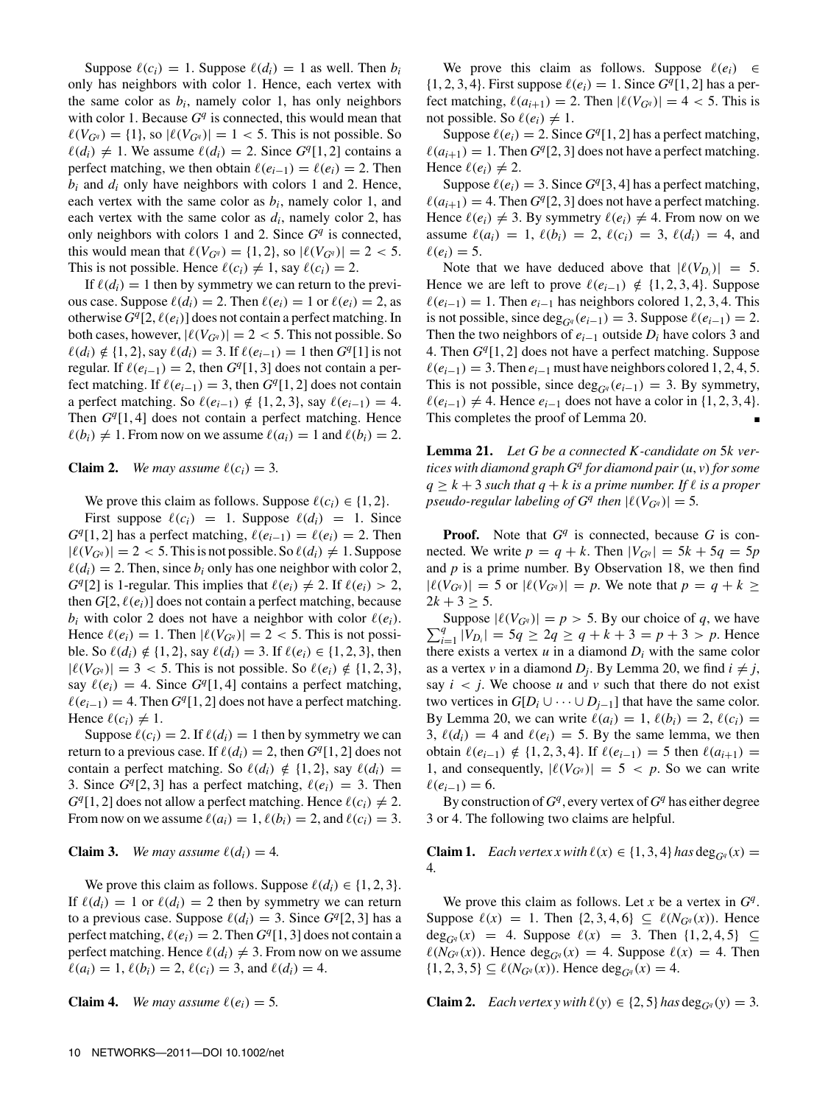Suppose  $\ell(c_i) = 1$ . Suppose  $\ell(d_i) = 1$  as well. Then  $b_i$ only has neighbors with color 1. Hence, each vertex with the same color as  $b_i$ , namely color 1, has only neighbors with color 1. Because  $G<sup>q</sup>$  is connected, this would mean that  $\ell(V_{Gq}) = \{1\}$ , so  $|\ell(V_{Gq})| = 1 < 5$ . This is not possible. So  $\ell(d_i) \neq 1$ . We assume  $\ell(d_i) = 2$ . Since  $G<sup>q</sup>[1, 2]$  contains a perfect matching, we then obtain  $\ell(e_{i-1}) = \ell(e_i) = 2$ . Then  $b_i$  and  $d_i$  only have neighbors with colors 1 and 2. Hence, each vertex with the same color as *bi*, namely color 1, and each vertex with the same color as  $d_i$ , namely color 2, has only neighbors with colors 1 and 2. Since  $G<sup>q</sup>$  is connected, this would mean that  $\ell(V_{Gq}) = \{1, 2\}$ , so  $|\ell(V_{Gq})| = 2 < 5$ . This is not possible. Hence  $\ell(c_i) \neq 1$ , say  $\ell(c_i) = 2$ .

If  $\ell(d_i) = 1$  then by symmetry we can return to the previous case. Suppose  $\ell(d_i) = 2$ . Then  $\ell(e_i) = 1$  or  $\ell(e_i) = 2$ , as otherwise  $G<sup>q</sup>[2, \ell(e_i)]$  does not contain a perfect matching. In both cases, however,  $|\ell(V_{Gq})| = 2 < 5$ . This not possible. So  $\ell(d_i) \notin \{1, 2\}$ , say  $\ell(d_i) = 3$ . If  $\ell(e_{i-1}) = 1$  then  $G<sup>q</sup>[1]$  is not regular. If  $\ell(e_{i-1}) = 2$ , then  $G^{q}[1, 3]$  does not contain a perfect matching. If  $\ell(e_{i-1}) = 3$ , then  $G<sup>q</sup>[1, 2]$  does not contain a perfect matching. So  $\ell(e_{i-1}) \notin \{1, 2, 3\}$ , say  $\ell(e_{i-1}) = 4$ . Then  $G<sup>q</sup>[1, 4]$  does not contain a perfect matching. Hence  $\ell(b_i) \neq 1$ . From now on we assume  $\ell(a_i) = 1$  and  $\ell(b_i) = 2$ .

#### **Claim 2.** *We may assume*  $\ell(c_i) = 3$ *.*

We prove this claim as follows. Suppose  $\ell(c_i) \in \{1, 2\}$ .

First suppose  $\ell(c_i) = 1$ . Suppose  $\ell(d_i) = 1$ . Since  $G<sup>q</sup>[1, 2]$  has a perfect matching,  $\ell(e_{i-1}) = \ell(e_i) = 2$ . Then  $|\ell(V_{Gq})| = 2 < 5$ . This is not possible. So  $\ell(d_i) \neq 1$ . Suppose  $\ell(d_i) = 2$ . Then, since  $b_i$  only has one neighbor with color 2, *G*<sup>*q*</sup>[2] is 1-regular. This implies that  $\ell(e_i) \neq 2$ . If  $\ell(e_i) > 2$ , then  $G[2, \ell(e_i)]$  does not contain a perfect matching, because  $b_i$  with color 2 does not have a neighbor with color  $\ell(e_i)$ . Hence  $\ell(e_i) = 1$ . Then  $|\ell(V_{G^q})| = 2 < 5$ . This is not possible. So  $\ell(d_i) \notin \{1, 2\}$ , say  $\ell(d_i) = 3$ . If  $\ell(e_i) \in \{1, 2, 3\}$ , then  $|\ell(V_{G}q)| = 3 < 5$ . This is not possible. So  $\ell(e_i) \notin \{1, 2, 3\},\$ say  $\ell(e_i) = 4$ . Since  $G<sup>q</sup>[1, 4]$  contains a perfect matching,  $\ell(e_{i-1}) = 4$ . Then  $G^{q}[1, 2]$  does not have a perfect matching. Hence  $\ell(c_i) \neq 1$ .

Suppose  $\ell(c_i) = 2$ . If  $\ell(d_i) = 1$  then by symmetry we can return to a previous case. If  $\ell(d_i) = 2$ , then  $G<sup>q</sup>[1, 2]$  does not contain a perfect matching. So  $\ell(d_i) \notin \{1, 2\}$ , say  $\ell(d_i)$  = 3. Since  $G^{q}[2, 3]$  has a perfect matching,  $\ell(e_i) = 3$ . Then  $G^{q}[1, 2]$  does not allow a perfect matching. Hence  $\ell(c_i) \neq 2$ . From now on we assume  $\ell(a_i) = 1, \ell(b_i) = 2$ , and  $\ell(c_i) = 3$ .

#### **Claim 3.** *We may assume*  $\ell(d_i) = 4$ *.*

We prove this claim as follows. Suppose  $\ell(d_i) \in \{1, 2, 3\}$ . If  $\ell(d_i) = 1$  or  $\ell(d_i) = 2$  then by symmetry we can return to a previous case. Suppose  $\ell(d_i) = 3$ . Since  $G<sup>q</sup>[2, 3]$  has a perfect matching,  $\ell(e_i) = 2$ . Then  $G<sup>q</sup>[1, 3]$  does not contain a perfect matching. Hence  $\ell(d_i) \neq 3$ . From now on we assume  $\ell(a_i) = 1, \ell(b_i) = 2, \ell(c_i) = 3, \text{ and } \ell(d_i) = 4.$ 

**Claim 4.** *We may assume*  $\ell(e_i) = 5$ *.* 

We prove this claim as follows. Suppose  $\ell(e_i) \in$  $\{(1, 2, 3, 4)\}\$ . First suppose  $\ell(e_i) = 1$ . Since  $G^q[1, 2]$  has a perfect matching,  $\ell(a_{i+1}) = 2$ . Then  $|\ell(V_{Gq})| = 4 < 5$ . This is not possible. So  $\ell(e_i) \neq 1$ .

Suppose  $\ell(e_i) = 2$ . Since  $G<sup>q</sup>[1, 2]$  has a perfect matching,  $\ell(a_{i+1}) = 1$ . Then  $G^{q}[2, 3]$  does not have a perfect matching. Hence  $\ell(e_i) \neq 2$ .

Suppose  $\ell(e_i) = 3$ . Since  $G<sup>q</sup>[3, 4]$  has a perfect matching,  $\ell(a_{i+1}) = 4$ . Then  $G^{q}[2, 3]$  does not have a perfect matching. Hence  $\ell(e_i) \neq 3$ . By symmetry  $\ell(e_i) \neq 4$ . From now on we assume  $\ell(a_i) = 1, \ell(b_i) = 2, \ell(c_i) = 3, \ell(d_i) = 4$ , and  $\ell(e_i) = 5.$ 

Note that we have deduced above that  $|\ell(V_{D_i})| = 5$ . Hence we are left to prove  $\ell(e_{i-1}) \notin \{1, 2, 3, 4\}$ . Suppose  $\ell(e_{i-1}) = 1$ . Then  $e_{i-1}$  has neighbors colored 1, 2, 3, 4. This is not possible, since  $\deg_{G^q}(e_{i-1}) = 3$ . Suppose  $\ell(e_{i-1}) = 2$ . Then the two neighbors of *ei*−<sup>1</sup> outside *Di* have colors 3 and 4. Then  $G^{q}[1, 2]$  does not have a perfect matching. Suppose  $\ell(e_{i-1}) = 3$ . Then  $e_{i-1}$  must have neighbors colored 1, 2, 4, 5. This is not possible, since  $\text{deg}_{G_q}(e_{i-1}) = 3$ . By symmetry,  $\ell(e_{i-1}) \neq 4$ . Hence  $e_{i-1}$  does not have a color in {1, 2, 3, 4}. This completes the proof of Lemma 20.

**Lemma 21.** *Let G be a connected K -candidate on* 5*k vertices with diamond graph G<sup>q</sup> for diamond pair*(*u*, *v*)*for some*  $q \geq k+3$  *such that*  $q+k$  *is a prime number. If*  $\ell$  *is a proper pseudo-regular labeling of*  $G^q$  *then*  $|\ell(V_{G^q})| = 5$ *.* 

**Proof.** Note that *G<sup>q</sup>* is connected, because *G* is connected. We write  $p = q + k$ . Then  $|V_{Gq}| = 5k + 5q = 5p$ and  $p$  is a prime number. By Observation 18, we then find  $|\ell(V_{Gq})| = 5$  or  $|\ell(V_{Gq})| = p$ . We note that  $p = q + k \ge$  $2k + 3 > 5$ .

 $\sum_{i=1}^{q} |V_{D_i}| = 5q \ge 2q \ge q + k + 3 = p + 3 > p$ . Hence Suppose  $|\ell(V_{Gq})| = p > 5$ . By our choice of q, we have there exists a vertex  $u$  in a diamond  $D_i$  with the same color as a vertex *v* in a diamond  $D_i$ . By Lemma 20, we find  $i \neq j$ , say  $i < j$ . We choose *u* and *v* such that there do not exist two vertices in  $G[D_i \cup \cdots \cup D_{i-1}]$  that have the same color. By Lemma 20, we can write  $\ell(a_i) = 1$ ,  $\ell(b_i) = 2$ ,  $\ell(c_i) =$ 3,  $\ell(d_i) = 4$  and  $\ell(e_i) = 5$ . By the same lemma, we then obtain  $ell(e_{i-1}) \notin \{1, 2, 3, 4\}$ . If  $ell(e_{i-1}) = 5$  then  $ell(a_{i+1}) =$ 1, and consequently,  $|\ell(V_{Gq})| = 5 < p$ . So we can write  $\ell(e_{i-1}) = 6.$ 

By construction of  $G<sup>q</sup>$ , every vertex of  $G<sup>q</sup>$  has either degree 3 or 4. The following two claims are helpful.

**Claim 1.** *Each vertex x with*  $\ell(x) \in \{1, 3, 4\}$  *has* deg<sub>*Gq*</sub> (*x*) = 4*.*

We prove this claim as follows. Let *x* be a vertex in *Gq*. Suppose  $\ell(x) = 1$ . Then  $\{2, 3, 4, 6\} \subseteq \ell(N_{G^q}(x))$ . Hence  $deg_{G<sup>q</sup>}(x) = 4$ . Suppose  $\ell(x) = 3$ . Then  $\{1, 2, 4, 5\}$  ⊆  $\ell(N_{G}q(x))$ . Hence deg<sub>*Gq*</sub>(*x*) = 4. Suppose  $\ell(x)$  = 4. Then  $\{1, 2, 3, 5\} \subseteq \ell(N_{G^q}(x))$ . Hence deg<sub>*Gq*</sub>(*x*) = 4.

**Claim 2.** *Each vertex y with*  $\ell(y) \in \{2, 5\}$  *has*  $\deg_{G^q}(y) = 3$ *.*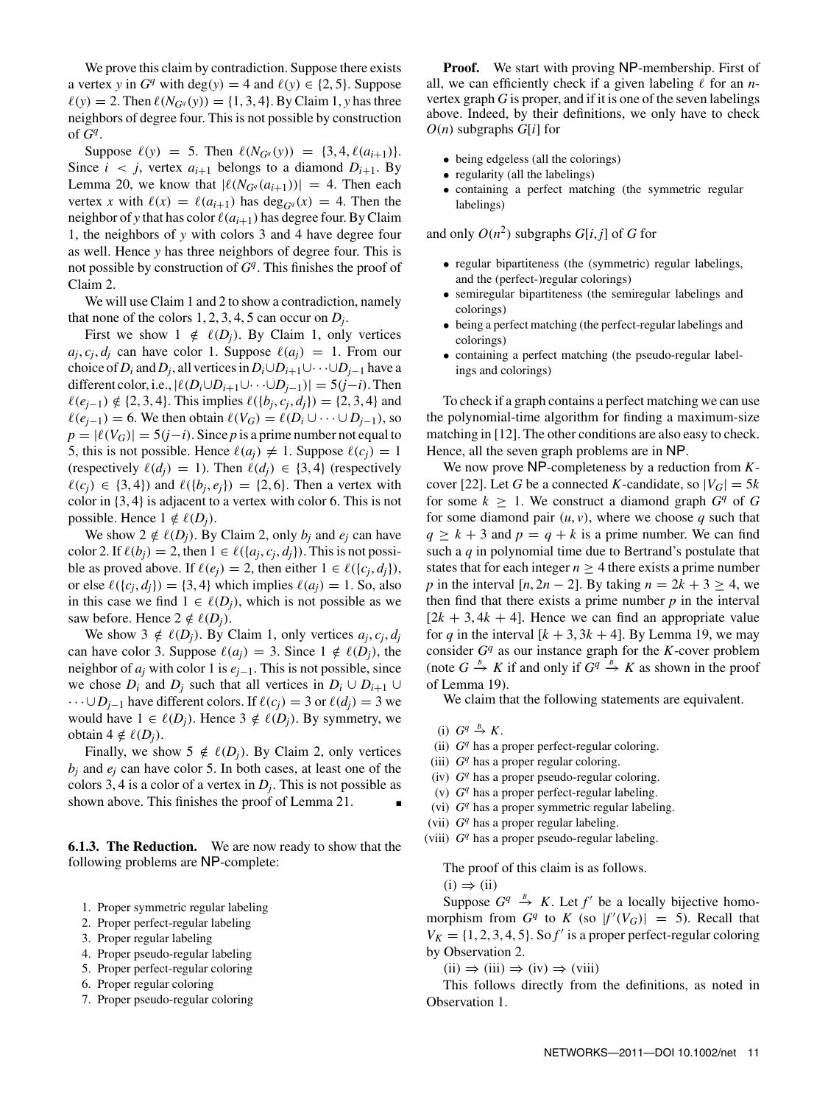We prove this claim by contradiction. Suppose there exists a vertex *y* in  $G<sup>q</sup>$  with deg(*y*) = 4 and  $\ell(y) \in \{2, 5\}$ . Suppose  $\ell(y) = 2$ . Then  $\ell(N_{G^q}(y)) = \{1, 3, 4\}$ . By Claim 1, *y* has three neighbors of degree four. This is not possible by construction of  $G<sup>q</sup>$ .

Suppose  $\ell(y) = 5$ . Then  $\ell(N_{G^q}(y)) = \{3, 4, \ell(a_{i+1})\}.$ Since  $i < j$ , vertex  $a_{i+1}$  belongs to a diamond  $D_{i+1}$ . By Lemma 20, we know that  $|\ell(N_{Gq}(a_{i+1}))| = 4$ . Then each vertex *x* with  $\ell(x) = \ell(a_{i+1})$  has deg<sub>*Gq*</sub>(*x*) = 4. Then the neighbor of *y* that has color  $\ell(a_{i+1})$  has degree four. By Claim 1, the neighbors of *y* with colors 3 and 4 have degree four as well. Hence *y* has three neighbors of degree four. This is not possible by construction of *Gq*. This finishes the proof of Claim 2.

We will use Claim 1 and 2 to show a contradiction, namely that none of the colors  $1, 2, 3, 4, 5$  can occur on  $D_i$ .

First we show  $1 \notin \ell(D_i)$ . By Claim 1, only vertices  $a_i, c_i, d_i$  can have color 1. Suppose  $\ell(a_i) = 1$ . From our choice of  $D_i$  and  $D_j$ , all vertices in  $D_i \cup D_{i+1} \cup \cdots \cup D_{j-1}$  have a different color, i.e.,  $|\ell(D_i \cup D_{i+1} \cup \cdots \cup D_{i-1})| = 5(j-i)$ . Then  $\ell(e_{i-1}) \notin \{2, 3, 4\}.$  This implies  $\ell({b_i, c_i, d_i}) = \{2, 3, 4\}$  and  $\ell(e_{i-1}) = 6$ . We then obtain  $\ell(V_G) = \ell(D_i \cup \cdots \cup D_{i-1})$ , so  $p = |\ell(V_G)| = 5(j-i)$ . Since *p* is a prime number not equal to 5, this is not possible. Hence  $\ell(a_i) \neq 1$ . Suppose  $\ell(c_i) = 1$ (respectively  $\ell(d_i) = 1$ ). Then  $\ell(d_i) \in \{3, 4\}$  (respectively  $\ell(c_i) \in \{3, 4\}$  and  $\ell({b_i, e_i}) = \{2, 6\}$ . Then a vertex with color in {3, 4} is adjacent to a vertex with color 6. This is not possible. Hence  $1 \notin \ell(D_i)$ .

We show  $2 \notin \ell(D_i)$ . By Claim 2, only  $b_i$  and  $e_i$  can have color 2. If  $\ell(b_i) = 2$ , then  $1 \in \ell(\{a_i, c_i, d_i\})$ . This is not possible as proved above. If  $\ell(e_i) = 2$ , then either  $1 \in \ell(\{c_i, d_i\}),$ or else  $\ell({c_i, d_i}) = {3, 4}$  which implies  $\ell(a_i) = 1$ . So, also in this case we find  $1 \in \ell(D_i)$ , which is not possible as we saw before. Hence  $2 \notin \ell(D_i)$ .

We show 3  $\notin \ell(D_i)$ . By Claim 1, only vertices  $a_i, c_i, d_i$ can have color 3. Suppose  $\ell(a_i) = 3$ . Since  $1 \notin \ell(D_i)$ , the neighbor of *aj* with color 1 is *ej*−1. This is not possible, since we chose  $D_i$  and  $D_j$  such that all vertices in  $D_i \cup D_{i+1} \cup$  $\cdots \cup D_{i-1}$  have different colors. If  $\ell(c_i) = 3$  or  $\ell(d_i) = 3$  we would have 1 ∈  $\ell(D_i)$ . Hence 3 ∉  $\ell(D_i)$ . By symmetry, we obtain  $4 \notin \ell(D_i)$ .

Finally, we show  $5 \notin \ell(D_j)$ . By Claim 2, only vertices  $b_i$  and  $e_i$  can have color 5. In both cases, at least one of the colors 3, 4 is a color of a vertex in *Dj*. This is not possible as shown above. This finishes the proof of Lemma 21.

**6.1.3. The Reduction.** We are now ready to show that the following problems are NP-complete:

- 1. Proper symmetric regular labeling
- 2. Proper perfect-regular labeling
- 3. Proper regular labeling
- 4. Proper pseudo-regular labeling
- 5. Proper perfect-regular coloring
- 6. Proper regular coloring
- 7. Proper pseudo-regular coloring

Proof. We start with proving NP-membership. First of all, we can efficiently check if a given labeling  $\ell$  for an *n*vertex graph *G* is proper, and if it is one of the seven labelings above. Indeed, by their definitions, we only have to check *O*(*n*) subgraphs *G*[*i*] for

- being edgeless (all the colorings)
- regularity (all the labelings)
- containing a perfect matching (the symmetric regular labelings)

and only  $O(n^2)$  subgraphs  $G[i, j]$  of  $G$  for

- regular bipartiteness (the (symmetric) regular labelings, and the (perfect-)regular colorings)
- semiregular bipartiteness (the semiregular labelings and colorings)
- being a perfect matching (the perfect-regular labelings and colorings)
- containing a perfect matching (the pseudo-regular labelings and colorings)

To check if a graph contains a perfect matching we can use the polynomial-time algorithm for finding a maximum-size matching in [12]. The other conditions are also easy to check. Hence, all the seven graph problems are in NP.

We now prove NP-completeness by a reduction from *K*cover [22]. Let *G* be a connected *K*-candidate, so  $|V_G| = 5k$ for some  $k > 1$ . We construct a diamond graph  $G<sup>q</sup>$  of G for some diamond pair  $(u, v)$ , where we choose q such that  $q \geq k + 3$  and  $p = q + k$  is a prime number. We can find such a *q* in polynomial time due to Bertrand's postulate that states that for each integer  $n \geq 4$  there exists a prime number *p* in the interval  $[n, 2n - 2]$ . By taking  $n = 2k + 3 \ge 4$ , we then find that there exists a prime number  $p$  in the interval  $[2k + 3, 4k + 4]$ . Hence we can find an appropriate value for *q* in the interval  $[k + 3, 3k + 4]$ . By Lemma 19, we may consider  $G<sup>q</sup>$  as our instance graph for the *K*-cover problem (note  $G \stackrel{B}{\to} K$  if and only if  $G^q \stackrel{B}{\to} K$  as shown in the proof of Lemma 19).

We claim that the following statements are equivalent.

- (i)  $G^q \stackrel{B}{\to} K$ .
- (ii) *G<sup>q</sup>* has a proper perfect-regular coloring.
- (iii) *G<sup>q</sup>* has a proper regular coloring.
- (iv) *G<sup>q</sup>* has a proper pseudo-regular coloring.
- (v) *G<sup>q</sup>* has a proper perfect-regular labeling.
- (vi) *G<sup>q</sup>* has a proper symmetric regular labeling.
- (vii) *G<sup>q</sup>* has a proper regular labeling.
- (viii) *G<sup>q</sup>* has a proper pseudo-regular labeling.

The proof of this claim is as follows.

 $(i) \Rightarrow (ii)$ 

Suppose  $G^q \xrightarrow{B} K$ . Let  $f'$  be a locally bijective homomorphism from  $G^q$  to  $K$  (so  $|f'(V_G)| = 5$ ). Recall that  $V_K = \{1, 2, 3, 4, 5\}$ . So  $f'$  is a proper perfect-regular coloring by Observation 2.

 $(ii) \Rightarrow (iii) \Rightarrow (iv) \Rightarrow (viii)$ 

This follows directly from the definitions, as noted in Observation 1.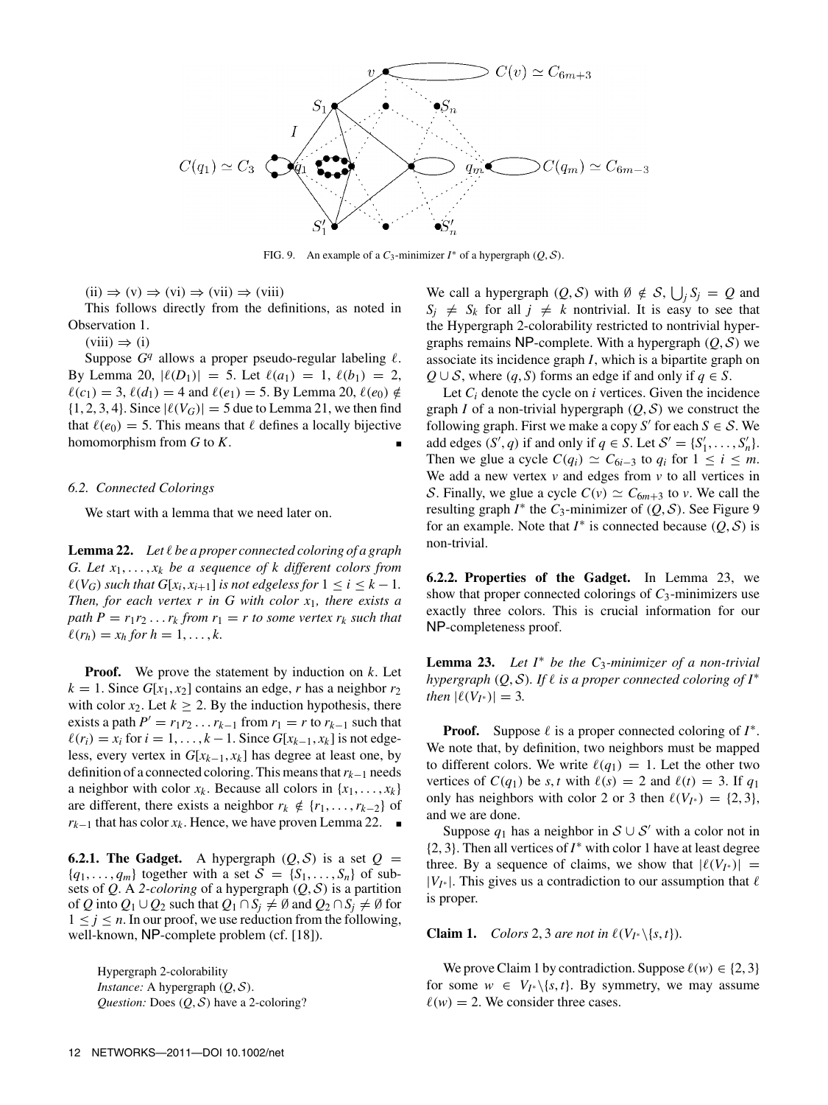

FIG. 9. An example of a  $C_3$ -minimizer  $I^*$  of a hypergraph  $(Q, S)$ .

 $(ii) \Rightarrow (v) \Rightarrow (vi) \Rightarrow (vii) \Rightarrow (viii)$ 

This follows directly from the definitions, as noted in Observation 1.

 $(viii) \Rightarrow (i)$ 

Suppose  $G<sup>q</sup>$  allows a proper pseudo-regular labeling  $\ell$ . By Lemma 20,  $|\ell(D_1)| = 5$ . Let  $\ell(a_1) = 1$ ,  $\ell(b_1) = 2$ ,  $\ell(c_1) = 3, \ell(d_1) = 4$  and  $\ell(e_1) = 5$ . By Lemma 20,  $\ell(e_0) \notin$  $\{1, 2, 3, 4\}$ . Since  $|\ell(V_G)| = 5$  due to Lemma 21, we then find that  $\ell(e_0) = 5$ . This means that  $\ell$  defines a locally bijective homomorphism from  $G$  to  $K$ .

#### *6.2. Connected Colorings*

We start with a lemma that we need later on.

**Lemma 22.** *Let* ! *be a proper connected coloring of a graph G. Let x*1, ... , *xk be a sequence of k different colors from*  $\ell(V_G)$  *such that*  $G[x_i, x_{i+1}]$  *is not edgeless for*  $1 \leq i \leq k-1$ *. Then, for each vertex r in G with color x*1*, there exists a path*  $P = r_1 r_2 \ldots r_k$  *from*  $r_1 = r$  *to some vertex*  $r_k$  *such that*  $\ell(r_h) = x_h$  *for*  $h = 1, ..., k$ .

**Proof.** We prove the statement by induction on *k*. Let  $k = 1$ . Since  $G[x_1, x_2]$  contains an edge, *r* has a neighbor  $r_2$ with color  $x_2$ . Let  $k \ge 2$ . By the induction hypothesis, there exists a path  $P' = r_1 r_2 \dots r_{k-1}$  from  $r_1 = r$  to  $r_{k-1}$  such that  $\ell(r_i) = x_i$  for  $i = 1, \ldots, k - 1$ . Since  $G[x_{k-1}, x_k]$  is not edgeless, every vertex in  $G[x_{k-1}, x_k]$  has degree at least one, by definition of a connected coloring. This means that*rk*−<sup>1</sup> needs a neighbor with color  $x_k$ . Because all colors in  $\{x_1, \ldots, x_k\}$ are different, there exists a neighbor  $r_k \notin \{r_1, \ldots, r_{k-2}\}\$  of *r<sub>k−1</sub>* that has color  $x_k$ . Hence, we have proven Lemma 22. ■

**6.2.1. The Gadget.** A hypergraph  $(Q, S)$  is a set  $Q =$  ${q_1, \ldots, q_m}$  together with a set  $S = {S_1, \ldots, S_n}$  of subsets of *Q*. A 2-*coloring* of a hypergraph  $(Q, S)$  is a partition of *Q* into  $Q_1 \cup Q_2$  such that  $Q_1 \cap S_i \neq \emptyset$  and  $Q_2 \cap S_i \neq \emptyset$  for  $1 \leq j \leq n$ . In our proof, we use reduction from the following, well-known, NP-complete problem (cf. [18]).

Hypergraph 2-colorability *Instance:* A hypergraph (*Q*, S). *Question:* Does (*Q*, S) have a 2-coloring?

We call a hypergraph  $(Q, S)$  with  $\emptyset \notin S$ ,  $\bigcup_j S_j = Q$  and  $S_i \neq S_k$  for all  $j \neq k$  nontrivial. It is easy to see that the Hypergraph 2-colorability restricted to nontrivial hypergraphs remains NP-complete. With a hypergraph  $(Q, S)$  we associate its incidence graph *I*, which is a bipartite graph on *Q* ∪ *S*, where  $(q, S)$  forms an edge if and only if  $q \in S$ .

Let *Ci* denote the cycle on *i* vertices. Given the incidence graph *I* of a non-trivial hypergraph  $(Q, S)$  we construct the following graph. First we make a copy *S*<sup> $\prime$ </sup> for each *S*  $\in$  *S*. We add edges  $(S', q)$  if and only if  $q \in S$ . Let  $S' = \{S'_1, \ldots, S'_n\}$ . Then we glue a cycle  $C(q_i) \simeq C_{6i-3}$  to  $q_i$  for  $1 \leq i \leq m$ . We add a new vertex  $v$  and edges from  $v$  to all vertices in S. Finally, we glue a cycle  $C(v) \simeq C_{6m+3}$  to *v*. We call the resulting graph  $I^*$  the  $C_3$ -minimizer of  $(Q, S)$ . See Figure 9 for an example. Note that  $I^*$  is connected because  $(Q, \mathcal{S})$  is non-trivial.

**6.2.2. Properties of the Gadget.** In Lemma 23, we show that proper connected colorings of *C*3-minimizers use exactly three colors. This is crucial information for our NP-completeness proof.

**Lemma 23.** *Let I*<sup>∗</sup> *be the C*3*-minimizer of a non-trivial hypergraph*  $(Q, S)$ *. If*  $\ell$  *is a proper connected coloring of*  $I^*$ *then*  $|\ell(V_{I^*})| = 3$ *.* 

**Proof.** Suppose  $\ell$  is a proper connected coloring of  $I^*$ . We note that, by definition, two neighbors must be mapped to different colors. We write  $\ell(q_1) = 1$ . Let the other two vertices of  $C(q_1)$  be *s*, *t* with  $\ell(s) = 2$  and  $\ell(t) = 3$ . If  $q_1$ only has neighbors with color 2 or 3 then  $\ell(V_{I^*}) = \{2, 3\}$ , and we are done.

Suppose  $q_1$  has a neighbor in  $S \cup S'$  with a color not in {2, 3}. Then all vertices of *I*<sup>∗</sup> with color 1 have at least degree three. By a sequence of claims, we show that  $|\ell(V_{I^*})|$  =  $|V_{I^*}|$ . This gives us a contradiction to our assumption that  $\ell$ is proper.

**Claim 1.** *Colors* 2, 3 *are not in*  $\ell(V_{I^*}\backslash\{s,t\})$ *.* 

We prove Claim 1 by contradiction. Suppose  $\ell(w) \in \{2, 3\}$ for some  $w \in V_{I^*} \setminus \{s, t\}$ . By symmetry, we may assume  $\ell(w) = 2$ . We consider three cases.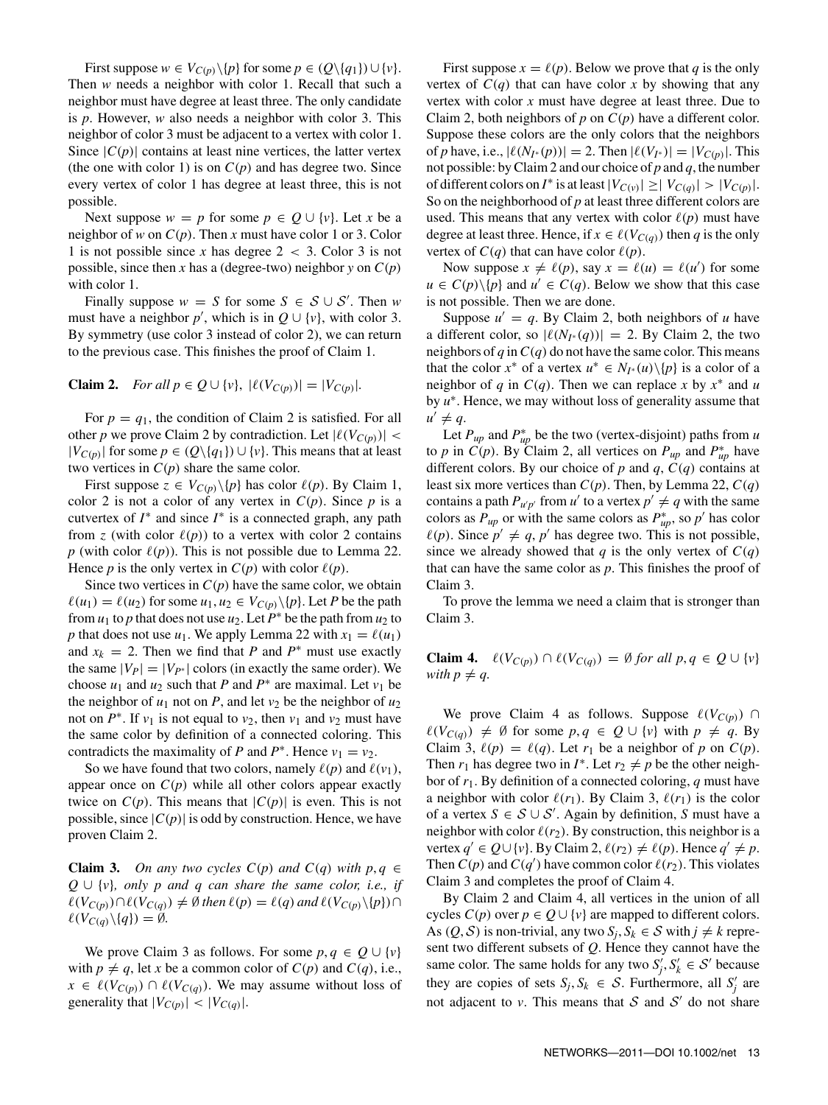First suppose  $w \in V_{C(p)} \backslash \{p\}$  for some  $p \in (Q \backslash \{q_1\}) \cup \{v\}.$ Then *w* needs a neighbor with color 1. Recall that such a neighbor must have degree at least three. The only candidate is *p*. However, *w* also needs a neighbor with color 3. This neighbor of color 3 must be adjacent to a vertex with color 1. Since  $|C(p)|$  contains at least nine vertices, the latter vertex (the one with color 1) is on  $C(p)$  and has degree two. Since every vertex of color 1 has degree at least three, this is not possible.

Next suppose  $w = p$  for some  $p \in Q \cup \{v\}$ . Let *x* be a neighbor of *w* on  $C(p)$ . Then *x* must have color 1 or 3. Color 1 is not possible since *x* has degree  $2 < 3$ . Color 3 is not possible, since then *x* has a (degree-two) neighbor *y* on  $C(p)$ with color 1.

Finally suppose  $w = S$  for some  $S \in S \cup S'$ . Then *w* must have a neighbor  $p'$ , which is in  $Q \cup \{v\}$ , with color 3. By symmetry (use color 3 instead of color 2), we can return to the previous case. This finishes the proof of Claim 1.

**Claim 2.** *For all p*  $\in Q \cup \{v\}$ ,  $|\ell(V_{C(p)})| = |V_{C(p)}|$ *.* 

For  $p = q_1$ , the condition of Claim 2 is satisfied. For all other *p* we prove Claim 2 by contradiction. Let  $|\ell(V_{C(p)})|$  <  $|V_{C(p)}|$  for some  $p \in (Q \setminus \{q_1\}) \cup \{v\}$ . This means that at least two vertices in *C*(*p*) share the same color.

First suppose  $z \in V_{C(p)} \setminus \{p\}$  has color  $\ell(p)$ . By Claim 1, color 2 is not a color of any vertex in  $C(p)$ . Since p is a cutvertex of  $I^*$  and since  $I^*$  is a connected graph, any path from *z* (with color  $\ell(p)$ ) to a vertex with color 2 contains *p* (with color  $\ell(p)$ ). This is not possible due to Lemma 22. Hence *p* is the only vertex in  $C(p)$  with color  $\ell(p)$ .

Since two vertices in  $C(p)$  have the same color, we obtain  $\ell(u_1) = \ell(u_2)$  for some  $u_1, u_2 \in V_{C(p)} \setminus \{p\}$ . Let *P* be the path from  $u_1$  to *p* that does not use  $u_2$ . Let  $P^*$  be the path from  $u_2$  to *p* that does not use  $u_1$ . We apply Lemma 22 with  $x_1 = \ell(u_1)$ and  $x_k = 2$ . Then we find that *P* and  $P^*$  must use exactly the same  $|V_P|=|V_{P^*}|$  colors (in exactly the same order). We choose  $u_1$  and  $u_2$  such that *P* and  $P^*$  are maximal. Let  $v_1$  be the neighbor of  $u_1$  not on *P*, and let  $v_2$  be the neighbor of  $u_2$ not on  $P^*$ . If  $v_1$  is not equal to  $v_2$ , then  $v_1$  and  $v_2$  must have the same color by definition of a connected coloring. This contradicts the maximality of *P* and  $P^*$ . Hence  $v_1 = v_2$ .

So we have found that two colors, namely  $\ell(p)$  and  $\ell(v_1)$ , appear once on  $C(p)$  while all other colors appear exactly twice on  $C(p)$ . This means that  $|C(p)|$  is even. This is not possible, since  $|C(p)|$  is odd by construction. Hence, we have proven Claim 2.

**Claim 3.** *On any two cycles C(p) and C(q) with*  $p, q \in$ *Q* ∪ {*v*}*, only p and q can share the same color, i.e., if*  $\ell(V_{C(p)}) \cap \ell(V_{C(q)}) \neq \emptyset$  then  $\ell(p) = \ell(q)$  and  $\ell(V_{C(p)} \setminus \{p\}) \cap$  $\ell(V_{C(q)}\backslash\{q\}) = \emptyset.$ 

We prove Claim 3 as follows. For some  $p, q \in Q \cup \{v\}$ with  $p \neq q$ , let *x* be a common color of  $C(p)$  and  $C(q)$ , i.e., *x* ∈  $\ell(V_{C(p)})$  ∩  $\ell(V_{C(q)})$ . We may assume without loss of generality that  $|V_{C(p)}| < |V_{C(q)}|$ .

First suppose  $x = \ell(p)$ . Below we prove that *q* is the only vertex of  $C(q)$  that can have color *x* by showing that any vertex with color *x* must have degree at least three. Due to Claim 2, both neighbors of *p* on *C*(*p*) have a different color. Suppose these colors are the only colors that the neighbors of *p* have, i.e.,  $|\ell(N_{I^*}(p))| = 2$ . Then  $|\ell(V_{I^*})| = |V_{C(p)}|$ . This not possible: by Claim 2 and our choice of *p* and *q*, the number of different colors on *I*<sup>\*</sup> is at least  $|V_{C(v)}| \geq |V_{C(q)}| > |V_{C(p)}|$ . So on the neighborhood of *p* at least three different colors are used. This means that any vertex with color  $\ell(p)$  must have degree at least three. Hence, if  $x \in \ell(V_{C(q)})$  then *q* is the only vertex of  $C(q)$  that can have color  $\ell(p)$ .

Now suppose  $x \neq \ell(p)$ , say  $x = \ell(u) = \ell(u')$  for some  $u \in C(p) \setminus \{p\}$  and  $u' \in C(q)$ . Below we show that this case is not possible. Then we are done.

Suppose  $u' = q$ . By Claim 2, both neighbors of *u* have a different color, so  $|\ell(N_{I^*}(q))| = 2$ . By Claim 2, the two neighbors of  $q$  in  $C(q)$  do not have the same color. This means that the color  $x^*$  of a vertex  $u^* \in N_{I^*}(u) \setminus \{p\}$  is a color of a neighbor of *q* in  $C(q)$ . Then we can replace *x* by  $x^*$  and *u* by *u*∗. Hence, we may without loss of generality assume that  $u' \neq q$ .

Let  $P_{up}$  and  $P_{up}^*$  be the two (vertex-disjoint) paths from *u* to *p* in *C*(*p*). By Claim 2, all vertices on  $P_{up}$  and  $P_{up}^*$  have different colors. By our choice of  $p$  and  $q$ ,  $C(q)$  contains at least six more vertices than *C*(*p*). Then, by Lemma 22, *C*(*q*) contains a path  $P_{u'p'}$  from *u'* to a vertex  $p' \neq q$  with the same colors as  $P_{up}$  or with the same colors as  $P_{up}^*$ , so  $p'$  has color  $\ell(p)$ . Since  $p' \neq q$ ,  $p'$  has degree two. This is not possible, since we already showed that *q* is the only vertex of  $C(q)$ that can have the same color as *p*. This finishes the proof of Claim 3.

To prove the lemma we need a claim that is stronger than Claim 3.

**Claim 4.**  $\ell(V_{C(p)}) \cap \ell(V_{C(q)}) = \emptyset$  *for all p*,  $q \in Q \cup \{v\}$ *with*  $p \neq q$ .

We prove Claim 4 as follows. Suppose  $\ell(V_{C(p)}) \cap$  $\ell(V_{C(q)})$  ≠ Ø for some  $p, q \in Q \cup \{v\}$  with  $p \neq q$ . By Claim 3,  $\ell(p) = \ell(q)$ . Let  $r_1$  be a neighbor of p on  $C(p)$ . Then  $r_1$  has degree two in  $I^*$ . Let  $r_2 \neq p$  be the other neighbor of *r*1. By definition of a connected coloring, *q* must have a neighbor with color  $\ell(r_1)$ . By Claim 3,  $\ell(r_1)$  is the color of a vertex  $S \in S \cup S'$ . Again by definition, *S* must have a neighbor with color  $\ell(r_2)$ . By construction, this neighbor is a vertex  $q' \in Q \cup \{v\}$ . By Claim 2,  $\ell(r_2) \neq \ell(p)$ . Hence  $q' \neq p$ . Then  $C(p)$  and  $C(q')$  have common color  $\ell(r_2)$ . This violates Claim 3 and completes the proof of Claim 4.

By Claim 2 and Claim 4, all vertices in the union of all cycles  $C(p)$  over  $p \in Q \cup \{v\}$  are mapped to different colors. As  $(Q, S)$  is non-trivial, any two  $S_i, S_k \in S$  with  $j \neq k$  represent two different subsets of *Q*. Hence they cannot have the same color. The same holds for any two  $S'_j$ ,  $S'_k \in S'$  because they are copies of sets  $S_j, S_k \in S$ . Furthermore, all  $S'_j$  are not adjacent to *v*. This means that  $S$  and  $S'$  do not share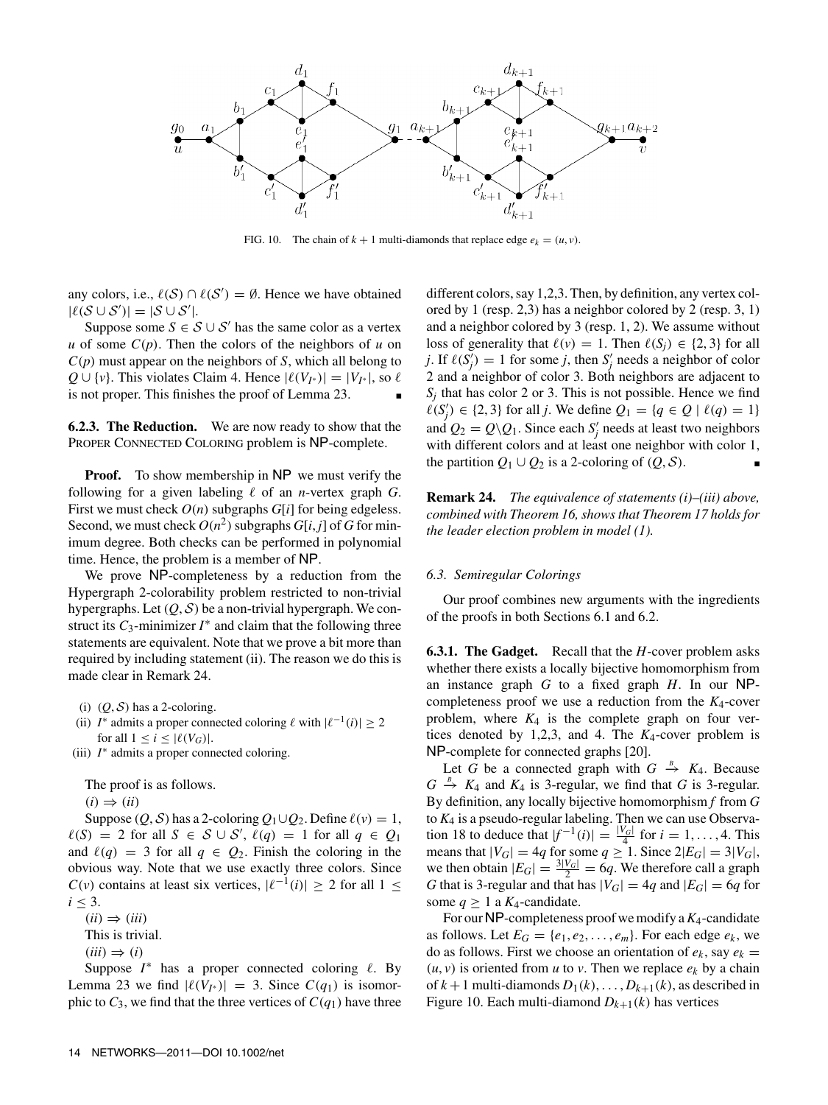

FIG. 10. The chain of  $k + 1$  multi-diamonds that replace edge  $e_k = (u, v)$ .

any colors, i.e.,  $\ell(S) \cap \ell(S') = \emptyset$ . Hence we have obtained  $|\ell(S \cup S')| = |S \cup S'|$ .

Suppose some  $S \in \mathcal{S} \cup \mathcal{S}'$  has the same color as a vertex *u* of some  $C(p)$ . Then the colors of the neighbors of *u* on *C*(*p*) must appear on the neighbors of *S*, which all belong to *Q* ∪ {*v*}. This violates Claim 4. Hence  $|\ell(V_{I^*})| = |V_{I^*}|$ , so  $\ell$ is not proper. This finishes the proof of Lemma 23.

**6.2.3. The Reduction.** We are now ready to show that the PROPER CONNECTED COLORING problem is NP-complete.

**Proof.** To show membership in NP we must verify the following for a given labeling  $\ell$  of an *n*-vertex graph *G*. First we must check *O*(*n*) subgraphs *G*[*i*] for being edgeless. Second, we must check  $O(n^2)$  subgraphs  $G[i, j]$  of  $G$  for minimum degree. Both checks can be performed in polynomial time. Hence, the problem is a member of NP.

We prove NP-completeness by a reduction from the Hypergraph 2-colorability problem restricted to non-trivial hypergraphs. Let  $(Q, S)$  be a non-trivial hypergraph. We construct its  $C_3$ -minimizer  $I^*$  and claim that the following three statements are equivalent. Note that we prove a bit more than required by including statement (ii). The reason we do this is made clear in Remark 24.

(i)  $(Q, S)$  has a 2-coloring.

(ii) *I*<sup>\*</sup> admits a proper connected coloring  $\ell$  with  $|\ell^{-1}(i)| \geq 2$ for all  $1 \leq i \leq |\ell(V_G)|$ .

(iii) *I*∗ admits a proper connected coloring.

The proof is as follows.

 $(i) \Rightarrow (ii)$ 

Suppose  $(Q, S)$  has a 2-coloring  $Q_1 \cup Q_2$ . Define  $\ell(v) = 1$ ,  $\ell(S) = 2$  for all *S* ∈ *S* ∪ *S'*,  $\ell(q) = 1$  for all  $q \in Q_1$ and  $\ell(q) = 3$  for all  $q \in Q_2$ . Finish the coloring in the obvious way. Note that we use exactly three colors. Since *C*(*v*) contains at least six vertices,  $|\ell^{-1}(i)| \ge 2$  for all 1 ≤  $i < 3$ .

 $(ii) \Rightarrow (iii)$ 

This is trivial.

 $(iii) \Rightarrow (i)$ 

Suppose  $I^*$  has a proper connected coloring  $\ell$ . By Lemma 23 we find  $|\ell(V_{I^*})| = 3$ . Since  $C(q_1)$  is isomorphic to  $C_3$ , we find that the three vertices of  $C(q_1)$  have three different colors, say 1,2,3. Then, by definition, any vertex colored by 1 (resp. 2,3) has a neighbor colored by 2 (resp. 3, 1) and a neighbor colored by 3 (resp. 1, 2). We assume without loss of generality that  $\ell(v) = 1$ . Then  $\ell(S_i) \in \{2, 3\}$  for all *j*. If  $\ell(S'_j) = 1$  for some *j*, then *S*<sup>'</sup><sub>*j*</sub> needs a neighbor of color 2 and a neighbor of color 3. Both neighbors are adjacent to  $S_i$  that has color 2 or 3. This is not possible. Hence we find  $\ell(S'_j)$  ∈ {2, 3} for all *j*. We define  $Q_1 = \{q \in Q \mid \ell(q) = 1\}$ and  $Q_2 = Q \backslash Q_1$ . Since each  $S'_j$  needs at least two neighbors with different colors and at least one neighbor with color 1, the partition  $Q_1 \cup Q_2$  is a 2-coloring of  $(Q, S)$ .

**Remark 24.** *The equivalence of statements (i)–(iii) above, combined with Theorem 16, shows that Theorem 17 holds for the leader election problem in model (1).*

## *6.3. Semiregular Colorings*

Our proof combines new arguments with the ingredients of the proofs in both Sections 6.1 and 6.2.

**6.3.1. The Gadget.** Recall that the *H*-cover problem asks whether there exists a locally bijective homomorphism from an instance graph *G* to a fixed graph *H*. In our NPcompleteness proof we use a reduction from the  $K_4$ -cover problem, where  $K_4$  is the complete graph on four vertices denoted by 1,2,3, and 4. The *K*4-cover problem is NP-complete for connected graphs [20].

Let *G* be a connected graph with  $G \stackrel{B}{\rightarrow} K_4$ . Because  $G \stackrel{B}{\rightarrow} K_4$  and  $K_4$  is 3-regular, we find that *G* is 3-regular. By definition, any locally bijective homomorphism *f* from *G* to *K*<sup>4</sup> is a pseudo-regular labeling. Then we can use Observation 18 to deduce that  $|f^{-1}(i)| = \frac{|V_G|}{4}$  for  $i = 1, ..., 4$ . This means that  $|V_G| = 4q$  for some  $q \ge 1$ . Since  $2|E_G| = 3|V_G|$ , we then obtain  $|E_G| = \frac{3|V_G|}{2} = 6q$ . We therefore call a graph *G* that is 3-regular and that has  $|V_G| = 4q$  and  $|E_G| = 6q$  for some  $q > 1$  a  $K_4$ -candidate.

For our NP-completeness proof we modify a*K*4-candidate as follows. Let  $E_G = \{e_1, e_2, \ldots, e_m\}$ . For each edge  $e_k$ , we do as follows. First we choose an orientation of  $e_k$ , say  $e_k$  =  $(u, v)$  is oriented from *u* to *v*. Then we replace  $e_k$  by a chain of  $k+1$  multi-diamonds  $D_1(k), \ldots, D_{k+1}(k)$ , as described in Figure 10. Each multi-diamond  $D_{k+1}(k)$  has vertices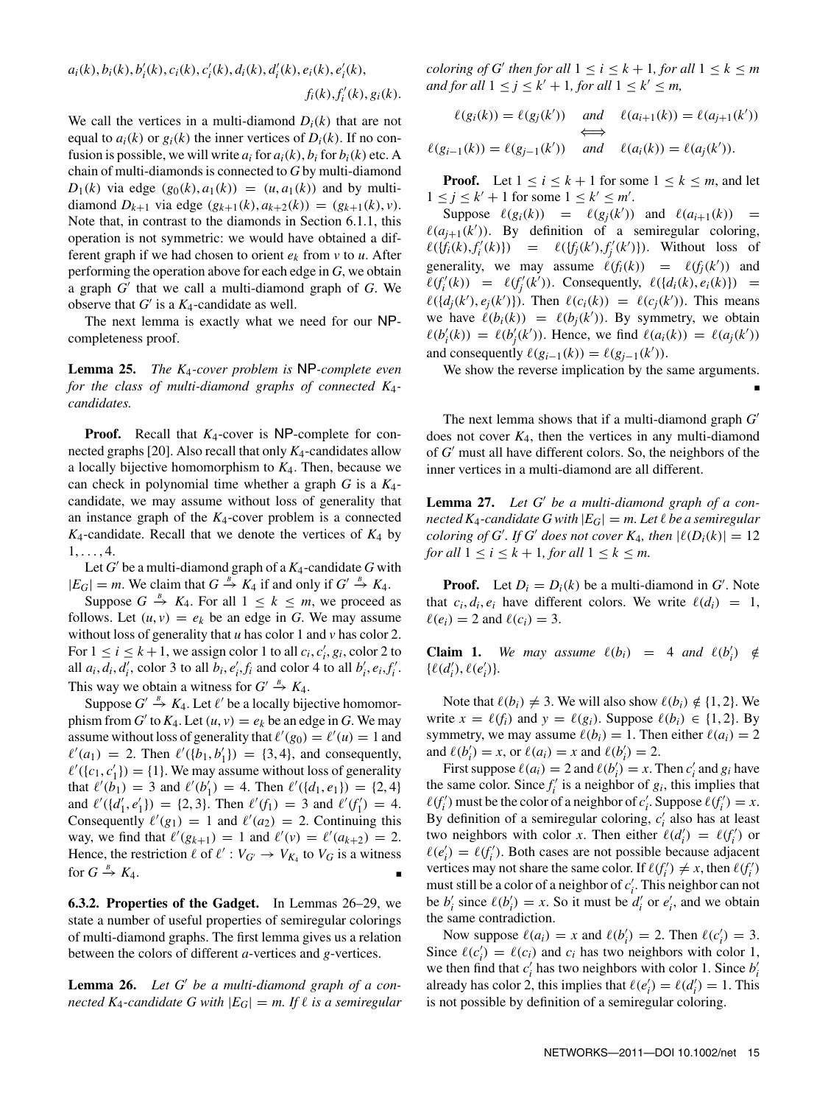$$
a_i(k), b_i(k), b'_i(k), c_i(k), c'_i(k), d_i(k), d'_i(k), e_i(k), e'_i(k), f_i(k), f'_i(k), g_i(k).
$$

We call the vertices in a multi-diamond  $D_i(k)$  that are not equal to  $a_i(k)$  or  $g_i(k)$  the inner vertices of  $D_i(k)$ . If no confusion is possible, we will write  $a_i$  for  $a_i(k)$ ,  $b_i$  for  $b_i(k)$  etc. A chain of multi-diamonds is connected to *G* by multi-diamond *D*<sub>1</sub>(*k*) via edge  $(g_0(k), a_1(k)) = (u, a_1(k))$  and by multidiamond  $D_{k+1}$  via edge  $(g_{k+1}(k), a_{k+2}(k)) = (g_{k+1}(k), v)$ . Note that, in contrast to the diamonds in Section 6.1.1, this operation is not symmetric: we would have obtained a different graph if we had chosen to orient  $e_k$  from  $v$  to  $u$ . After performing the operation above for each edge in *G*, we obtain a graph *G*\* that we call a multi-diamond graph of *G*. We observe that  $G'$  is a  $K_4$ -candidate as well.

The next lemma is exactly what we need for our NPcompleteness proof.

**Lemma 25.** *The K*4*-cover problem is* NP*-complete even for the class of multi-diamond graphs of connected K*4 *candidates.*

**Proof.** Recall that *K*4-cover is NP-complete for connected graphs [20]. Also recall that only *K*4-candidates allow a locally bijective homomorphism to *K*4. Then, because we can check in polynomial time whether a graph *G* is a *K*4 candidate, we may assume without loss of generality that an instance graph of the *K*4-cover problem is a connected  $K_4$ -candidate. Recall that we denote the vertices of  $K_4$  by  $1, \ldots, 4.$ 

Let  $G'$  be a multi-diamond graph of a  $K_4$ -candidate  $G$  with  $|E_G| = m$ . We claim that  $G \stackrel{B}{\to} K_4$  if and only if  $G' \stackrel{B}{\to} K_4$ .

Suppose  $G \stackrel{B}{\to} K_4$ . For all  $1 \leq k \leq m$ , we proceed as follows. Let  $(u, v) = e_k$  be an edge in G. We may assume without loss of generality that *u* has color 1 and *v* has color 2. For  $1 \le i \le k+1$ , we assign color 1 to all  $c_i, c'_i, g_i$ , color 2 to all  $a_i, d_i, d'_i$ , color 3 to all  $b_i, e'_i, f_i$  and color 4 to all  $b'_i, e_i, f'_i$ . This way we obtain a witness for  $G' \stackrel{B}{\rightarrow} K_4$ .

Suppose  $G' \stackrel{B}{\rightarrow} K_4$ . Let  $\ell'$  be a locally bijective homomorphism from *G*<sup> $\prime$ </sup> to  $K_4$ . Let  $(u, v) = e_k$  be an edge in *G*. We may assume without loss of generality that  $\ell'(g_0) = \ell'(u) = 1$  and  $\ell'(a_1) = 2$ . Then  $\ell'(\{b_1, b'_1\}) = \{3, 4\}$ , and consequently,  $\ell'({c_1, c'_1}) = {1}.$  We may assume without loss of generality that  $\ell'(b_1) = 3$  and  $\ell'(b'_1) = 4$ . Then  $\ell'(\{d_1, e_1\}) = \{2, 4\}$ and  $\ell'(\lbrace d'_1, e'_1 \rbrace) = \lbrace 2, 3 \rbrace$ . Then  $\ell'(f_1) = 3$  and  $\ell'(f'_1) = 4$ . Consequently  $\ell'(g_1) = 1$  and  $\ell'(g_2) = 2$ . Continuing this way, we find that  $\ell'(g_{k+1}) = 1$  and  $\ell'(v) = \ell'(a_{k+2}) = 2$ . Hence, the restriction  $\ell$  of  $\ell' : V_{G'} \to V_{K_4}$  to  $V_G$  is a witness for  $G \stackrel{B}{\rightarrow} K_4$ .  $\stackrel{B}{\longrightarrow} K_4.$ 

**6.3.2. Properties of the Gadget.** In Lemmas 26–29, we state a number of useful properties of semiregular colorings of multi-diamond graphs. The first lemma gives us a relation between the colors of different *a*-vertices and *g*-vertices.

**Lemma 26.** *Let G*\* *be a multi-diamond graph of a connected*  $K_4$ -candidate G with  $|E_G| = m$ . If  $\ell$  is a semiregular *coloring of G*<sup> $\prime$ </sup> *then for all*  $1 \le i \le k + 1$ *, for all*  $1 \le k \le m$ *and for all*  $1 \le j \le k' + 1$ *, for all*  $1 \le k' \le m$ *,* 

$$
\ell(g_i(k)) = \ell(g_j(k')) \quad \text{and} \quad \ell(a_{i+1}(k)) = \ell(a_{j+1}(k'))
$$
\n
$$
\iff \quad \Longleftrightarrow \quad \ell(g_{i-1}(k)) = \ell(g_{j-1}(k')) \quad \text{and} \quad \ell(a_i(k)) = \ell(a_j(k')).
$$

**Proof.** Let  $1 \le i \le k+1$  for some  $1 \le k \le m$ , and let  $1 \leq j \leq k' + 1$  for some  $1 \leq k' \leq m'$ .

Suppose  $\ell(g_i(k)) = \ell(g_j(k'))$  and  $\ell(a_{i+1}(k)) =$  $\ell(a_{j+1}(k'))$ . By definition of a semiregular coloring,  $\ell({f_i(k), f'_i(k)}) = \ell({f_j(k'), f'_j(k')})$ . Without loss of generality, we may assume  $\ell(f_i(k)) = \ell(f_j(k'))$  and  $\ell(f'_i(k)) = \ell(f'_j(k'))$ . Consequently,  $\ell(\lbrace d_i(k), e_i(k) \rbrace) =$  $\ell({d_j(k'), e_j(k')})$ . Then  $\ell(c_i(k)) = \ell(c_j(k'))$ . This means we have  $\ell(b_i(k)) = \ell(b_j(k'))$ . By symmetry, we obtain  $\ell(b'_i(k)) = \ell(b'_j(k'))$ . Hence, we find  $\ell(a_i(k)) = \ell(a_j(k'))$ and consequently  $\ell(g_{i-1}(k)) = \ell(g_{j-1}(k'))$ .

We show the reverse implication by the same arguments.

■

The next lemma shows that if a multi-diamond graph *G*\* does not cover  $K_4$ , then the vertices in any multi-diamond of *G*\* must all have different colors. So, the neighbors of the inner vertices in a multi-diamond are all different.

**Lemma 27.** *Let G*\* *be a multi-diamond graph of a connected K*<sub>4</sub>*-candidate G with*  $|E_G| = m$ . Let  $\ell$  be a semiregular *coloring of G'. If G' does not cover*  $K_4$ *, then*  $|\ell(D_i(k))| = 12$ *for all*  $1 \leq i \leq k+1$ *, for all*  $1 \leq k \leq m$ *.* 

**Proof.** Let  $D_i = D_i(k)$  be a multi-diamond in  $G'$ . Note that  $c_i, d_i, e_i$  have different colors. We write  $\ell(d_i) = 1$ ,  $\ell(e_i) = 2$  and  $\ell(c_i) = 3$ .

**Claim 1.** We may assume  $\ell(b_i) = 4$  and  $\ell(b'_i) \notin$  $\{\ell(d'_i), \ell(e'_i)\}.$ 

Note that  $\ell(b_i) \neq 3$ . We will also show  $\ell(b_i) \notin \{1, 2\}$ . We write  $x = \ell(f_i)$  and  $y = \ell(g_i)$ . Suppose  $\ell(b_i) \in \{1, 2\}$ . By symmetry, we may assume  $\ell(b_i) = 1$ . Then either  $\ell(a_i) = 2$ and  $\ell(b'_i) = x$ , or  $\ell(a_i) = x$  and  $\ell(b'_i) = 2$ .

First suppose  $\ell(a_i) = 2$  and  $\ell(b'_i) = x$ . Then  $c'_i$  and  $g_i$  have the same color. Since  $f_i'$  is a neighbor of  $g_i$ , this implies that  $\ell(f'_i)$  must be the color of a neighbor of  $c'_i$ . Suppose  $\ell(f'_i) = x$ . By definition of a semiregular coloring,  $c'_i$  also has at least two neighbors with color *x*. Then either  $\ell(d'_i) = \ell(f'_i)$  or  $\ell(e'_i) = \ell(f'_i)$ . Both cases are not possible because adjacent vertices may not share the same color. If  $\ell(f'_i) \neq x$ , then  $\ell(f'_i)$ must still be a color of a neighbor of  $c_i'$ . This neighbor can not be  $b'_i$  since  $\ell(b'_i) = x$ . So it must be  $d'_i$  or  $e'_i$ , and we obtain the same contradiction.

Now suppose  $\ell(a_i) = x$  and  $\ell(b'_i) = 2$ . Then  $\ell(c'_i) = 3$ . Since  $\ell(c'_i) = \ell(c_i)$  and  $c_i$  has two neighbors with color 1, we then find that  $c'_i$  has two neighbors with color 1. Since  $b'_i$ already has color 2, this implies that  $\ell(e'_i) = \ell(d'_i) = 1$ . This is not possible by definition of a semiregular coloring.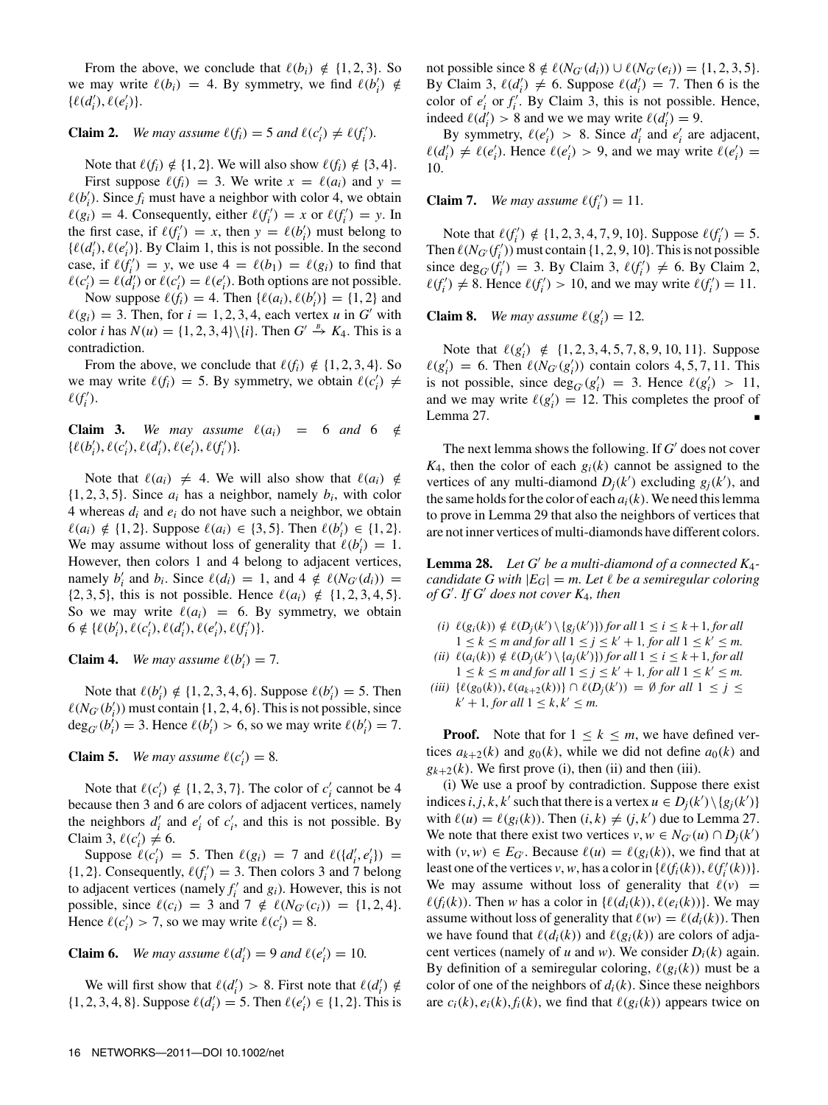From the above, we conclude that  $\ell(b_i) \notin \{1, 2, 3\}$ . So we may write  $\ell(b_i) = 4$ . By symmetry, we find  $\ell(b'_i) \notin$  $\{\ell(d'_i), \ell(e'_i)\}.$ 

# **Claim 2.** We may assume  $\ell(f_i) = 5$  and  $\ell(c'_i) \neq \ell(f'_i)$ .

Note that  $\ell(f_i) \notin \{1, 2\}$ . We will also show  $\ell(f_i) \notin \{3, 4\}$ . First suppose  $\ell(f_i) = 3$ . We write  $x = \ell(a_i)$  and  $y =$  $\ell(b'_i)$ . Since  $f_i$  must have a neighbor with color 4, we obtain  $\ell(g_i) = 4$ . Consequently, either  $\ell(f'_i) = x$  or  $\ell(f'_i) = y$ . In the first case, if  $\ell(f'_i) = x$ , then  $y = \ell(b'_i)$  must belong to  $\{\ell(d'_i), \ell(e'_i)\}\)$ . By Claim 1, this is not possible. In the second case, if  $\ell(f_i') = y$ , we use  $4 = \ell(b_1) = \ell(g_i)$  to find that  $\ell(c'_i) = \ell(d'_i)$  or  $\ell(c'_i) = \ell(e'_i)$ . Both options are not possible. Now suppose  $\ell(f_i) = 4$ . Then  $\{\ell(a_i), \ell(b'_i)\} = \{1, 2\}$  and  $\ell(g_i) = 3$ . Then, for  $i = 1, 2, 3, 4$ , each vertex *u* in *G*<sup>\*</sup> with color *i* has  $N(u) = \{1, 2, 3, 4\} \setminus \{i\}$ . Then  $G' \stackrel{B}{\rightarrow} K_4$ . This is a contradiction.

From the above, we conclude that  $\ell(f_i) \notin \{1, 2, 3, 4\}$ . So we may write  $\ell(f_i) = 5$ . By symmetry, we obtain  $\ell(c'_i) \neq$  $\ell(f'_i)$ .

**Claim 3.** We may assume  $\ell(a_i) = 6$  and  $6 \notin$  $\{\ell(b'_i), \ell(c'_i), \ell(d'_i), \ell(e'_i), \ell(f'_i)\}.$ 

Note that  $\ell(a_i) \neq 4$ . We will also show that  $\ell(a_i) \notin \mathbb{R}$  $\{1, 2, 3, 5\}$ . Since  $a_i$  has a neighbor, namely  $b_i$ , with color 4 whereas  $d_i$  and  $e_i$  do not have such a neighbor, we obtain  $\ell(a_i) \notin \{1, 2\}$ . Suppose  $\ell(a_i) \in \{3, 5\}$ . Then  $\ell(b'_i) \in \{1, 2\}$ . We may assume without loss of generality that  $\ell(b'_i) = 1$ . However, then colors 1 and 4 belong to adjacent vertices, namely  $b'_i$  and  $b_i$ . Since  $\ell(d_i) = 1$ , and  $4 \notin \ell(N_{G'}(d_i)) =$ {2, 3, 5}, this is not possible. Hence  $\ell(a_i) \notin \{1, 2, 3, 4, 5\}$ . So we may write  $\ell(a_i) = 6$ . By symmetry, we obtain  $6 \notin \{ \ell(b'_i), \ell(c'_i), \ell(d'_i), \ell(e'_i), \ell(f'_i) \}.$ 

**Claim 4.** *We may assume*  $\ell(b'_i) = 7$ *.* 

Note that  $\ell(b'_i) \notin \{1, 2, 3, 4, 6\}$ . Suppose  $\ell(b'_i) = 5$ . Then  $\ell(N_{G'}(b'_i))$  must contain  $\{1, 2, 4, 6\}$ . This is not possible, since  $deg_G(b'_i) = 3$ . Hence  $\ell(b'_i) > 6$ , so we may write  $\ell(b'_i) = 7$ .

# **Claim 5.** *We may assume*  $\ell(c'_i) = 8$ *.*

Note that  $\ell(c_i') \notin \{1, 2, 3, 7\}$ . The color of  $c_i'$  cannot be 4 because then 3 and 6 are colors of adjacent vertices, namely the neighbors  $d'_i$  and  $e'_i$  of  $c'_i$ , and this is not possible. By Claim 3,  $\ell(c_i') \neq 6$ .

Suppose  $\ell(c'_i) = 5$ . Then  $\ell(g_i) = 7$  and  $\ell({d'_i, e'_i}) = 7$  $\{1, 2\}$ . Consequently,  $\ell(f'_i) = 3$ . Then colors 3 and 7 belong to adjacent vertices (namely  $f_i'$  and  $g_i$ ). However, this is not possible, since  $\ell(c_i) = 3$  and  $7 \notin \ell(N_{G'}(c_i)) = \{1, 2, 4\}.$ Hence  $\ell(c'_i) > 7$ , so we may write  $\ell(c'_i) = 8$ .

# **Claim 6.** *We may assume*  $\ell(d'_i) = 9$  *and*  $\ell(e'_i) = 10$ *.*

We will first show that  $\ell(d'_i) > 8$ . First note that  $\ell(d'_i) \notin$  $\{1, 2, 3, 4, 8\}$ . Suppose  $\ell(d'_i) = 5$ . Then  $\ell(e'_i) \in \{1, 2\}$ . This is not possible since 8 ∉  $\ell(N_{G'}(d_i)) \cup \ell(N_{G'}(e_i)) = \{1, 2, 3, 5\}.$ By Claim 3,  $\ell(d'_i) \neq 6$ . Suppose  $\ell(d'_i) = 7$ . Then 6 is the color of  $e'_i$  or  $f'_i$ . By Claim 3, this is not possible. Hence, indeed  $\ell(d'_i) > 8$  and we we may write  $\ell(d'_i) = 9$ .

By symmetry,  $\ell(e'_i) > 8$ . Since  $d'_i$  and  $e'_i$  are adjacent,  $\ell(d'_i) \neq \ell(e'_i)$ . Hence  $\ell(e'_i) > 9$ , and we may write  $\ell(e'_i) =$ 10.

**Claim 7.** *We may assume*  $\ell(f'_i) = 11$ *.* 

Note that  $\ell(f'_i) \notin \{1, 2, 3, 4, 7, 9, 10\}$ . Suppose  $\ell(f'_i) = 5$ . Then  $\ell(N_{G'}(f'_i))$  must contain  $\{1, 2, 9, 10\}$ . This is not possible since  $\deg_G(f'_i) = 3$ . By Claim 3,  $\ell(f'_i) \neq 6$ . By Claim 2,  $\ell(f'_i) \neq 8$ . Hence  $\ell(f'_i) > 10$ , and we may write  $\ell(f'_i) = 11$ .

**Claim 8.** *We may assume*  $\ell(g_i') = 12$ *.* 

Note that  $\ell(g_i') \notin \{1, 2, 3, 4, 5, 7, 8, 9, 10, 11\}$ . Suppose  $\ell(g_i') = 6$ . Then  $\ell(N_{G'}(g_i'))$  contain colors 4, 5, 7, 11. This is not possible, since  $deg_G(g'_i) = 3$ . Hence  $\ell(g'_i) > 11$ , and we may write  $\ell(g_i') = 12$ . This completes the proof of Lemma 27.

The next lemma shows the following. If *G*\* does not cover  $K_4$ , then the color of each  $g_i(k)$  cannot be assigned to the vertices of any multi-diamond  $D_j(k')$  excluding  $g_j(k')$ , and the same holds for the color of each  $a_i(k)$ . We need this lemma to prove in Lemma 29 that also the neighbors of vertices that are not inner vertices of multi-diamonds have different colors.

**Lemma 28.** *Let G*\* *be a multi-diamond of a connected K*4 *candidate G with*  $|E_G| = m$ . Let  $\ell$  be a semiregular coloring *of G*\* *. If G*\* *does not cover K*4*, then*

- $(i)$   $\ell(g_i(k)) \notin \ell(D_j(k') \setminus \{g_j(k')\})$  *for all*  $1 \leq i \leq k+1$ *, for all*  $1 \leq k \leq m$  and for all  $1 \leq j \leq k'+1$ , for all  $1 \leq k' \leq m$ .
- $(iii) \ell(a_i(k)) \notin \ell(D_j(k') \setminus \{a_j(k')\})$  *for all*  $1 \le i \le k+1$ *, for all*  $1 \leq k \leq m$  and for all  $1 \leq j \leq k'+1$ , for all  $1 \leq k' \leq m$ .
- *(iii)*  $\{\ell(g_0(k)), \ell(a_{k+2}(k))\} \cap \ell(D_j(k')) = ∅$  *for all*  $1 ≤ j ≤$  $k' + 1$ *, for all*  $1 \leq k, k' \leq m$ .

**Proof.** Note that for  $1 \leq k \leq m$ , we have defined vertices  $a_{k+2}(k)$  and  $g_0(k)$ , while we did not define  $a_0(k)$  and  $g_{k+2}(k)$ . We first prove (i), then (ii) and then (iii).

(i) We use a proof by contradiction. Suppose there exist indices *i*, *j*, *k*, *k*<sup> $\prime$ </sup> such that there is a vertex  $u \in D_j(k') \setminus \{g_j(k')\}$ with  $\ell(u) = \ell(g_i(k))$ . Then  $(i, k) \neq (j, k')$  due to Lemma 27. We note that there exist two vertices  $v, w \in N_{G'}(u) \cap D_j(k')$ with  $(v, w) \in E_G$ . Because  $\ell(u) = \ell(g_i(k))$ , we find that at least one of the vertices *v*, *w*, has a color in  $\{\ell(f_i(k)), \ell(f'_i(k))\}.$ We may assume without loss of generality that  $\ell(v)$  =  $\ell(f_i(k))$ . Then *w* has a color in { $\ell(d_i(k)), \ell(e_i(k))$ }. We may assume without loss of generality that  $\ell(w) = \ell(d_i(k))$ . Then we have found that  $\ell(d_i(k))$  and  $\ell(g_i(k))$  are colors of adjacent vertices (namely of *u* and *w*). We consider  $D_i(k)$  again. By definition of a semiregular coloring,  $\ell(g_i(k))$  must be a color of one of the neighbors of  $d_i(k)$ . Since these neighbors are  $c_i(k)$ ,  $e_i(k)$ ,  $f_i(k)$ , we find that  $\ell(g_i(k))$  appears twice on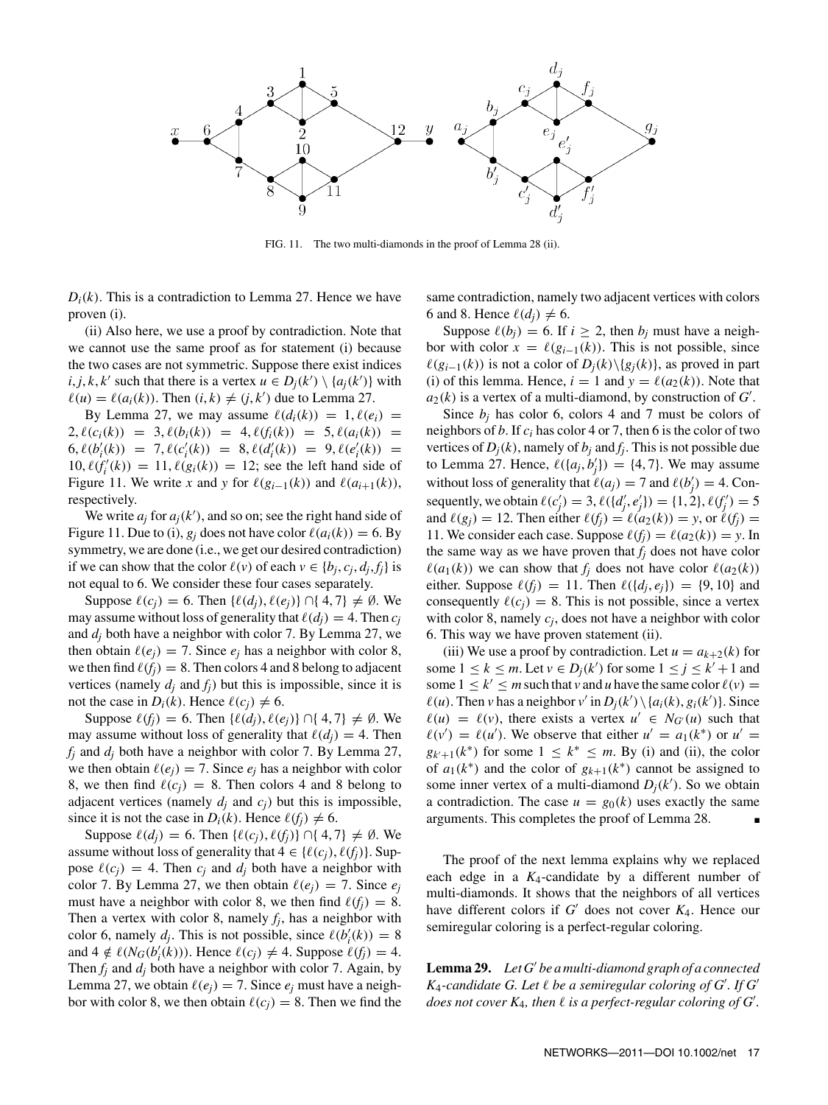

FIG. 11. The two multi-diamonds in the proof of Lemma 28 (ii).

 $D_i(k)$ . This is a contradiction to Lemma 27. Hence we have proven (i).

(ii) Also here, we use a proof by contradiction. Note that we cannot use the same proof as for statement (i) because the two cases are not symmetric. Suppose there exist indices  $i, j, k, k'$  such that there is a vertex  $u \in D_j(k') \setminus \{a_j(k')\}$  with  $\ell(u) = \ell(a_i(k))$ . Then  $(i, k) \neq (j, k')$  due to Lemma 27.

By Lemma 27, we may assume  $\ell(d_i(k)) = 1, \ell(e_i) =$  $2, \ell(c_i(k)) = 3, \ell(b_i(k)) = 4, \ell(f_i(k)) = 5, \ell(a_i(k)) = 1$  $6, \ell(b'_i(k)) = 7, \ell(c'_i(k)) = 8, \ell(d'_i(k)) = 9, \ell(e'_i(k)) = 9$  $10, \ell(f'_i(k)) = 11, \ell(g_i(k)) = 12$ ; see the left hand side of Figure 11. We write *x* and *y* for  $\ell(g_{i-1}(k))$  and  $\ell(a_{i+1}(k))$ , respectively.

We write  $a_j$  for  $a_j(k')$ , and so on; see the right hand side of Figure 11. Due to (i),  $g_i$  does not have color  $\ell(a_i(k)) = 6$ . By symmetry, we are done (i.e., we get our desired contradiction) if we can show that the color  $\ell(v)$  of each  $v \in \{b_i, c_i, d_i, f_i\}$  is not equal to 6. We consider these four cases separately.

Suppose  $\ell(c_i) = 6$ . Then  $\{\ell(d_i), \ell(e_i)\} \cap \{4, 7\} \neq \emptyset$ . We may assume without loss of generality that  $\ell(d_i) = 4$ . Then  $c_i$ and *dj* both have a neighbor with color 7. By Lemma 27, we then obtain  $\ell(e_i) = 7$ . Since  $e_i$  has a neighbor with color 8, we then find  $\ell(f_i) = 8$ . Then colors 4 and 8 belong to adjacent vertices (namely  $d_j$  and  $f_j$ ) but this is impossible, since it is not the case in  $D_i(k)$ . Hence  $\ell(c_i) \neq 6$ .

Suppose  $\ell(f_i) = 6$ . Then  $\{\ell(d_i), \ell(e_i)\} \cap \{4, 7\} \neq \emptyset$ . We may assume without loss of generality that  $\ell(d_i) = 4$ . Then  $f_i$  and  $d_i$  both have a neighbor with color 7. By Lemma 27, we then obtain  $\ell(e_i) = 7$ . Since  $e_i$  has a neighbor with color 8, we then find  $\ell(c_i) = 8$ . Then colors 4 and 8 belong to adjacent vertices (namely  $d_i$  and  $c_i$ ) but this is impossible, since it is not the case in  $D_i(k)$ . Hence  $\ell(f_i) \neq 6$ .

Suppose  $\ell(d_i) = 6$ . Then  $\{\ell(c_i), \ell(f_i)\} \cap \{4, 7\} \neq \emptyset$ . We assume without loss of generality that  $4 \in \{ \ell(c_j), \ell(f_j) \}$ . Suppose  $\ell(c_i) = 4$ . Then  $c_i$  and  $d_i$  both have a neighbor with color 7. By Lemma 27, we then obtain  $\ell(e_i) = 7$ . Since  $e_i$ must have a neighbor with color 8, we then find  $\ell(f_i) = 8$ . Then a vertex with color 8, namely  $f_i$ , has a neighbor with color 6, namely  $d_j$ . This is not possible, since  $\ell(b'_i(k)) = 8$ and  $4 \notin \ell(N_G(b'_i(k)))$ . Hence  $\ell(c_j) \neq 4$ . Suppose  $\ell(f_j) = 4$ . Then *fj* and *dj* both have a neighbor with color 7. Again, by Lemma 27, we obtain  $\ell(e_i) = 7$ . Since  $e_i$  must have a neighbor with color 8, we then obtain  $\ell(c_i) = 8$ . Then we find the

same contradiction, namely two adjacent vertices with colors 6 and 8. Hence  $\ell(d_i) \neq 6$ .

Suppose  $\ell(b_i) = 6$ . If  $i \geq 2$ , then  $b_i$  must have a neighbor with color  $x = \ell(g_{i-1}(k))$ . This is not possible, since  $\ell(g_{i-1}(k))$  is not a color of  $D_i(k)\{g_i(k)\}\)$ , as proved in part (i) of this lemma. Hence,  $i = 1$  and  $y = \ell(a_2(k))$ . Note that  $a_2(k)$  is a vertex of a multi-diamond, by construction of  $G'$ .

Since  $b_i$  has color 6, colors 4 and 7 must be colors of neighbors of *b*. If *ci* has color 4 or 7, then 6 is the color of two vertices of  $D_i(k)$ , namely of  $b_i$  and  $f_i$ . This is not possible due to Lemma 27. Hence,  $\ell({a_j, b'_j}) = {4, 7}$ . We may assume without loss of generality that  $\ell(a_j) = 7$  and  $\ell(b'_j) = 4$ . Consequently, we obtain  $\ell(c'_j) = 3$ ,  $\ell({d'_j, e'_j}) = {1, 2}, \ell(f'_j) = 5$ and  $\ell(g_i) = 12$ . Then either  $\ell(f_i) = \ell(a_2(k)) = y$ , or  $\ell(f_i) =$ 11. We consider each case. Suppose  $\ell(f_i) = \ell(a_2(k)) = y$ . In the same way as we have proven that  $f_i$  does not have color  $\ell(a_1(k))$  we can show that  $f_i$  does not have color  $\ell(a_2(k))$ either. Suppose  $\ell(f_i) = 11$ . Then  $\ell(\lbrace d_i, e_i \rbrace) = \lbrace 9, 10 \rbrace$  and consequently  $\ell(c_i) = 8$ . This is not possible, since a vertex with color 8, namely  $c_i$ , does not have a neighbor with color 6. This way we have proven statement (ii).

(iii) We use a proof by contradiction. Let  $u = a_{k+2}(k)$  for some  $1 \leq k \leq m$ . Let  $v \in D_j(k')$  for some  $1 \leq j \leq k'+1$  and some  $1 \leq k' \leq m$  such that *v* and *u* have the same color  $\ell(v) =$  $\ell(u)$ . Then *v* has a neighbor *v'* in  $D_j(k') \setminus \{a_i(k), g_i(k')\}$ . Since  $\ell(u) = \ell(v)$ , there exists a vertex  $u' \in N_{G'}(u)$  such that  $\ell(v') = \ell(u')$ . We observe that either  $u' = a_1(k^*)$  or  $u' =$  $g_{k+1}(k^*)$  for some  $1 \leq k^* \leq m$ . By (i) and (ii), the color of  $a_1(k^*)$  and the color of  $g_{k+1}(k^*)$  cannot be assigned to some inner vertex of a multi-diamond  $D_j(k')$ . So we obtain a contradiction. The case  $u = g_0(k)$  uses exactly the same arguments. This completes the proof of Lemma 28.

The proof of the next lemma explains why we replaced each edge in a *K*4-candidate by a different number of multi-diamonds. It shows that the neighbors of all vertices have different colors if *G*\* does not cover *K*4. Hence our semiregular coloring is a perfect-regular coloring.

**Lemma 29.** *Let G*\* *be a multi-diamond graph of a connected*  $K_4$ -candidate G. Let  $\ell$  be a semiregular coloring of  $G'$ . If  $G'$ does not cover  $K_4$ , then  $\ell$  is a perfect-regular coloring of  $G'.$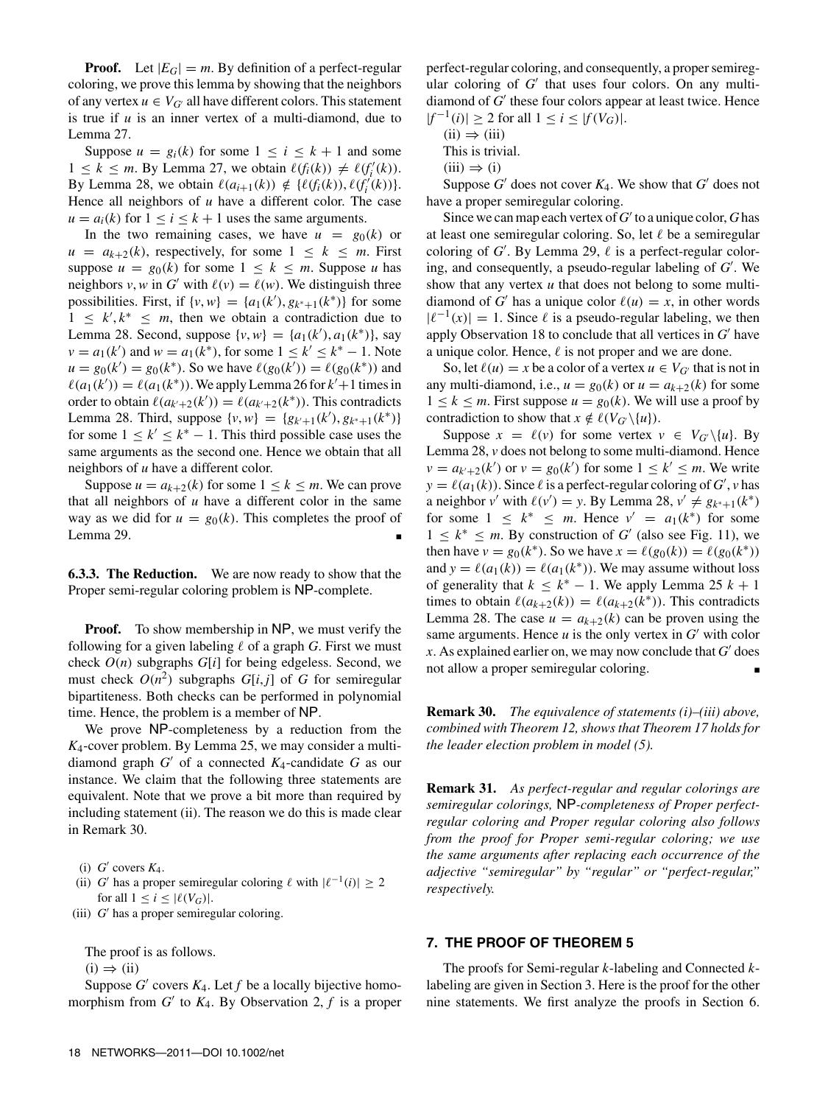**Proof.** Let  $|E_G| = m$ . By definition of a perfect-regular coloring, we prove this lemma by showing that the neighbors of any vertex  $u \in V_G$  all have different colors. This statement is true if *u* is an inner vertex of a multi-diamond, due to Lemma 27.

Suppose  $u = g_i(k)$  for some  $1 \le i \le k + 1$  and some  $1 \leq k \leq m$ . By Lemma 27, we obtain  $\ell(f_i(k)) \neq \ell(f'_i(k))$ . By Lemma 28, we obtain  $\ell(a_{i+1}(k)) \notin \{\ell(f_i(k)), \ell(f'_i(k))\}.$ Hence all neighbors of *u* have a different color. The case  $u = a_i(k)$  for  $1 \le i \le k + 1$  uses the same arguments.

In the two remaining cases, we have  $u = g_0(k)$  or  $u = a_{k+2}(k)$ , respectively, for some  $1 \leq k \leq m$ . First suppose  $u = g_0(k)$  for some  $1 \leq k \leq m$ . Suppose *u* has neighbors *v*, *w* in *G*<sup> $\prime$ </sup> with  $\ell(\nu) = \ell(\nu)$ . We distinguish three possibilities. First, if  $\{v, w\} = \{a_1(k'), g_{k^*+1}(k^*)\}$  for some  $1 \leq k^{\prime}, k^* \leq m$ , then we obtain a contradiction due to Lemma 28. Second, suppose  $\{v, w\} = \{a_1(k'), a_1(k^*)\}$ , say *v* =  $a_1(k')$  and  $w = a_1(k^*)$ , for some  $1 \leq k' \leq k^* - 1$ . Note  $u = g_0(k') = g_0(k^*)$ . So we have  $\ell(g_0(k')) = \ell(g_0(k^*))$  and  $\ell(a_1(k')) = \ell(a_1(k^*))$ . We apply Lemma 26 for  $k' + 1$  times in order to obtain  $\ell(a_{k'+2}(k')) = \ell(a_{k'+2}(k^*))$ . This contradicts Lemma 28. Third, suppose  $\{v, w\} = \{g_{k'+1}(k'), g_{k^*+1}(k^*)\}$ for some  $1 \leq k' \leq k^* - 1$ . This third possible case uses the same arguments as the second one. Hence we obtain that all neighbors of *u* have a different color.

Suppose  $u = a_{k+2}(k)$  for some  $1 \leq k \leq m$ . We can prove that all neighbors of *u* have a different color in the same way as we did for  $u = g_0(k)$ . This completes the proof of Lemma 29.

**6.3.3. The Reduction.** We are now ready to show that the Proper semi-regular coloring problem is NP-complete.

**Proof.** To show membership in NP, we must verify the following for a given labeling  $\ell$  of a graph *G*. First we must check *O*(*n*) subgraphs *G*[*i*] for being edgeless. Second, we must check  $O(n^2)$  subgraphs  $G[i, j]$  of  $G$  for semiregular bipartiteness. Both checks can be performed in polynomial time. Hence, the problem is a member of NP.

We prove NP-completeness by a reduction from the *K*4-cover problem. By Lemma 25, we may consider a multidiamond graph *G*\* of a connected *K*4-candidate *G* as our instance. We claim that the following three statements are equivalent. Note that we prove a bit more than required by including statement (ii). The reason we do this is made clear in Remark 30.

- (i)  $G'$  covers  $K_4$ .
- (ii) *G*<sup>\*</sup> has a proper semiregular coloring  $\ell$  with  $|\ell^{-1}(i)| \geq 2$ for all  $1 \leq i \leq |\ell(V_G)|$ .
- (iii) *G*\* has a proper semiregular coloring.

The proof is as follows.

 $(i) \Rightarrow (ii)$ 

Suppose  $G'$  covers  $K_4$ . Let  $f$  be a locally bijective homomorphism from  $G'$  to  $K_4$ . By Observation 2,  $f$  is a proper perfect-regular coloring, and consequently, a proper semiregular coloring of *G*<sup>'</sup> that uses four colors. On any multidiamond of *G*\* these four colors appear at least twice. Hence  $|f^{-1}(i)|$  ≥ 2 for all  $1 \le i \le |f(V_G)|$ .

 $(ii) \Rightarrow (iii)$ 

This is trivial.

Suppose  $G'$  does not cover  $K_4$ . We show that  $G'$  does not have a proper semiregular coloring.

Since we can map each vertex of *G*\* to a unique color, *G* has at least one semiregular coloring. So, let  $\ell$  be a semiregular coloring of  $G'$ . By Lemma 29,  $\ell$  is a perfect-regular coloring, and consequently, a pseudo-regular labeling of *G*\* . We show that any vertex *u* that does not belong to some multidiamond of *G*<sup> $\prime$ </sup> has a unique color  $\ell(u) = x$ , in other words  $|\ell^{-1}(x)| = 1$ . Since  $\ell$  is a pseudo-regular labeling, we then apply Observation 18 to conclude that all vertices in *G*\* have a unique color. Hence,  $\ell$  is not proper and we are done.

So, let  $\ell(u) = x$  be a color of a vertex  $u \in V_G$  that is not in any multi-diamond, i.e.,  $u = g_0(k)$  or  $u = a_{k+2}(k)$  for some  $1 \leq k \leq m$ . First suppose  $u = g_0(k)$ . We will use a proof by contradiction to show that  $x \notin \ell(V_{G'}\backslash\{u\})$ .

Suppose  $x = \ell(v)$  for some vertex  $v \in V_G \setminus \{u\}$ . By Lemma 28, *v* does not belong to some multi-diamond. Hence  $v = a_{k'+2}(k')$  or  $v = g_0(k')$  for some  $1 \le k' \le m$ . We write  $y = \ell(a_1(k))$ . Since  $\ell$  is a perfect-regular coloring of *G*', *v* has a neighbor *v'* with  $\ell(v') = y$ . By Lemma 28,  $v' \neq g_{k^*+1}(k^*)$ for some  $1 \leq k^* \leq m$ . Hence  $v' = a_1(k^*)$  for some  $1 \leq k^* \leq m$ . By construction of *G'* (also see Fig. 11), we then have  $v = g_0(k^*)$ . So we have  $x = \ell(g_0(k)) = \ell(g_0(k^*))$ and  $y = \ell(a_1(k)) = \ell(a_1(k^*))$ . We may assume without loss of generality that  $k \leq k^* - 1$ . We apply Lemma 25  $k + 1$ times to obtain  $\ell(a_{k+2}(k)) = \ell(a_{k+2}(k^*))$ . This contradicts Lemma 28. The case  $u = a_{k+2}(k)$  can be proven using the same arguments. Hence  $u$  is the only vertex in  $G'$  with color  $x$ . As explained earlier on, we may now conclude that  $G'$  does not allow a proper semiregular coloring.

**Remark 30.** *The equivalence of statements (i)–(iii) above, combined with Theorem 12, shows that Theorem 17 holds for the leader election problem in model (5).*

**Remark 31.** *As perfect-regular and regular colorings are semiregular colorings,* NP*-completeness of Proper perfectregular coloring and Proper regular coloring also follows from the proof for Proper semi-regular coloring; we use the same arguments after replacing each occurrence of the adjective "semiregular" by "regular" or "perfect-regular," respectively.*

# **7. THE PROOF OF THEOREM 5**

The proofs for Semi-regular *k*-labeling and Connected *k*labeling are given in Section 3. Here is the proof for the other nine statements. We first analyze the proofs in Section 6.

 $(iii) \Rightarrow (i)$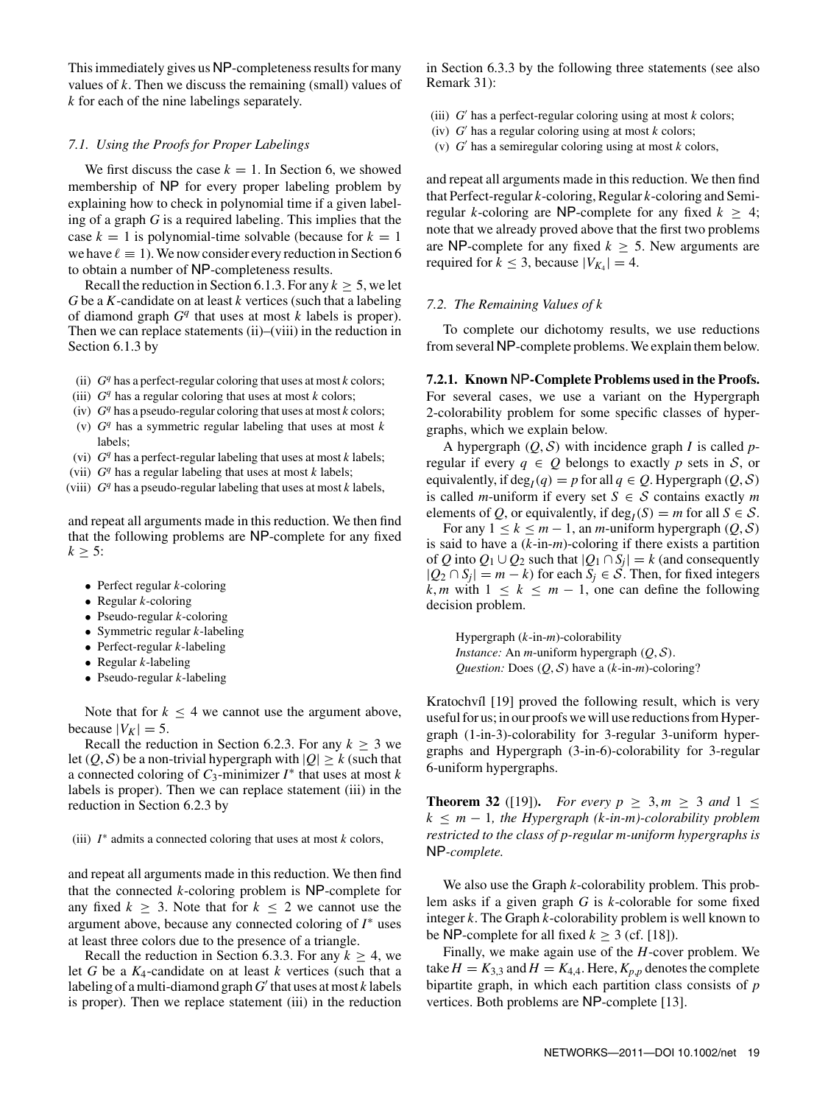This immediately gives us NP-completeness results for many values of *k*. Then we discuss the remaining (small) values of *k* for each of the nine labelings separately.

#### *7.1. Using the Proofs for Proper Labelings*

We first discuss the case  $k = 1$ . In Section 6, we showed membership of NP for every proper labeling problem by explaining how to check in polynomial time if a given labeling of a graph *G* is a required labeling. This implies that the case  $k = 1$  is polynomial-time solvable (because for  $k = 1$ ) we have  $\ell \equiv 1$ ). We now consider every reduction in Section 6 to obtain a number of NP-completeness results.

Recall the reduction in Section 6.1.3. For any  $k > 5$ , we let *G* be a *K*-candidate on at least *k* vertices (such that a labeling of diamond graph *G<sup>q</sup>* that uses at most *k* labels is proper). Then we can replace statements (ii)–(viii) in the reduction in Section 6.1.3 by

- (ii) *G<sup>q</sup>* has a perfect-regular coloring that uses at most *k* colors;
- (iii)  $G<sup>q</sup>$  has a regular coloring that uses at most *k* colors;
- (iv)  $G<sup>q</sup>$  has a pseudo-regular coloring that uses at most *k* colors;
- (v)  $G<sup>q</sup>$  has a symmetric regular labeling that uses at most  $k$ labels;
- (vi) *G<sup>q</sup>* has a perfect-regular labeling that uses at most *k* labels;
- (vii)  $G<sup>q</sup>$  has a regular labeling that uses at most *k* labels;
- (viii) *G<sup>q</sup>* has a pseudo-regular labeling that uses at most *k* labels,

and repeat all arguments made in this reduction. We then find that the following problems are NP-complete for any fixed  $k \geq 5$ :

- Perfect regular *k*-coloring
- Regular *k*-coloring
- Pseudo-regular *k*-coloring
- Symmetric regular *k*-labeling
- Perfect-regular *k*-labeling
- Regular *k*-labeling
- Pseudo-regular *k*-labeling

Note that for  $k \leq 4$  we cannot use the argument above, because  $|V_K| = 5$ .

Recall the reduction in Section 6.2.3. For any  $k \geq 3$  we let  $(Q, S)$  be a non-trivial hypergraph with  $|Q| \geq k$  (such that a connected coloring of *C*3-minimizer *I*<sup>∗</sup> that uses at most *k* labels is proper). Then we can replace statement (iii) in the reduction in Section 6.2.3 by

(iii) *I*∗ admits a connected coloring that uses at most *k* colors,

and repeat all arguments made in this reduction. We then find that the connected *k*-coloring problem is NP-complete for any fixed  $k \geq 3$ . Note that for  $k \leq 2$  we cannot use the argument above, because any connected coloring of *I*∗ uses at least three colors due to the presence of a triangle.

Recall the reduction in Section 6.3.3. For any  $k \geq 4$ , we let *G* be a *K*4-candidate on at least *k* vertices (such that a labeling of a multi-diamond graph*G*\* that uses at most *k* labels is proper). Then we replace statement (iii) in the reduction

in Section 6.3.3 by the following three statements (see also Remark 31):

- (iii)  $G'$  has a perfect-regular coloring using at most  $k$  colors;
- (iv) *G*\* has a regular coloring using at most *k* colors;
- (v) *G*\* has a semiregular coloring using at most *k* colors,

and repeat all arguments made in this reduction. We then find that Perfect-regular *k*-coloring, Regular *k*-coloring and Semiregular *k*-coloring are NP-complete for any fixed  $k \geq 4$ ; note that we already proved above that the first two problems are NP-complete for any fixed  $k \geq 5$ . New arguments are required for  $k \leq 3$ , because  $|V_{K_4}| = 4$ .

#### *7.2. The Remaining Values of k*

To complete our dichotomy results, we use reductions from several NP-complete problems.We explain them below.

**7.2.1. Known** NP**-Complete Problems used in the Proofs.** For several cases, we use a variant on the Hypergraph 2-colorability problem for some specific classes of hypergraphs, which we explain below.

A hypergraph  $(Q, S)$  with incidence graph *I* is called *p*regular if every  $q \in Q$  belongs to exactly p sets in S, or equivalently, if deg<sub>*I*</sub>(*q*) = *p* for all *q*  $\in$  *Q*. Hypergraph (*Q*, *S*) is called *m*-uniform if every set  $S \in S$  contains exactly *m* elements of *Q*, or equivalently, if deg<sub>*I*</sub>(*S*) = *m* for all *S*  $\in$  *S*.

For any  $1 \leq k \leq m-1$ , an *m*-uniform hypergraph  $(Q, S)$ is said to have a (*k*-in-*m*)-coloring if there exists a partition of *Q* into  $Q_1 \cup Q_2$  such that  $|Q_1 \cap S_j| = k$  (and consequently  $|Q_2 ∩ S_j| = m - k$  for each  $S_j ∈ S$ . Then, for fixed integers *k*, *m* with  $1 \leq k \leq m - 1$ , one can define the following decision problem.

Hypergraph (*k*-in-*m*)-colorability *Instance:* An *m*-uniform hypergraph (*Q*, S). *Question:* Does (*Q*, S) have a (*k*-in-*m*)-coloring?

Kratochvíl [19] proved the following result, which is very useful for us; in our proofs we will use reductions from Hypergraph (1-in-3)-colorability for 3-regular 3-uniform hypergraphs and Hypergraph (3-in-6)-colorability for 3-regular 6-uniform hypergraphs.

**Theorem 32** ([19]). *For every p*  $\geq 3, m \geq 3$  *and* 1  $\leq$  $k \leq m - 1$ *, the Hypergraph (k-in-m)-colorability problem restricted to the class of p-regular m-uniform hypergraphs is* NP*-complete.*

We also use the Graph *k*-colorability problem. This problem asks if a given graph *G* is *k*-colorable for some fixed integer *k*. The Graph *k*-colorability problem is well known to be NP-complete for all fixed  $k \geq 3$  (cf. [18]).

Finally, we make again use of the *H*-cover problem. We take  $H = K_{3,3}$  and  $H = K_{4,4}$ . Here,  $K_{p,p}$  denotes the complete bipartite graph, in which each partition class consists of *p* vertices. Both problems are NP-complete [13].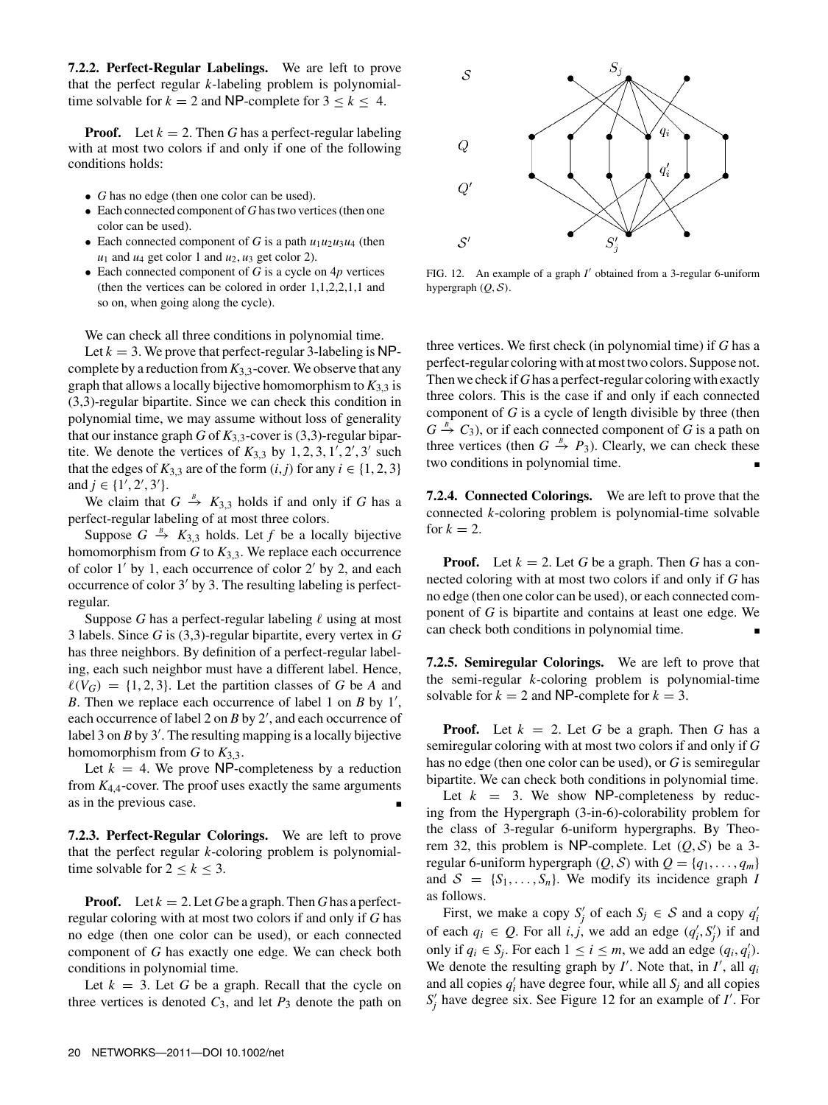**7.2.2. Perfect-Regular Labelings.** We are left to prove that the perfect regular *k*-labeling problem is polynomialtime solvable for  $k = 2$  and NP-complete for  $3 \leq k \leq 4$ .

**Proof.** Let  $k = 2$ . Then *G* has a perfect-regular labeling with at most two colors if and only if one of the following conditions holds:

- *G* has no edge (then one color can be used).
- Each connected component of *G* has two vertices (then one color can be used).
- Each connected component of *G* is a path  $u_1u_2u_3u_4$  (then  $u_1$  and  $u_4$  get color 1 and  $u_2$ ,  $u_3$  get color 2).
- Each connected component of *G* is a cycle on 4*p* vertices (then the vertices can be colored in order 1,1,2,2,1,1 and so on, when going along the cycle).

We can check all three conditions in polynomial time.

Let  $k = 3$ . We prove that perfect-regular 3-labeling is NPcomplete by a reduction from *K*3,3-cover. We observe that any graph that allows a locally bijective homomorphism to  $K_{3,3}$  is (3,3)-regular bipartite. Since we can check this condition in polynomial time, we may assume without loss of generality that our instance graph  $G$  of  $K_{3,3}$ -cover is (3,3)-regular bipartite. We denote the vertices of  $K_{3,3}$  by  $1, 2, 3, 1', 2', 3'$  such that the edges of  $K_{3,3}$  are of the form  $(i, j)$  for any  $i \in \{1, 2, 3\}$ and  $j \in \{1', 2', 3'\}.$ 

We claim that  $G \stackrel{B}{\rightarrow} K_{3,3}$  holds if and only if *G* has a perfect-regular labeling of at most three colors.

Suppose  $G \stackrel{B}{\rightarrow} K_{3,3}$  holds. Let  $f$  be a locally bijective homomorphism from  $G$  to  $K_{3,3}$ . We replace each occurrence of color  $1'$  by 1, each occurrence of color  $2'$  by 2, and each occurrence of color  $3'$  by 3. The resulting labeling is perfectregular.

Suppose *G* has a perfect-regular labeling  $\ell$  using at most 3 labels. Since *G* is (3,3)-regular bipartite, every vertex in *G* has three neighbors. By definition of a perfect-regular labeling, each such neighbor must have a different label. Hence,  $\ell(V_G) = \{1, 2, 3\}$ . Let the partition classes of G be A and *B*. Then we replace each occurrence of label 1 on *B* by 1', each occurrence of label 2 on *B* by 2', and each occurrence of label 3 on *B* by 3'. The resulting mapping is a locally bijective homomorphism from  $G$  to  $K_{3,3}$ .

Let  $k = 4$ . We prove NP-completeness by a reduction from  $K_{4,4}$ -cover. The proof uses exactly the same arguments as in the previous case.

**7.2.3. Perfect-Regular Colorings.** We are left to prove that the perfect regular *k*-coloring problem is polynomialtime solvable for  $2 \leq k \leq 3$ .

**Proof.** Let  $k = 2$ . Let *G* be a graph. Then *G* has a perfectregular coloring with at most two colors if and only if *G* has no edge (then one color can be used), or each connected component of *G* has exactly one edge. We can check both conditions in polynomial time.

Let  $k = 3$ . Let G be a graph. Recall that the cycle on three vertices is denoted  $C_3$ , and let  $P_3$  denote the path on



FIG. 12. An example of a graph *I'* obtained from a 3-regular 6-uniform hypergraph  $(Q, S)$ .

three vertices. We first check (in polynomial time) if *G* has a perfect-regular coloring with at most two colors. Suppose not. Then we check if*G*has a perfect-regular coloring with exactly three colors. This is the case if and only if each connected component of *G* is a cycle of length divisible by three (then  $G \stackrel{B}{\rightarrow} C_3$ ), or if each connected component of *G* is a path on three vertices (then  $G \stackrel{B}{\rightarrow} P_3$ ). Clearly, we can check these two conditions in polynomial time.

**7.2.4. Connected Colorings.** We are left to prove that the connected *k*-coloring problem is polynomial-time solvable for  $k = 2$ .

**Proof.** Let  $k = 2$ . Let G be a graph. Then G has a connected coloring with at most two colors if and only if *G* has no edge (then one color can be used), or each connected component of *G* is bipartite and contains at least one edge. We can check both conditions in polynomial time.

**7.2.5. Semiregular Colorings.** We are left to prove that the semi-regular *k*-coloring problem is polynomial-time solvable for  $k = 2$  and NP-complete for  $k = 3$ .

**Proof.** Let  $k = 2$ . Let *G* be a graph. Then *G* has a semiregular coloring with at most two colors if and only if *G* has no edge (then one color can be used), or *G* is semiregular bipartite. We can check both conditions in polynomial time.

Let  $k = 3$ . We show NP-completeness by reducing from the Hypergraph (3-in-6)-colorability problem for the class of 3-regular 6-uniform hypergraphs. By Theorem 32, this problem is NP-complete. Let  $(0, S)$  be a 3regular 6-uniform hypergraph  $(Q, S)$  with  $Q = \{q_1, \ldots, q_m\}$ and  $S = \{S_1, \ldots, S_n\}$ . We modify its incidence graph *I* as follows.

First, we make a copy  $S'_j$  of each  $S_j \in S$  and a copy  $q'_i$ of each  $q_i \in Q$ . For all *i, j*, we add an edge  $(q'_i, S'_j)$  if and only if  $q_i$  ∈  $S_j$ . For each  $1 \le i \le m$ , we add an edge  $(q_i, q'_i)$ . We denote the resulting graph by  $I'$ . Note that, in  $I'$ , all  $q_i$ and all copies  $q'_i$  have degree four, while all  $S_j$  and all copies *S*<sup>'</sup><sub>*j*</sub> have degree six. See Figure 12 for an example of *I*<sup>'</sup>. For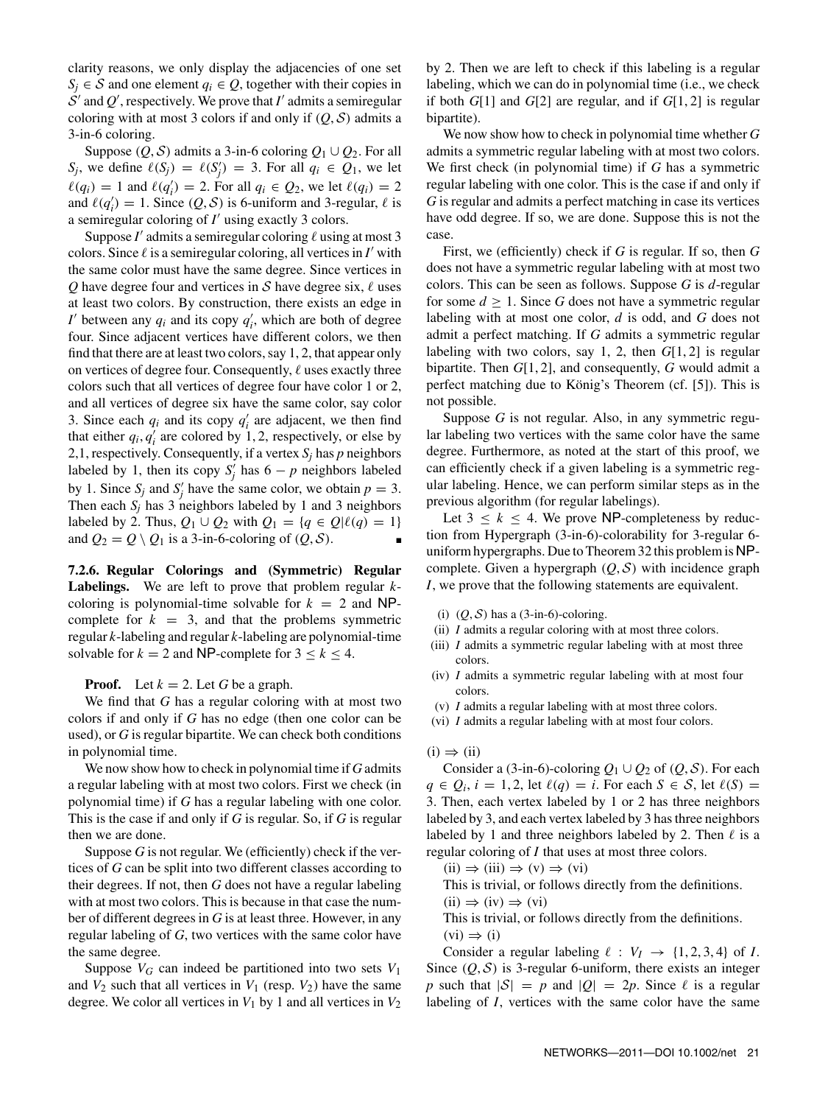clarity reasons, we only display the adjacencies of one set *S<sub>i</sub>* ∈ *S* and one element  $q_i$  ∈ *Q*, together with their copies in  $S'$  and  $Q'$ , respectively. We prove that  $I'$  admits a semiregular coloring with at most 3 colors if and only if  $(Q, S)$  admits a 3-in-6 coloring.

Suppose  $(Q, S)$  admits a 3-in-6 coloring  $Q_1 \cup Q_2$ . For all *S<sub>j</sub>*, we define  $\ell(S_j) = \ell(S'_j) = 3$ . For all  $q_i \in Q_1$ , we let  $\ell(q_i) = 1$  and  $\ell(q'_i) = 2$ . For all  $q_i \in Q_2$ , we let  $\ell(q_i) = 2$ and  $\ell(q'_i) = 1$ . Since  $(Q, S)$  is 6-uniform and 3-regular,  $\ell$  is a semiregular coloring of *I*\* using exactly 3 colors.

Suppose  $I'$  admits a semiregular coloring  $\ell$  using at most 3 colors. Since  $\ell$  is a semiregular coloring, all vertices in  $I'$  with the same color must have the same degree. Since vertices in *Q* have degree four and vertices in S have degree six,  $\ell$  uses at least two colors. By construction, there exists an edge in *I*' between any  $q_i$  and its copy  $q'_i$ , which are both of degree four. Since adjacent vertices have different colors, we then find that there are at least two colors, say 1, 2, that appear only on vertices of degree four. Consequently,  $\ell$  uses exactly three colors such that all vertices of degree four have color 1 or 2, and all vertices of degree six have the same color, say color 3. Since each  $q_i$  and its copy  $q'_i$  are adjacent, we then find that either  $q_i, q'_i$  are colored by 1, 2, respectively, or else by 2,1, respectively. Consequently, if a vertex  $S_j$  has  $p$  neighbors labeled by 1, then its copy  $S'_j$  has  $6 - p$  neighbors labeled by 1. Since  $S_j$  and  $S'_j$  have the same color, we obtain  $p = 3$ . Then each  $S_i$  has 3 neighbors labeled by 1 and 3 neighbors labeled by 2. Thus,  $Q_1 \cup Q_2$  with  $Q_1 = \{q \in Q | \ell(q) = 1\}$ and  $Q_2 = Q \setminus Q_1$  is a 3-in-6-coloring of  $(Q, S)$ .

**7.2.6. Regular Colorings and (Symmetric) Regular Labelings.** We are left to prove that problem regular *k*coloring is polynomial-time solvable for  $k = 2$  and NPcomplete for  $k = 3$ , and that the problems symmetric regular *k*-labeling and regular *k*-labeling are polynomial-time solvable for  $k = 2$  and NP-complete for  $3 \le k \le 4$ .

**Proof.** Let  $k = 2$ . Let G be a graph.

We find that *G* has a regular coloring with at most two colors if and only if *G* has no edge (then one color can be used), or *G* is regular bipartite. We can check both conditions in polynomial time.

We now show how to check in polynomial time if *G* admits a regular labeling with at most two colors. First we check (in polynomial time) if *G* has a regular labeling with one color. This is the case if and only if *G* is regular. So, if *G* is regular then we are done.

Suppose *G* is not regular. We (efficiently) check if the vertices of *G* can be split into two different classes according to their degrees. If not, then *G* does not have a regular labeling with at most two colors. This is because in that case the number of different degrees in *G* is at least three. However, in any regular labeling of *G*, two vertices with the same color have the same degree.

Suppose  $V_G$  can indeed be partitioned into two sets  $V_1$ and  $V_2$  such that all vertices in  $V_1$  (resp.  $V_2$ ) have the same degree. We color all vertices in  $V_1$  by 1 and all vertices in  $V_2$  by 2. Then we are left to check if this labeling is a regular labeling, which we can do in polynomial time (i.e., we check if both *G*[1] and *G*[2] are regular, and if *G*[1, 2] is regular bipartite).

We now show how to check in polynomial time whether *G* admits a symmetric regular labeling with at most two colors. We first check (in polynomial time) if *G* has a symmetric regular labeling with one color. This is the case if and only if *G* is regular and admits a perfect matching in case its vertices have odd degree. If so, we are done. Suppose this is not the case.

First, we (efficiently) check if *G* is regular. If so, then *G* does not have a symmetric regular labeling with at most two colors. This can be seen as follows. Suppose *G* is *d*-regular for some  $d > 1$ . Since G does not have a symmetric regular labeling with at most one color, *d* is odd, and *G* does not admit a perfect matching. If *G* admits a symmetric regular labeling with two colors, say 1, 2, then *G*[1, 2] is regular bipartite. Then *G*[1, 2], and consequently, *G* would admit a perfect matching due to König's Theorem (cf. [5]). This is not possible.

Suppose *G* is not regular. Also, in any symmetric regular labeling two vertices with the same color have the same degree. Furthermore, as noted at the start of this proof, we can efficiently check if a given labeling is a symmetric regular labeling. Hence, we can perform similar steps as in the previous algorithm (for regular labelings).

Let  $3 \leq k \leq 4$ . We prove NP-completeness by reduction from Hypergraph (3-in-6)-colorability for 3-regular 6 uniform hypergraphs. Due to Theorem 32 this problem is NPcomplete. Given a hypergraph  $(Q, S)$  with incidence graph *I*, we prove that the following statements are equivalent.

- (i)  $(Q, S)$  has a (3-in-6)-coloring.
- (ii) *I* admits a regular coloring with at most three colors.
- (iii) *I* admits a symmetric regular labeling with at most three colors.
- (iv) *I* admits a symmetric regular labeling with at most four colors.
- (v) *I* admits a regular labeling with at most three colors.
- (vi) *I* admits a regular labeling with at most four colors.

#### $(i) \Rightarrow (ii)$

Consider a (3-in-6)-coloring  $Q_1 \cup Q_2$  of  $(Q, S)$ . For each  $q \in Q_i$ ,  $i = 1, 2$ , let  $\ell(q) = i$ . For each  $S \in S$ , let  $\ell(S) =$ 3. Then, each vertex labeled by 1 or 2 has three neighbors labeled by 3, and each vertex labeled by 3 has three neighbors labeled by 1 and three neighbors labeled by 2. Then  $\ell$  is a regular coloring of *I* that uses at most three colors.

 $(ii) \Rightarrow (iii) \Rightarrow (v) \Rightarrow (vi)$ 

This is trivial, or follows directly from the definitions.

 $(ii) \Rightarrow (iv) \Rightarrow (vi)$ 

This is trivial, or follows directly from the definitions.  $(vi) \Rightarrow (i)$ 

Consider a regular labeling  $\ell : V_I \to \{1, 2, 3, 4\}$  of *I*. Since  $(Q, S)$  is 3-regular 6-uniform, there exists an integer *p* such that  $|S| = p$  and  $|Q| = 2p$ . Since  $\ell$  is a regular labeling of *I*, vertices with the same color have the same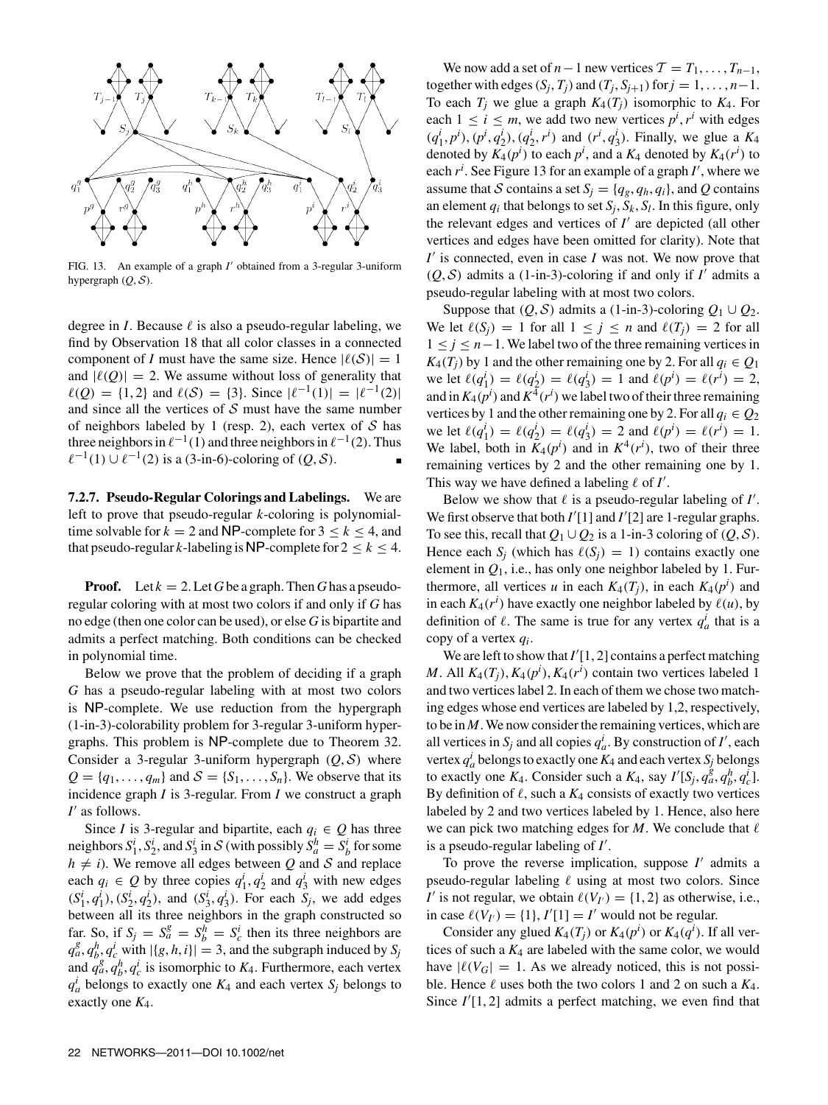

FIG. 13. An example of a graph *I*\* obtained from a 3-regular 3-uniform hypergraph  $(Q, S)$ .

degree in *I*. Because  $\ell$  is also a pseudo-regular labeling, we find by Observation 18 that all color classes in a connected component of *I* must have the same size. Hence  $|\ell(S)| = 1$ and  $|\ell(Q)| = 2$ . We assume without loss of generality that  $\ell(Q) = \{1, 2\}$  and  $\ell(S) = \{3\}$ . Since  $|\ell^{-1}(1)| = |\ell^{-1}(2)|$ and since all the vertices of  $S$  must have the same number of neighbors labeled by 1 (resp. 2), each vertex of  $S$  has three neighbors in  $\ell^{-1}(1)$  and three neighbors in  $\ell^{-1}(2)$ . Thus  $\ell^{-1}(1) \cup \ell^{-1}(2)$  is a (3-in-6)-coloring of (*Q*, *S*).

**7.2.7. Pseudo-Regular Colorings and Labelings.** We are left to prove that pseudo-regular *k*-coloring is polynomialtime solvable for  $k = 2$  and NP-complete for  $3 \le k \le 4$ , and that pseudo-regular *k*-labeling is NP-complete for  $2 \le k \le 4$ .

**Proof.** Let  $k = 2$ . Let G be a graph. Then G has a pseudoregular coloring with at most two colors if and only if *G* has no edge (then one color can be used), or else *G* is bipartite and admits a perfect matching. Both conditions can be checked in polynomial time.

Below we prove that the problem of deciding if a graph *G* has a pseudo-regular labeling with at most two colors is NP-complete. We use reduction from the hypergraph (1-in-3)-colorability problem for 3-regular 3-uniform hypergraphs. This problem is NP-complete due to Theorem 32. Consider a 3-regular 3-uniform hypergraph  $(Q, S)$  where  $Q = \{q_1, \ldots, q_m\}$  and  $S = \{S_1, \ldots, S_n\}$ . We observe that its incidence graph *I* is 3-regular. From *I* we construct a graph *I*\* as follows.

Since *I* is 3-regular and bipartite, each  $q_i \in Q$  has three neighbors  $S_1^i$ ,  $S_2^i$ , and  $S_3^i$  in  $S$  (with possibly  $S_a^h = S_b^i$  for some  $h \neq i$ ). We remove all edges between *Q* and *S* and replace each  $q_i \in Q$  by three copies  $q_1^i, q_2^i$  and  $q_3^i$  with new edges  $(S_1^i, q_1^i)$ ,  $(S_2^i, q_2^i)$ , and  $(S_3^i, q_3^i)$ . For each  $S_j$ , we add edges between all its three neighbors in the graph constructed so far. So, if  $S_j = S_a^g = S_b^h = S_c^i$  then its three neighbors are  $q_a^g$ ,  $q_b^h$ ,  $q_c^i$  with  $|\{g, h, i\}| = 3$ , and the subgraph induced by *S<sub>j</sub>* and  $q_a^g$ ,  $q_b^h$ ,  $q_c^i$  is isomorphic to  $K_4$ . Furthermore, each vertex  $q_a^i$  belongs to exactly one  $K_4$  and each vertex  $S_j$  belongs to exactly one *K*4.

We now add a set of  $n-1$  new vertices  $T = T_1, \ldots, T_{n-1}$ , together with edges  $(S_j, T_j)$  and  $(T_j, S_{j+1})$  for  $j = 1, ..., n-1$ . To each  $T_i$  we glue a graph  $K_4(T_i)$  isomorphic to  $K_4$ . For each  $1 \le i \le m$ , we add two new vertices  $p^i, r^i$  with edges  $(q_1^i, p^i)$ ,  $(p^i, q_2^i)$ ,  $(q_2^i, r^i)$  and  $(r^i, q_3^i)$ . Finally, we glue a  $K_4$ denoted by  $K_4(p^i)$  to each  $p^i$ , and a  $K_4$  denoted by  $K_4(r^i)$  to each  $r^i$ . See Figure 13 for an example of a graph  $I'$ , where we assume that S contains a set  $S_j = \{q_g, q_h, q_i\}$ , and Q contains an element  $q_i$  that belongs to set  $S_i$ ,  $S_k$ ,  $S_l$ . In this figure, only the relevant edges and vertices of *I*\* are depicted (all other vertices and edges have been omitted for clarity). Note that *I*<sup>\*</sup> is connected, even in case *I* was not. We now prove that  $(Q, S)$  admits a (1-in-3)-coloring if and only if *I'* admits a pseudo-regular labeling with at most two colors.

Suppose that  $(Q, S)$  admits a (1-in-3)-coloring  $Q_1 \cup Q_2$ . We let  $\ell(S_i) = 1$  for all  $1 \leq i \leq n$  and  $\ell(T_i) = 2$  for all 1 ≤ *j* ≤ *n*−1. We label two of the three remaining vertices in  $K_4(T_i)$  by 1 and the other remaining one by 2. For all  $q_i \in Q_1$ we let  $\ell(q_1^i) = \ell(q_2^i) = \ell(q_3^i) = 1$  and  $\ell(p^i) = \ell(r^i) = 2$ , and in  $K_4(p^i)$  and  $K^4(r^i)$  we label two of their three remaining vertices by 1 and the other remaining one by 2. For all  $q_i \in Q_2$ we let  $\ell(q_1^i) = \ell(q_2^i) = \ell(q_3^i) = 2$  and  $\ell(p^i) = \ell(r^i) = 1$ . We label, both in  $K_4(p^i)$  and in  $K^4(r^i)$ , two of their three remaining vertices by 2 and the other remaining one by 1. This way we have defined a labeling  $\ell$  of  $I'$ .

Below we show that  $\ell$  is a pseudo-regular labeling of  $I'$ . We first observe that both *I*'[1] and *I*'[2] are 1-regular graphs. To see this, recall that  $Q_1 \cup Q_2$  is a 1-in-3 coloring of  $(Q, S)$ . Hence each  $S_i$  (which has  $\ell(S_i) = 1$ ) contains exactly one element in  $Q_1$ , i.e., has only one neighbor labeled by 1. Furthermore, all vertices *u* in each  $K_4(T_j)$ , in each  $K_4(p^i)$  and in each  $K_4(r^i)$  have exactly one neighbor labeled by  $\ell(u)$ , by definition of  $\ell$ . The same is true for any vertex  $q_a^i$  that is a copy of a vertex *qi*.

We are left to show that  $I'[1, 2]$  contains a perfect matching *M*. All  $K_4(T_j)$ ,  $K_4(p^i)$ ,  $K_4(r^i)$  contain two vertices labeled 1 and two vertices label 2. In each of them we chose two matching edges whose end vertices are labeled by 1,2, respectively, to be in *M*.We now consider the remaining vertices, which are all vertices in  $S_j$  and all copies  $q_a^i$ . By construction of *I'*, each vertex  $q_a^i$  belongs to exactly one  $K_4$  and each vertex  $S_j$  belongs to exactly one  $K_4$ . Consider such a  $K_4$ , say  $I'[S_j, q_a^g, q_b^h, q_c^i]$ . By definition of  $\ell$ , such a  $K_4$  consists of exactly two vertices labeled by 2 and two vertices labeled by 1. Hence, also here we can pick two matching edges for  $M$ . We conclude that  $\ell$ is a pseudo-regular labeling of *I*\* .

To prove the reverse implication, suppose *I*\* admits a pseudo-regular labeling  $\ell$  using at most two colors. Since *I*<sup>\*</sup> is not regular, we obtain  $\ell(V_V) = \{1, 2\}$  as otherwise, i.e., in case  $\ell(V_I) = \{1\}, I'[1] = I'$  would not be regular.

Consider any glued  $K_4(T_j)$  or  $K_4(p^i)$  or  $K_4(q^i)$ . If all vertices of such a  $K_4$  are labeled with the same color, we would have  $|\ell(V_G)| = 1$ . As we already noticed, this is not possible. Hence  $\ell$  uses both the two colors 1 and 2 on such a  $K_4$ . Since  $I'[1, 2]$  admits a perfect matching, we even find that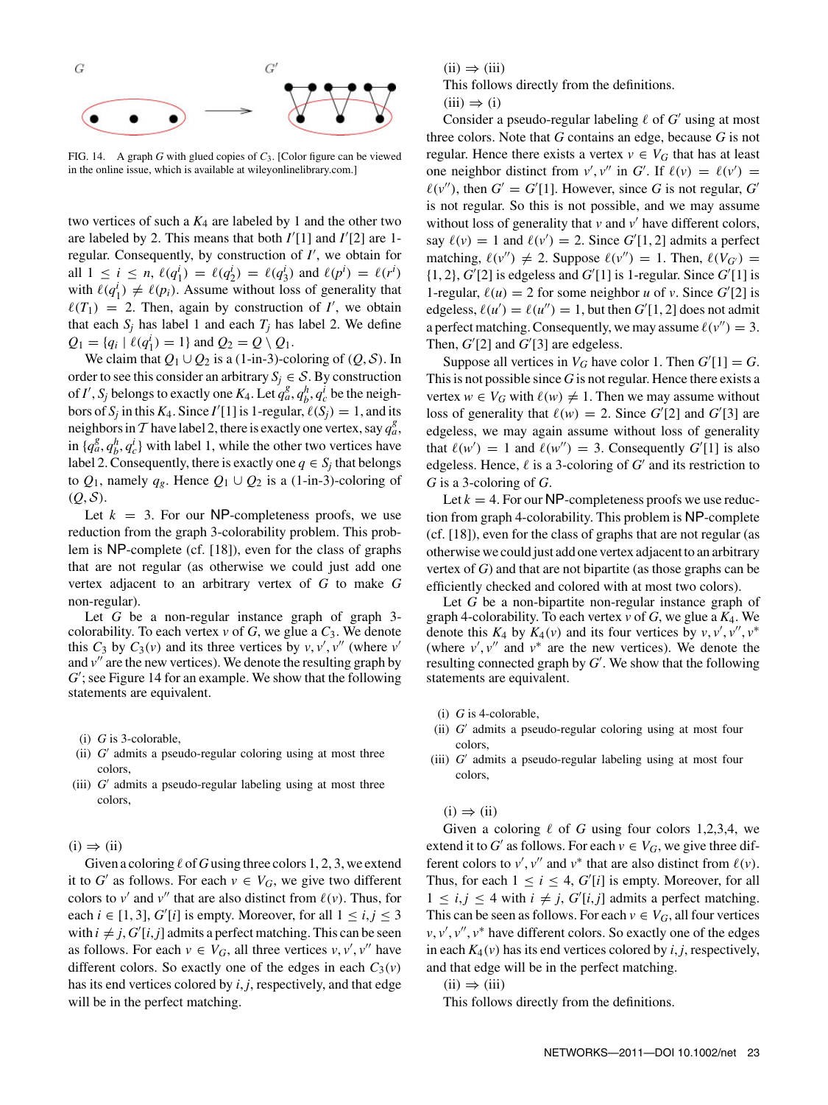

FIG. 14. A graph *G* with glued copies of *C*3. [Color figure can be viewed in the online issue, which is available at wileyonlinelibrary.com.]

two vertices of such a  $K_4$  are labeled by 1 and the other two are labeled by 2. This means that both  $I'[1]$  and  $I'[2]$  are 1regular. Consequently, by construction of *I*\* , we obtain for all  $1 \le i \le n$ ,  $\ell(q_1^i) = \ell(q_2^i) = \ell(q_3^i)$  and  $\ell(p^i) = \ell(r^i)$ with  $\ell(q_1^i) \neq \ell(p_i)$ . Assume without loss of generality that  $\ell(T_1) = 2$ . Then, again by construction of *I'*, we obtain that each  $S_i$  has label 1 and each  $T_i$  has label 2. We define  $Q_1 = \{q_i \mid \ell(q_1^i) = 1\}$  and  $Q_2 = Q \setminus Q_1$ .

We claim that  $Q_1 \cup Q_2$  is a (1-in-3)-coloring of  $(Q, S)$ . In order to see this consider an arbitrary  $S_i \in \mathcal{S}$ . By construction of *I'*,  $S_j$  belongs to exactly one  $K_4$ . Let  $q_a^g$ ,  $q_b^h$ ,  $q_c^i$  be the neighbors of *S<sub>j</sub>* in this *K*<sub>4</sub>. Since *I'*[1] is 1-regular,  $\ell(S_j) = 1$ , and its neighbors in T have label 2, there is exactly one vertex, say  $q_a^g$ , in  $\{q_a^g, q_b^h, q_c^i\}$  with label 1, while the other two vertices have label 2. Consequently, there is exactly one  $q \in S_i$  that belongs to  $Q_1$ , namely  $q_g$ . Hence  $Q_1 \cup Q_2$  is a (1-in-3)-coloring of  $(Q, \mathcal{S}).$ 

Let  $k = 3$ . For our NP-completeness proofs, we use reduction from the graph 3-colorability problem. This problem is NP-complete (cf. [18]), even for the class of graphs that are not regular (as otherwise we could just add one vertex adjacent to an arbitrary vertex of *G* to make *G* non-regular).

Let *G* be a non-regular instance graph of graph 3colorability. To each vertex  $\nu$  of *G*, we glue a  $C_3$ . We denote this  $C_3$  by  $C_3(v)$  and its three vertices by  $v, v', v''$  (where  $v'$ and  $v''$  are the new vertices). We denote the resulting graph by *G*\* ; see Figure 14 for an example. We show that the following statements are equivalent.

- (i) *G* is 3-colorable,
- (ii) *G*\* admits a pseudo-regular coloring using at most three colors,
- (iii) *G*\* admits a pseudo-regular labeling using at most three colors,

 $(i) \Rightarrow (ii)$ 

Given a coloring  $\ell$  of G using three colors 1, 2, 3, we extend it to *G*<sup> $\prime$ </sup> as follows. For each  $v \in V_G$ , we give two different colors to  $v'$  and  $v''$  that are also distinct from  $\ell(v)$ . Thus, for each  $i \in [1, 3]$ ,  $G'[i]$  is empty. Moreover, for all  $1 \le i, j \le 3$ with  $i \neq j$ ,  $G'[i, j]$  admits a perfect matching. This can be seen as follows. For each  $v \in V_G$ , all three vertices  $v, v', v''$  have different colors. So exactly one of the edges in each  $C_3(v)$ has its end vertices colored by *i*, *j*, respectively, and that edge will be in the perfect matching.

 $(ii) \Rightarrow (iii)$ 

This follows directly from the definitions.



Consider a pseudo-regular labeling  $\ell$  of  $G'$  using at most three colors. Note that *G* contains an edge, because *G* is not regular. Hence there exists a vertex  $v \in V_G$  that has at least one neighbor distinct from  $v', v''$  in *G*'. If  $\ell(v) = \ell(v') =$  $\ell(v'')$ , then  $G' = G'[1]$ . However, since G is not regular, G' is not regular. So this is not possible, and we may assume without loss of generality that  $\nu$  and  $\nu'$  have different colors, say  $\ell(v) = 1$  and  $\ell(v') = 2$ . Since  $G'[1, 2]$  admits a perfect matching,  $\ell(v'') \neq 2$ . Suppose  $\ell(v'') = 1$ . Then,  $\ell(V_G) =$  $\{1, 2\}, G'[2]$  is edgeless and  $G'[1]$  is 1-regular. Since  $G'[1]$  is 1-regular,  $\ell(u) = 2$  for some neighbor *u* of *v*. Since  $G'[2]$  is edgeless,  $\ell(u') = \ell(u'') = 1$ , but then  $G'[1, 2]$  does not admit a perfect matching. Consequently, we may assume  $\ell(v'') = 3$ . Then,  $G'[2]$  and  $G'[3]$  are edgeless.

Suppose all vertices in  $V_G$  have color 1. Then  $G'[1] = G$ . This is not possible since *G* is not regular. Hence there exists a vertex  $w \in V_G$  with  $\ell(w) \neq 1$ . Then we may assume without loss of generality that  $\ell(w) = 2$ . Since *G*<sup>'</sup>[2] and *G*<sup>'</sup>[3] are edgeless, we may again assume without loss of generality that  $\ell(w') = 1$  and  $\ell(w'') = 3$ . Consequently  $G'[1]$  is also edgeless. Hence,  $\ell$  is a 3-coloring of  $G'$  and its restriction to *G* is a 3-coloring of *G*.

Let  $k = 4$ . For our NP-completeness proofs we use reduction from graph 4-colorability. This problem is NP-complete (cf. [18]), even for the class of graphs that are not regular (as otherwise we could just add one vertex adjacent to an arbitrary vertex of *G*) and that are not bipartite (as those graphs can be efficiently checked and colored with at most two colors).

Let *G* be a non-bipartite non-regular instance graph of graph 4-colorability. To each vertex *v* of *G*, we glue a *K*4. We denote this  $K_4$  by  $K_4(v)$  and its four vertices by  $v, v', v'', v^*$ (where  $v', v''$  and  $v^*$  are the new vertices). We denote the resulting connected graph by *G*\* . We show that the following statements are equivalent.

- (i) *G* is 4-colorable,
- (ii) *G*\* admits a pseudo-regular coloring using at most four colors,
- (iii) *G*\* admits a pseudo-regular labeling using at most four colors,

 $(i) \Rightarrow (ii)$ 

Given a coloring  $\ell$  of *G* using four colors 1,2,3,4, we extend it to *G*<sup> $\prime$ </sup> as follows. For each  $v \in V_G$ , we give three different colors to  $v'$ ,  $v''$  and  $v^*$  that are also distinct from  $\ell(v)$ . Thus, for each  $1 \le i \le 4$ ,  $G'[i]$  is empty. Moreover, for all  $1 \le i, j \le 4$  with  $i \ne j, G'[i,j]$  admits a perfect matching. This can be seen as follows. For each  $v \in V_G$ , all four vertices *v*, *v'*, *v*<sup>"</sup>, *v*<sup>\*</sup> have different colors. So exactly one of the edges in each  $K_4(v)$  has its end vertices colored by *i*, *j*, respectively, and that edge will be in the perfect matching.

 $(ii) \Rightarrow (iii)$ 

This follows directly from the definitions.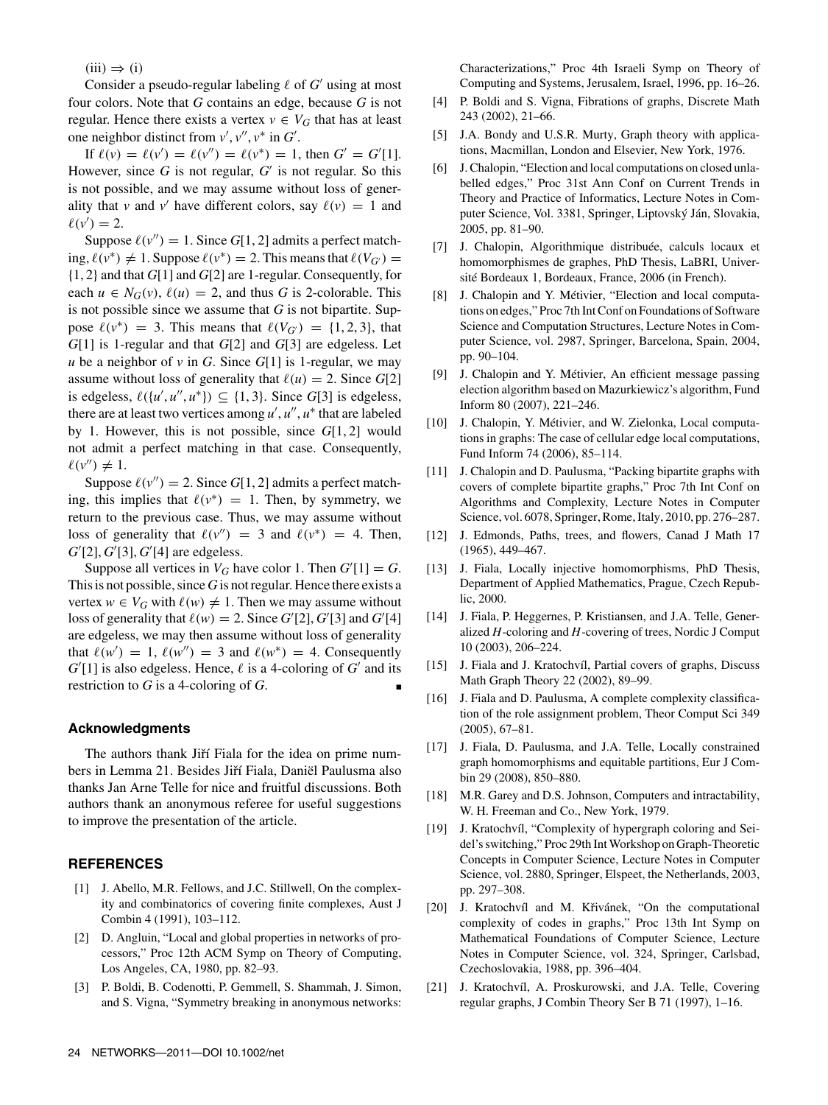$(iii) \Rightarrow (i)$ 

Consider a pseudo-regular labeling  $\ell$  of  $G'$  using at most four colors. Note that *G* contains an edge, because *G* is not regular. Hence there exists a vertex  $v \in V_G$  that has at least one neighbor distinct from  $v', v'', v^*$  in  $G'$ .

If  $\ell(v) = \ell(v') = \ell(v'') = \ell(v^*) = 1$ , then  $G' = G'[1]$ . However, since *G* is not regular, *G*\* is not regular. So this is not possible, and we may assume without loss of generality that *v* and *v*<sup>'</sup> have different colors, say  $\ell(v) = 1$  and  $\ell(v') = 2.$ 

Suppose  $\ell(v'') = 1$ . Since *G*[1, 2] admits a perfect matching,  $\ell(v^*)$  ≠ 1. Suppose  $\ell(v^*)$  = 2. This means that  $\ell(V_G)$  = {1, 2} and that *G*[1] and *G*[2] are 1-regular. Consequently, for each  $u \in N_G(v)$ ,  $\ell(u) = 2$ , and thus *G* is 2-colorable. This is not possible since we assume that *G* is not bipartite. Suppose  $\ell(v^*)$  = 3. This means that  $\ell(V_{G'})$  = {1, 2, 3}, that *G*[1] is 1-regular and that *G*[2] and *G*[3] are edgeless. Let *u* be a neighbor of *v* in *G*. Since  $G[1]$  is 1-regular, we may assume without loss of generality that  $\ell(u) = 2$ . Since *G*[2] is edgeless,  $\ell({w', u'', u^*}) \subseteq {1, 3}$ . Since *G*[3] is edgeless, there are at least two vertices among  $u', u'', u^*$  that are labeled by 1. However, this is not possible, since *G*[1, 2] would not admit a perfect matching in that case. Consequently,  $\ell(v'') \neq 1.$ 

Suppose  $\ell(v'') = 2$ . Since *G*[1, 2] admits a perfect matching, this implies that  $\ell(v^*) = 1$ . Then, by symmetry, we return to the previous case. Thus, we may assume without loss of generality that  $\ell(v'') = 3$  and  $\ell(v^*) = 4$ . Then, *G*\* [2], *G*\* [3], *G*\* [4] are edgeless.

Suppose all vertices in  $V_G$  have color 1. Then  $G'[1] = G$ . This is not possible, since *G* is not regular. Hence there exists a vertex  $w \in V_G$  with  $\ell(w) \neq 1$ . Then we may assume without loss of generality that  $\ell(w) = 2$ . Since  $G'[2]$ ,  $G'[3]$  and  $G'[4]$ are edgeless, we may then assume without loss of generality that  $\ell(w') = 1$ ,  $\ell(w'') = 3$  and  $\ell(w^*) = 4$ . Consequently  $G'[1]$  is also edgeless. Hence,  $\ell$  is a 4-coloring of  $G'$  and its restriction to  $G$  is a 4-coloring of  $G$ .

### **Acknowledgments**

The authors thank Jiří Fiala for the idea on prime numbers in Lemma 21. Besides Jiří Fiala, Daniël Paulusma also thanks Jan Arne Telle for nice and fruitful discussions. Both authors thank an anonymous referee for useful suggestions to improve the presentation of the article.

#### **REFERENCES**

- [1] J. Abello, M.R. Fellows, and J.C. Stillwell, On the complexity and combinatorics of covering finite complexes, Aust J Combin 4 (1991), 103–112.
- [2] D. Angluin, "Local and global properties in networks of processors," Proc 12th ACM Symp on Theory of Computing, Los Angeles, CA, 1980, pp. 82–93.
- [3] P. Boldi, B. Codenotti, P. Gemmell, S. Shammah, J. Simon, and S. Vigna, "Symmetry breaking in anonymous networks:

Characterizations," Proc 4th Israeli Symp on Theory of Computing and Systems, Jerusalem, Israel, 1996, pp. 16–26.

- [4] P. Boldi and S. Vigna, Fibrations of graphs, Discrete Math 243 (2002), 21–66.
- [5] J.A. Bondy and U.S.R. Murty, Graph theory with applications, Macmillan, London and Elsevier, New York, 1976.
- [6] J. Chalopin, "Election and local computations on closed unlabelled edges," Proc 31st Ann Conf on Current Trends in Theory and Practice of Informatics, Lecture Notes in Computer Science, Vol. 3381, Springer, Liptovský Ján, Slovakia, 2005, pp. 81–90.
- [7] J. Chalopin, Algorithmique distribuée, calculs locaux et homomorphismes de graphes, PhD Thesis, LaBRI, Université Bordeaux 1, Bordeaux, France, 2006 (in French).
- [8] J. Chalopin and Y. Métivier, "Election and local computations on edges," Proc 7th Int Conf on Foundations of Software Science and Computation Structures, Lecture Notes in Computer Science, vol. 2987, Springer, Barcelona, Spain, 2004, pp. 90–104.
- [9] J. Chalopin and Y. Métivier, An efficient message passing election algorithm based on Mazurkiewicz's algorithm, Fund Inform 80 (2007), 221–246.
- [10] J. Chalopin, Y. Métivier, and W. Zielonka, Local computations in graphs: The case of cellular edge local computations, Fund Inform 74 (2006), 85–114.
- [11] J. Chalopin and D. Paulusma, "Packing bipartite graphs with covers of complete bipartite graphs," Proc 7th Int Conf on Algorithms and Complexity, Lecture Notes in Computer Science, vol. 6078, Springer, Rome, Italy, 2010, pp. 276–287.
- [12] J. Edmonds, Paths, trees, and flowers, Canad J Math 17 (1965), 449–467.
- [13] J. Fiala, Locally injective homomorphisms, PhD Thesis, Department of Applied Mathematics, Prague, Czech Republic, 2000.
- [14] J. Fiala, P. Heggernes, P. Kristiansen, and J.A. Telle, Generalized *H*-coloring and *H*-covering of trees, Nordic J Comput 10 (2003), 206–224.
- [15] J. Fiala and J. Kratochvíl, Partial covers of graphs, Discuss Math Graph Theory 22 (2002), 89–99.
- [16] J. Fiala and D. Paulusma, A complete complexity classification of the role assignment problem, Theor Comput Sci 349 (2005), 67–81.
- [17] J. Fiala, D. Paulusma, and J.A. Telle, Locally constrained graph homomorphisms and equitable partitions, Eur J Combin 29 (2008), 850–880.
- [18] M.R. Garey and D.S. Johnson, Computers and intractability, W. H. Freeman and Co., New York, 1979.
- [19] J. Kratochvíl, "Complexity of hypergraph coloring and Seidel's switching," Proc 29th IntWorkshop on Graph-Theoretic Concepts in Computer Science, Lecture Notes in Computer Science, vol. 2880, Springer, Elspeet, the Netherlands, 2003, pp. 297–308.
- [20] J. Kratochvíl and M. Křivánek, "On the computational complexity of codes in graphs," Proc 13th Int Symp on Mathematical Foundations of Computer Science, Lecture Notes in Computer Science, vol. 324, Springer, Carlsbad, Czechoslovakia, 1988, pp. 396–404.
- [21] J. Kratochvíl, A. Proskurowski, and J.A. Telle, Covering regular graphs, J Combin Theory Ser B 71 (1997), 1–16.